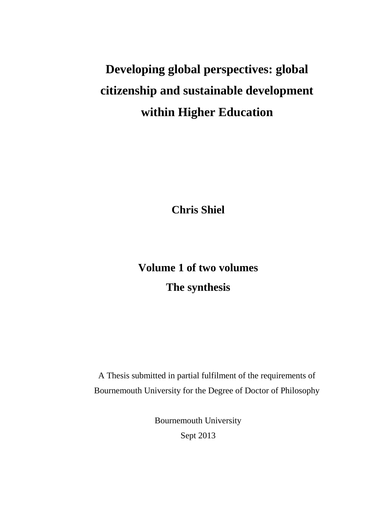# **Developing global perspectives: global citizenship and sustainable development within Higher Education**

**Chris Shiel**

# **Volume 1 of two volumes The synthesis**

A Thesis submitted in partial fulfilment of the requirements of Bournemouth University for the Degree of Doctor of Philosophy

> Bournemouth University Sept 2013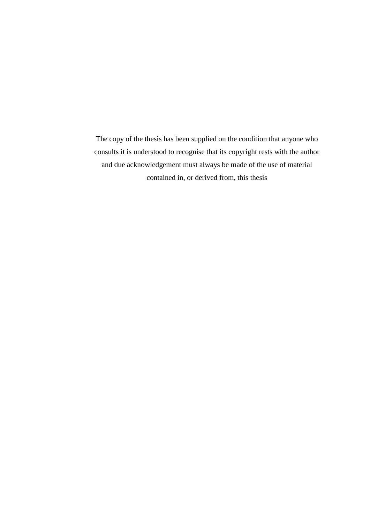The copy of the thesis has been supplied on the condition that anyone who consults it is understood to recognise that its copyright rests with the author and due acknowledgement must always be made of the use of material contained in, or derived from, this thesis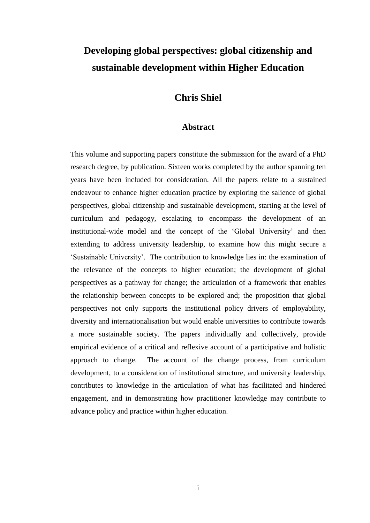# **Developing global perspectives: global citizenship and sustainable development within Higher Education**

## **Chris Shiel**

### **Abstract**

This volume and supporting papers constitute the submission for the award of a PhD research degree, by publication. Sixteen works completed by the author spanning ten years have been included for consideration. All the papers relate to a sustained endeavour to enhance higher education practice by exploring the salience of global perspectives, global citizenship and sustainable development, starting at the level of curriculum and pedagogy, escalating to encompass the development of an institutional-wide model and the concept of the 'Global University' and then extending to address university leadership, to examine how this might secure a 'Sustainable University'. The contribution to knowledge lies in: the examination of the relevance of the concepts to higher education; the development of global perspectives as a pathway for change; the articulation of a framework that enables the relationship between concepts to be explored and; the proposition that global perspectives not only supports the institutional policy drivers of employability, diversity and internationalisation but would enable universities to contribute towards a more sustainable society. The papers individually and collectively, provide empirical evidence of a critical and reflexive account of a participative and holistic approach to change. The account of the change process, from curriculum development, to a consideration of institutional structure, and university leadership, contributes to knowledge in the articulation of what has facilitated and hindered engagement, and in demonstrating how practitioner knowledge may contribute to advance policy and practice within higher education.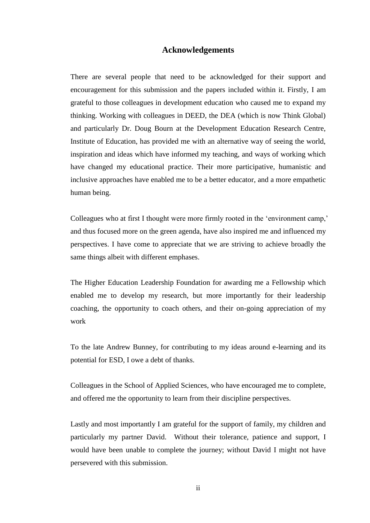#### **Acknowledgements**

There are several people that need to be acknowledged for their support and encouragement for this submission and the papers included within it. Firstly, I am grateful to those colleagues in development education who caused me to expand my thinking. Working with colleagues in DEED, the DEA (which is now Think Global) and particularly Dr. Doug Bourn at the Development Education Research Centre, Institute of Education, has provided me with an alternative way of seeing the world, inspiration and ideas which have informed my teaching, and ways of working which have changed my educational practice. Their more participative, humanistic and inclusive approaches have enabled me to be a better educator, and a more empathetic human being.

Colleagues who at first I thought were more firmly rooted in the 'environment camp,' and thus focused more on the green agenda, have also inspired me and influenced my perspectives. I have come to appreciate that we are striving to achieve broadly the same things albeit with different emphases.

The Higher Education Leadership Foundation for awarding me a Fellowship which enabled me to develop my research, but more importantly for their leadership coaching, the opportunity to coach others, and their on-going appreciation of my work

To the late Andrew Bunney, for contributing to my ideas around e-learning and its potential for ESD, I owe a debt of thanks.

Colleagues in the School of Applied Sciences, who have encouraged me to complete, and offered me the opportunity to learn from their discipline perspectives.

Lastly and most importantly I am grateful for the support of family, my children and particularly my partner David. Without their tolerance, patience and support, I would have been unable to complete the journey; without David I might not have persevered with this submission.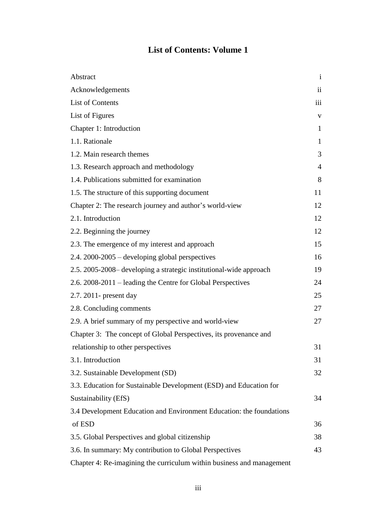# **List of Contents: Volume 1**

| Abstract                                                              | $\mathbf{i}$            |
|-----------------------------------------------------------------------|-------------------------|
| Acknowledgements                                                      | $\overline{\mathbf{u}}$ |
| List of Contents                                                      | iii                     |
| List of Figures                                                       | $\mathbf V$             |
| Chapter 1: Introduction                                               | $\mathbf{1}$            |
| 1.1. Rationale                                                        | $\mathbf{1}$            |
| 1.2. Main research themes                                             | 3                       |
| 1.3. Research approach and methodology                                | $\overline{4}$          |
| 1.4. Publications submitted for examination                           | 8                       |
| 1.5. The structure of this supporting document                        | 11                      |
| Chapter 2: The research journey and author's world-view               | 12                      |
| 2.1. Introduction                                                     | 12                      |
| 2.2. Beginning the journey                                            | 12                      |
| 2.3. The emergence of my interest and approach                        | 15                      |
| $2.4.2000 - 2005$ – developing global perspectives                    | 16                      |
| 2.5. 2005-2008- developing a strategic institutional-wide approach    | 19                      |
| 2.6. 2008-2011 – leading the Centre for Global Perspectives           | 24                      |
| 2.7. 2011- present day                                                | 25                      |
| 2.8. Concluding comments                                              | 27                      |
| 2.9. A brief summary of my perspective and world-view                 | 27                      |
| Chapter 3: The concept of Global Perspectives, its provenance and     |                         |
| relationship to other perspectives                                    | 31                      |
| 3.1. Introduction                                                     | 31                      |
| 3.2. Sustainable Development (SD)                                     | 32                      |
| 3.3. Education for Sustainable Development (ESD) and Education for    |                         |
| Sustainability (EfS)                                                  | 34                      |
| 3.4 Development Education and Environment Education: the foundations  |                         |
| of ESD                                                                | 36                      |
| 3.5. Global Perspectives and global citizenship                       | 38                      |
| 3.6. In summary: My contribution to Global Perspectives               | 43                      |
| Chapter 4: Re-imagining the curriculum within business and management |                         |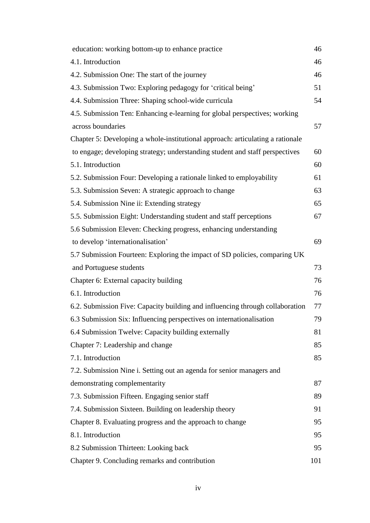| education: working bottom-up to enhance practice                               | 46  |
|--------------------------------------------------------------------------------|-----|
| 4.1. Introduction                                                              | 46  |
| 4.2. Submission One: The start of the journey                                  | 46  |
| 4.3. Submission Two: Exploring pedagogy for 'critical being'                   | 51  |
| 4.4. Submission Three: Shaping school-wide curricula                           | 54  |
| 4.5. Submission Ten: Enhancing e-learning for global perspectives; working     |     |
| across boundaries                                                              | 57  |
| Chapter 5: Developing a whole-institutional approach: articulating a rationale |     |
| to engage; developing strategy; understanding student and staff perspectives   | 60  |
| 5.1. Introduction                                                              | 60  |
| 5.2. Submission Four: Developing a rationale linked to employability           | 61  |
| 5.3. Submission Seven: A strategic approach to change                          | 63  |
| 5.4. Submission Nine ii: Extending strategy                                    | 65  |
| 5.5. Submission Eight: Understanding student and staff perceptions             | 67  |
| 5.6 Submission Eleven: Checking progress, enhancing understanding              |     |
| to develop 'internationalisation'                                              | 69  |
| 5.7 Submission Fourteen: Exploring the impact of SD policies, comparing UK     |     |
| and Portuguese students                                                        | 73  |
| Chapter 6: External capacity building                                          | 76  |
| 6.1. Introduction                                                              | 76  |
| 6.2. Submission Five: Capacity building and influencing through collaboration  | 77  |
| 6.3 Submission Six: Influencing perspectives on internationalisation           | 79  |
| 6.4 Submission Twelve: Capacity building externally                            | 81  |
| Chapter 7: Leadership and change                                               | 85  |
| 7.1. Introduction                                                              | 85  |
| 7.2. Submission Nine i. Setting out an agenda for senior managers and          |     |
| demonstrating complementarity                                                  | 87  |
| 7.3. Submission Fifteen. Engaging senior staff                                 | 89  |
| 7.4. Submission Sixteen. Building on leadership theory                         | 91  |
| Chapter 8. Evaluating progress and the approach to change                      | 95  |
| 8.1. Introduction                                                              | 95  |
| 8.2 Submission Thirteen: Looking back                                          | 95  |
| Chapter 9. Concluding remarks and contribution                                 | 101 |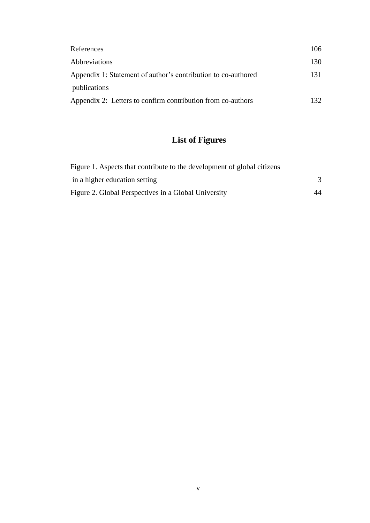| References                                                    | 106  |
|---------------------------------------------------------------|------|
| <b>Abbreviations</b>                                          | 130  |
| Appendix 1: Statement of author's contribution to co-authored | 131  |
| publications                                                  |      |
| Appendix 2: Letters to confirm contribution from co-authors   | 132. |

# **List of Figures**

| Figure 1. Aspects that contribute to the development of global citizens |    |
|-------------------------------------------------------------------------|----|
| in a higher education setting                                           |    |
| Figure 2. Global Perspectives in a Global University                    | 44 |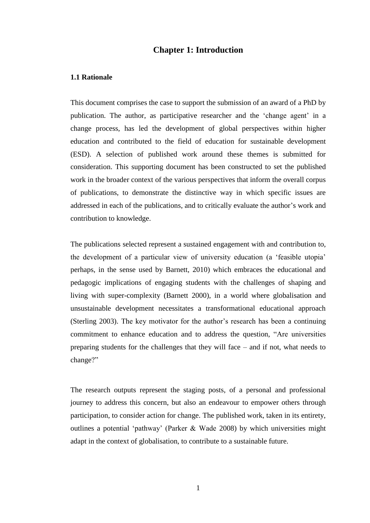#### **Chapter 1: Introduction**

#### **1.1 Rationale**

This document comprises the case to support the submission of an award of a PhD by publication. The author, as participative researcher and the 'change agent' in a change process, has led the development of global perspectives within higher education and contributed to the field of education for sustainable development (ESD). A selection of published work around these themes is submitted for consideration. This supporting document has been constructed to set the published work in the broader context of the various perspectives that inform the overall corpus of publications, to demonstrate the distinctive way in which specific issues are addressed in each of the publications, and to critically evaluate the author's work and contribution to knowledge.

The publications selected represent a sustained engagement with and contribution to, the development of a particular view of university education (a 'feasible utopia' perhaps, in the sense used by Barnett, 2010) which embraces the educational and pedagogic implications of engaging students with the challenges of shaping and living with super-complexity (Barnett 2000), in a world where globalisation and unsustainable development necessitates a transformational educational approach (Sterling 2003). The key motivator for the author's research has been a continuing commitment to enhance education and to address the question, "Are universities preparing students for the challenges that they will face – and if not, what needs to change?"

The research outputs represent the staging posts, of a personal and professional journey to address this concern, but also an endeavour to empower others through participation, to consider action for change. The published work, taken in its entirety, outlines a potential 'pathway' (Parker & Wade 2008) by which universities might adapt in the context of globalisation, to contribute to a sustainable future.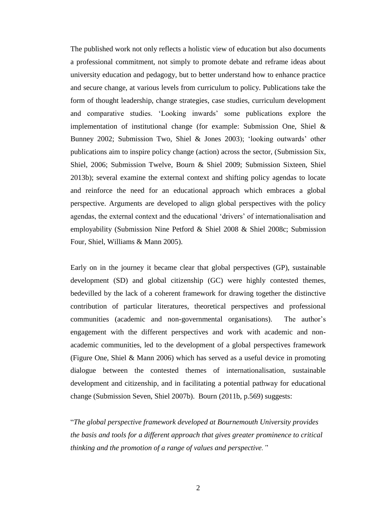The published work not only reflects a holistic view of education but also documents a professional commitment, not simply to promote debate and reframe ideas about university education and pedagogy, but to better understand how to enhance practice and secure change, at various levels from curriculum to policy. Publications take the form of thought leadership, change strategies, case studies, curriculum development and comparative studies. 'Looking inwards' some publications explore the implementation of institutional change (for example: Submission One, Shiel  $\&$ Bunney 2002; Submission Two, Shiel & Jones 2003); 'looking outwards' other publications aim to inspire policy change (action) across the sector, (Submission Six, Shiel, 2006; Submission Twelve, Bourn & Shiel 2009; Submission Sixteen, Shiel 2013b); several examine the external context and shifting policy agendas to locate and reinforce the need for an educational approach which embraces a global perspective. Arguments are developed to align global perspectives with the policy agendas, the external context and the educational 'drivers' of internationalisation and employability (Submission Nine Petford & Shiel 2008 & Shiel 2008c; Submission Four, Shiel, Williams & Mann 2005).

Early on in the journey it became clear that global perspectives (GP), sustainable development (SD) and global citizenship (GC) were highly contested themes, bedevilled by the lack of a coherent framework for drawing together the distinctive contribution of particular literatures, theoretical perspectives and professional communities (academic and non-governmental organisations). The author's engagement with the different perspectives and work with academic and nonacademic communities, led to the development of a global perspectives framework (Figure One, Shiel & Mann 2006) which has served as a useful device in promoting dialogue between the contested themes of internationalisation, sustainable development and citizenship, and in facilitating a potential pathway for educational change (Submission Seven, Shiel 2007b). Bourn (2011b, p.569) suggests:

"*The global perspective framework developed at Bournemouth University provides the basis and tools for a different approach that gives greater prominence to critical thinking and the promotion of a range of values and perspective.'*'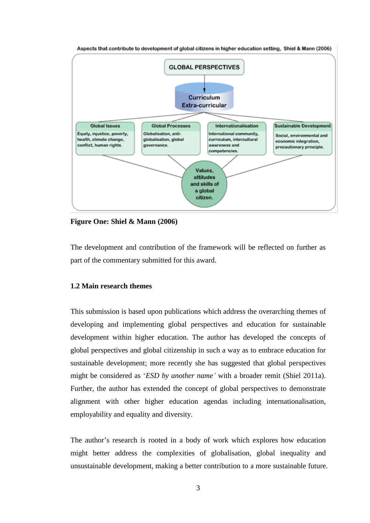

Aspects that contribute to development of global citizens in higher education setting, Shiel & Mann (2006)

**Figure One: Shiel & Mann (2006)**

The development and contribution of the framework will be reflected on further as part of the commentary submitted for this award.

#### **1.2 Main research themes**

This submission is based upon publications which address the overarching themes of developing and implementing global perspectives and education for sustainable development within higher education. The author has developed the concepts of global perspectives and global citizenship in such a way as to embrace education for sustainable development; more recently she has suggested that global perspectives might be considered as '*ESD by another name'* with a broader remit (Shiel 2011a). Further, the author has extended the concept of global perspectives to demonstrate alignment with other higher education agendas including internationalisation, employability and equality and diversity.

The author's research is rooted in a body of work which explores how education might better address the complexities of globalisation, global inequality and unsustainable development, making a better contribution to a more sustainable future.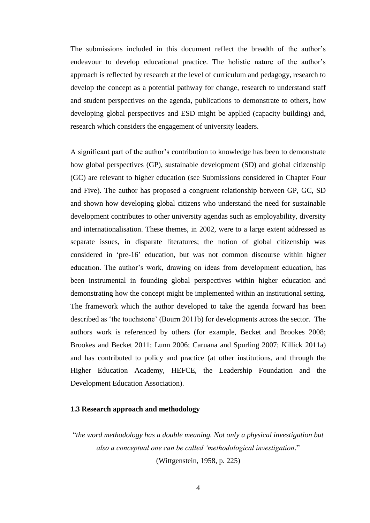The submissions included in this document reflect the breadth of the author's endeavour to develop educational practice. The holistic nature of the author's approach is reflected by research at the level of curriculum and pedagogy, research to develop the concept as a potential pathway for change, research to understand staff and student perspectives on the agenda, publications to demonstrate to others, how developing global perspectives and ESD might be applied (capacity building) and, research which considers the engagement of university leaders.

A significant part of the author's contribution to knowledge has been to demonstrate how global perspectives (GP), sustainable development (SD) and global citizenship (GC) are relevant to higher education (see Submissions considered in Chapter Four and Five). The author has proposed a congruent relationship between GP, GC, SD and shown how developing global citizens who understand the need for sustainable development contributes to other university agendas such as employability, diversity and internationalisation. These themes, in 2002, were to a large extent addressed as separate issues, in disparate literatures; the notion of global citizenship was considered in 'pre-16' education, but was not common discourse within higher education. The author's work, drawing on ideas from development education, has been instrumental in founding global perspectives within higher education and demonstrating how the concept might be implemented within an institutional setting. The framework which the author developed to take the agenda forward has been described as 'the touchstone' (Bourn 2011b) for developments across the sector. The authors work is referenced by others (for example, Becket and Brookes 2008; Brookes and Becket 2011; Lunn 2006; Caruana and Spurling 2007; Killick 2011a) and has contributed to policy and practice (at other institutions, and through the Higher Education Academy, HEFCE, the Leadership Foundation and the Development Education Association).

#### **1.3 Research approach and methodology**

"*the word methodology has a double meaning. Not only a physical investigation but also a conceptual one can be called 'methodological investigation*." (Wittgenstein, 1958, p. 225)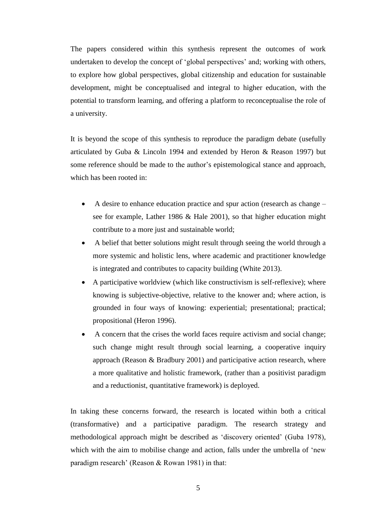The papers considered within this synthesis represent the outcomes of work undertaken to develop the concept of 'global perspectives' and; working with others, to explore how global perspectives, global citizenship and education for sustainable development, might be conceptualised and integral to higher education, with the potential to transform learning, and offering a platform to reconceptualise the role of a university.

It is beyond the scope of this synthesis to reproduce the paradigm debate (usefully articulated by Guba & Lincoln 1994 and extended by Heron & Reason 1997) but some reference should be made to the author's epistemological stance and approach, which has been rooted in:

- A desire to enhance education practice and spur action (research as change see for example, Lather 1986 & Hale 2001), so that higher education might contribute to a more just and sustainable world;
- A belief that better solutions might result through seeing the world through a more systemic and holistic lens, where academic and practitioner knowledge is integrated and contributes to capacity building (White 2013).
- A participative worldview (which like constructivism is self-reflexive); where knowing is subjective-objective, relative to the knower and; where action, is grounded in four ways of knowing: experiential; presentational; practical; propositional (Heron 1996).
- A concern that the crises the world faces require activism and social change; such change might result through social learning, a cooperative inquiry approach (Reason & Bradbury 2001) and participative action research, where a more qualitative and holistic framework, (rather than a positivist paradigm and a reductionist, quantitative framework) is deployed.

In taking these concerns forward, the research is located within both a critical (transformative) and a participative paradigm. The research strategy and methodological approach might be described as 'discovery oriented' (Guba 1978), which with the aim to mobilise change and action, falls under the umbrella of 'new paradigm research' (Reason & Rowan 1981) in that: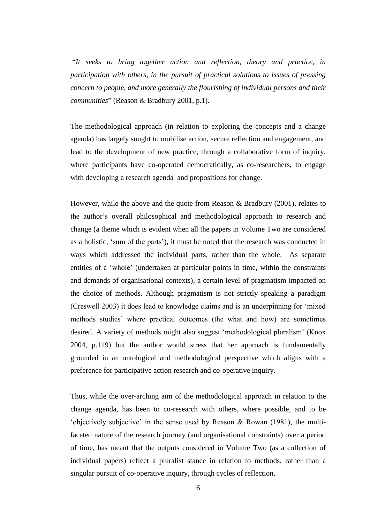"*It seeks to bring together action and reflection, theory and practice, in participation with others, in the pursuit of practical solutions to issues of pressing concern to people, and more generally the flourishing of individual persons and their communities*" (Reason & Bradbury 2001, p.1).

The methodological approach (in relation to exploring the concepts and a change agenda) has largely sought to mobilise action, secure reflection and engagement, and lead to the development of new practice, through a collaborative form of inquiry, where participants have co-operated democratically, as co-researchers, to engage with developing a research agenda and propositions for change.

However, while the above and the quote from Reason & Bradbury (2001), relates to the author's overall philosophical and methodological approach to research and change (a theme which is evident when all the papers in Volume Two are considered as a holistic, 'sum of the parts'), it must be noted that the research was conducted in ways which addressed the individual parts, rather than the whole. As separate entities of a 'whole' (undertaken at particular points in time, within the constraints and demands of organisational contexts), a certain level of pragmatism impacted on the choice of methods. Although pragmatism is not strictly speaking a paradigm (Creswell 2003) it does lead to knowledge claims and is an underpinning for 'mixed methods studies' where practical outcomes (the what and how) are sometimes desired. A variety of methods might also suggest 'methodological pluralism' (Knox 2004, p.119) but the author would stress that her approach is fundamentally grounded in an ontological and methodological perspective which aligns with a preference for participative action research and co-operative inquiry.

Thus, while the over-arching aim of the methodological approach in relation to the change agenda, has been to co-research with others, where possible, and to be 'objectively subjective' in the sense used by Reason & Rowan (1981), the multifaceted nature of the research journey (and organisational constraints) over a period of time, has meant that the outputs considered in Volume Two (as a collection of individual papers) reflect a pluralist stance in relation to methods, rather than a singular pursuit of co-operative inquiry, through cycles of reflection.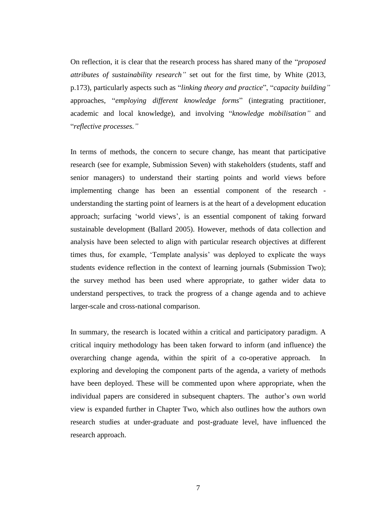On reflection, it is clear that the research process has shared many of the "*proposed attributes of sustainability research"* set out for the first time, by White (2013, p.173), particularly aspects such as "*linking theory and practice*", "*capacity building"* approaches, "*employing different knowledge forms*" (integrating practitioner, academic and local knowledge), and involving "*knowledge mobilisation"* and "*reflective processes."*

In terms of methods, the concern to secure change, has meant that participative research (see for example, Submission Seven) with stakeholders (students, staff and senior managers) to understand their starting points and world views before implementing change has been an essential component of the research understanding the starting point of learners is at the heart of a development education approach; surfacing 'world views', is an essential component of taking forward sustainable development (Ballard 2005). However, methods of data collection and analysis have been selected to align with particular research objectives at different times thus, for example, 'Template analysis' was deployed to explicate the ways students evidence reflection in the context of learning journals (Submission Two); the survey method has been used where appropriate, to gather wider data to understand perspectives, to track the progress of a change agenda and to achieve larger-scale and cross-national comparison.

In summary, the research is located within a critical and participatory paradigm. A critical inquiry methodology has been taken forward to inform (and influence) the overarching change agenda, within the spirit of a co-operative approach. In exploring and developing the component parts of the agenda, a variety of methods have been deployed. These will be commented upon where appropriate, when the individual papers are considered in subsequent chapters. The author's own world view is expanded further in Chapter Two, which also outlines how the authors own research studies at under-graduate and post-graduate level, have influenced the research approach.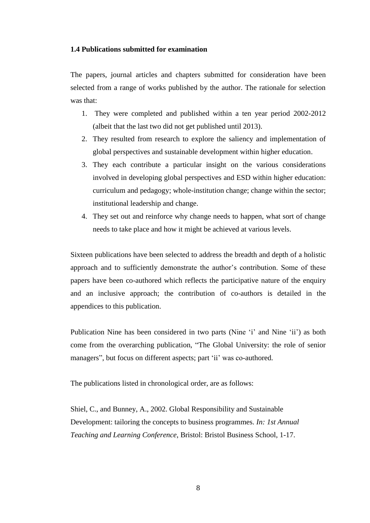#### **1.4 Publications submitted for examination**

The papers, journal articles and chapters submitted for consideration have been selected from a range of works published by the author. The rationale for selection was that:

- 1. They were completed and published within a ten year period 2002-2012 (albeit that the last two did not get published until 2013).
- 2. They resulted from research to explore the saliency and implementation of global perspectives and sustainable development within higher education.
- 3. They each contribute a particular insight on the various considerations involved in developing global perspectives and ESD within higher education: curriculum and pedagogy; whole-institution change; change within the sector; institutional leadership and change.
- 4. They set out and reinforce why change needs to happen, what sort of change needs to take place and how it might be achieved at various levels.

Sixteen publications have been selected to address the breadth and depth of a holistic approach and to sufficiently demonstrate the author's contribution. Some of these papers have been co-authored which reflects the participative nature of the enquiry and an inclusive approach; the contribution of co-authors is detailed in the appendices to this publication.

Publication Nine has been considered in two parts (Nine 'i' and Nine 'ii') as both come from the overarching publication, "The Global University: the role of senior managers", but focus on different aspects; part 'ii' was co-authored.

The publications listed in chronological order, are as follows:

Shiel, C., and Bunney, A., 2002. Global Responsibility and Sustainable Development: tailoring the concepts to business programmes. *In: 1st Annual Teaching and Learning Conference*, Bristol: Bristol Business School, 1-17.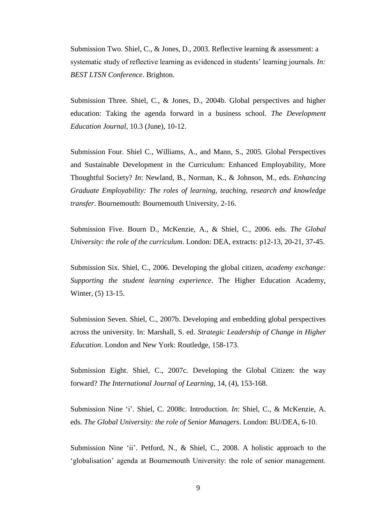Submission Two. Shiel, C., & Jones, D., 2003. Reflective learning & assessment: a systematic study of reflective learning as evidenced in students' learning journals. *In: BEST LTSN Conference*. Brighton.

Submission Three. Shiel, C., & Jones, D., 2004b. Global perspectives and higher education: Taking the agenda forward in a business school. *The Development Education Journal*, 10.3 (June), 10-12.

Submission Four. Shiel C., Williams, A., and Mann, S., 2005. Global Perspectives and Sustainable Development in the Curriculum: Enhanced Employability, More Thoughtful Society? *In*: Newland, B., Norman, K., & Johnson, M., eds. *Enhancing Graduate Employability: The roles of learning, teaching, research and knowledge transfer*. Bournemouth: Bournemouth University, 2-16.

Submission Five. Bourn D., McKenzie, A., & Shiel, C., 2006. eds. *The Global University: the role of the curriculum*. London: DEA, extracts: p12-13, 20-21, 37-45.

Submission Six. Shiel, C., 2006. Developing the global citizen, *academy exchange: Supporting the student learning experience*. The Higher Education Academy, Winter, (5) 13-15.

Submission Seven. Shiel, C., 2007b. Developing and embedding global perspectives across the university. In: Marshall, S. ed. *Strategic Leadership of Change in Higher Education*. London and New York: Routledge, 158-173.

Submission Eight. Shiel, C., 2007c. Developing the Global Citizen: the way forward? *The International Journal of Learning*, 14, (4), 153-168.

Submission Nine 'i'. Shiel, C. 2008c. Introduction. *In*: Shiel, C., & McKenzie, A. eds. *The Global University: the role of Senior Managers*. London: BU/DEA, 6-10.

Submission Nine 'ii'. Petford, N., & Shiel, C., 2008. A holistic approach to the 'globalisation' agenda at Bournemouth University: the role of senior management.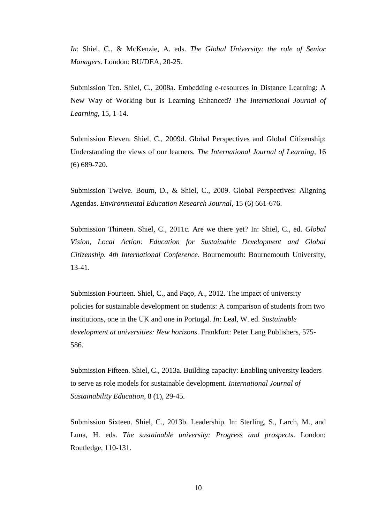*In*: Shiel, C., & McKenzie, A. eds. *The Global University: the role of Senior Managers*. London: BU/DEA, 20-25.

Submission Ten. Shiel, C., 2008a. Embedding e-resources in Distance Learning: A New Way of Working but is Learning Enhanced? *The International Journal of Learning*, 15, 1-14.

Submission Eleven. Shiel, C., 2009d. Global Perspectives and Global Citizenship: Understanding the views of our learners. *The International Journal of Learning*, 16 (6) 689-720.

Submission Twelve. Bourn, D., & Shiel, C., 2009. Global Perspectives: Aligning Agendas. *Environmental Education Research Journal*, 15 (6) 661-676.

Submission Thirteen. Shiel, C., 2011c. Are we there yet? In: Shiel, C., ed. *Global Vision, Local Action: Education for Sustainable Development and Global Citizenship. 4th International Conference*. Bournemouth: Bournemouth University, 13-41.

Submission Fourteen. Shiel, C., and Paço, A., 2012. The impact of university policies for sustainable development on students: A comparison of students from two institutions, one in the UK and one in Portugal. *In*: Leal, W. ed. *Sustainable development at universities: New horizons*. Frankfurt: Peter Lang Publishers, 575- 586.

Submission Fifteen. Shiel, C., 2013a. Building capacity: Enabling university leaders to serve as role models for sustainable development. *International Journal of Sustainability Education*, 8 (1), 29-45.

Submission Sixteen. Shiel, C., 2013b. Leadership. In: Sterling, S., Larch, M., and Luna, H. eds. *The sustainable university: Progress and prospects*. London: Routledge, 110-131.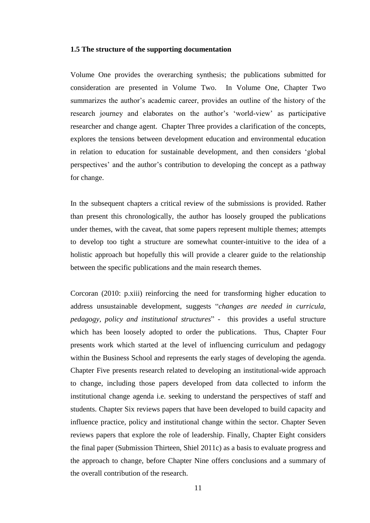#### **1.5 The structure of the supporting documentation**

Volume One provides the overarching synthesis; the publications submitted for consideration are presented in Volume Two. In Volume One, Chapter Two summarizes the author's academic career, provides an outline of the history of the research journey and elaborates on the author's 'world-view' as participative researcher and change agent. Chapter Three provides a clarification of the concepts, explores the tensions between development education and environmental education in relation to education for sustainable development, and then considers 'global perspectives' and the author's contribution to developing the concept as a pathway for change.

In the subsequent chapters a critical review of the submissions is provided. Rather than present this chronologically, the author has loosely grouped the publications under themes, with the caveat, that some papers represent multiple themes; attempts to develop too tight a structure are somewhat counter-intuitive to the idea of a holistic approach but hopefully this will provide a clearer guide to the relationship between the specific publications and the main research themes.

Corcoran (2010: p.xiii) reinforcing the need for transforming higher education to address unsustainable development, suggests "*changes are needed in curricula, pedagogy, policy and institutional structures*" - this provides a useful structure which has been loosely adopted to order the publications. Thus, Chapter Four presents work which started at the level of influencing curriculum and pedagogy within the Business School and represents the early stages of developing the agenda. Chapter Five presents research related to developing an institutional-wide approach to change, including those papers developed from data collected to inform the institutional change agenda i.e. seeking to understand the perspectives of staff and students. Chapter Six reviews papers that have been developed to build capacity and influence practice, policy and institutional change within the sector. Chapter Seven reviews papers that explore the role of leadership. Finally, Chapter Eight considers the final paper (Submission Thirteen, Shiel 2011c) as a basis to evaluate progress and the approach to change, before Chapter Nine offers conclusions and a summary of the overall contribution of the research.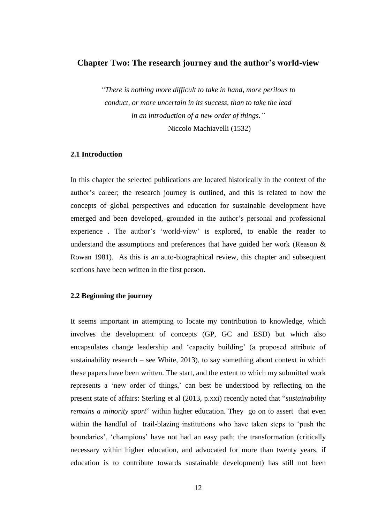### **Chapter Two: The research journey and the author's world-view**

*"There is nothing more difficult to take in hand, more perilous to conduct, or more uncertain in its success, than to take the lead in an introduction of a new order of things."* Niccolo Machiavelli (1532)

### **2.1 Introduction**

In this chapter the selected publications are located historically in the context of the author's career; the research journey is outlined, and this is related to how the concepts of global perspectives and education for sustainable development have emerged and been developed, grounded in the author's personal and professional experience . The author's 'world-view' is explored, to enable the reader to understand the assumptions and preferences that have guided her work (Reason  $\&$ Rowan 1981). As this is an auto-biographical review, this chapter and subsequent sections have been written in the first person.

#### **2.2 Beginning the journey**

It seems important in attempting to locate my contribution to knowledge, which involves the development of concepts (GP, GC and ESD) but which also encapsulates change leadership and 'capacity building' (a proposed attribute of sustainability research – see White, 2013), to say something about context in which these papers have been written. The start, and the extent to which my submitted work represents a 'new order of things,' can best be understood by reflecting on the present state of affairs: Sterling et al (2013, p.xxi) recently noted that "*sustainability remains a minority sport*" within higher education. They go on to assert that even within the handful of trail-blazing institutions who have taken steps to 'push the boundaries', 'champions' have not had an easy path; the transformation (critically necessary within higher education, and advocated for more than twenty years, if education is to contribute towards sustainable development) has still not been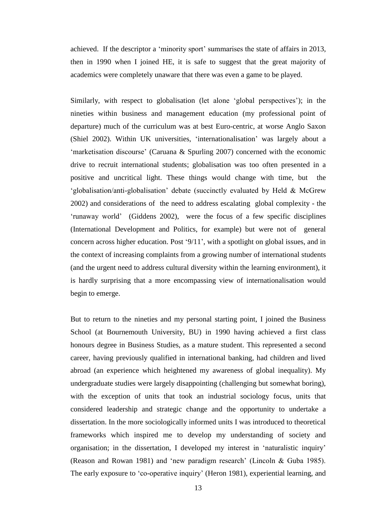achieved. If the descriptor a 'minority sport' summarises the state of affairs in 2013, then in 1990 when I joined HE, it is safe to suggest that the great majority of academics were completely unaware that there was even a game to be played.

Similarly, with respect to globalisation (let alone 'global perspectives'); in the nineties within business and management education (my professional point of departure) much of the curriculum was at best Euro-centric, at worse Anglo Saxon (Shiel 2002). Within UK universities, 'internationalisation' was largely about a 'marketisation discourse' (Caruana & Spurling 2007) concerned with the economic drive to recruit international students; globalisation was too often presented in a positive and uncritical light. These things would change with time, but the 'globalisation/anti-globalisation' debate (succinctly evaluated by Held & McGrew 2002) and considerations of the need to address escalating global complexity - the 'runaway world' (Giddens 2002), were the focus of a few specific disciplines (International Development and Politics, for example) but were not of general concern across higher education. Post '9/11', with a spotlight on global issues, and in the context of increasing complaints from a growing number of international students (and the urgent need to address cultural diversity within the learning environment), it is hardly surprising that a more encompassing view of internationalisation would begin to emerge.

But to return to the nineties and my personal starting point, I joined the Business School (at Bournemouth University, BU) in 1990 having achieved a first class honours degree in Business Studies, as a mature student. This represented a second career, having previously qualified in international banking, had children and lived abroad (an experience which heightened my awareness of global inequality). My undergraduate studies were largely disappointing (challenging but somewhat boring), with the exception of units that took an industrial sociology focus, units that considered leadership and strategic change and the opportunity to undertake a dissertation. In the more sociologically informed units I was introduced to theoretical frameworks which inspired me to develop my understanding of society and organisation; in the dissertation, I developed my interest in 'naturalistic inquiry' (Reason and Rowan 1981) and 'new paradigm research' (Lincoln & Guba 1985). The early exposure to 'co-operative inquiry' (Heron 1981), experiential learning, and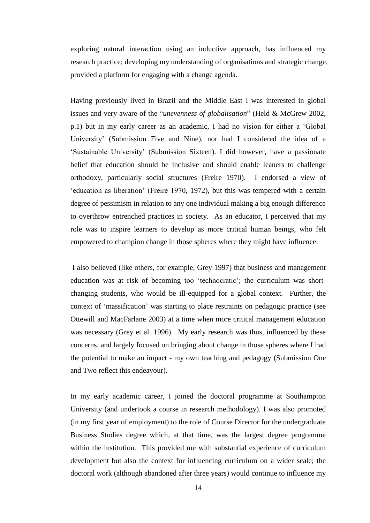exploring natural interaction using an inductive approach, has influenced my research practice; developing my understanding of organisations and strategic change, provided a platform for engaging with a change agenda.

Having previously lived in Brazil and the Middle East I was interested in global issues and very aware of the "*unevenness of globalisation*" (Held & McGrew 2002, p.1) but in my early career as an academic, I had no vision for either a 'Global University' (Submission Five and Nine), nor had I considered the idea of a 'Sustainable University' (Submission Sixteen). I did however, have a passionate belief that education should be inclusive and should enable leaners to challenge orthodoxy, particularly social structures (Freire 1970). I endorsed a view of 'education as liberation' (Freire 1970, 1972), but this was tempered with a certain degree of pessimism in relation to any one individual making a big enough difference to overthrow entrenched practices in society. As an educator, I perceived that my role was to inspire learners to develop as more critical human beings, who felt empowered to champion change in those spheres where they might have influence.

I also believed (like others, for example, Grey 1997) that business and management education was at risk of becoming too 'technocratic'; the curriculum was shortchanging students, who would be ill-equipped for a global context. Further, the context of 'massification' was starting to place restraints on pedagogic practice (see Ottewill and MacFarlane 2003) at a time when more critical management education was necessary (Grey et al. 1996). My early research was thus, influenced by these concerns, and largely focused on bringing about change in those spheres where I had the potential to make an impact - my own teaching and pedagogy (Submission One and Two reflect this endeavour).

In my early academic career, I joined the doctoral programme at Southampton University (and undertook a course in research methodology). I was also promoted (in my first year of employment) to the role of Course Director for the undergraduate Business Studies degree which, at that time, was the largest degree programme within the institution. This provided me with substantial experience of curriculum development but also the context for influencing curriculum on a wider scale; the doctoral work (although abandoned after three years) would continue to influence my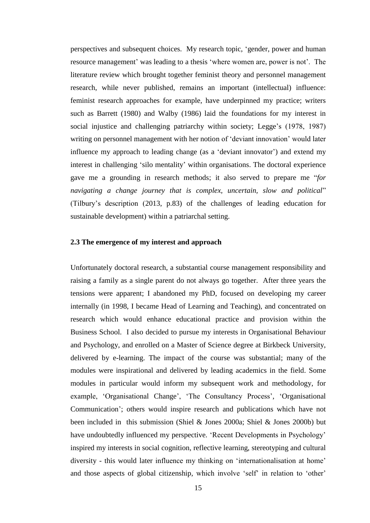perspectives and subsequent choices. My research topic, 'gender, power and human resource management' was leading to a thesis 'where women are, power is not'. The literature review which brought together feminist theory and personnel management research, while never published, remains an important (intellectual) influence: feminist research approaches for example, have underpinned my practice; writers such as Barrett (1980) and Walby (1986) laid the foundations for my interest in social injustice and challenging patriarchy within society; Legge's (1978, 1987) writing on personnel management with her notion of 'deviant innovation' would later influence my approach to leading change (as a 'deviant innovator') and extend my interest in challenging 'silo mentality' within organisations. The doctoral experience gave me a grounding in research methods; it also served to prepare me "*for navigating a change journey that is complex, uncertain, slow and political*" (Tilbury's description (2013, p.83) of the challenges of leading education for sustainable development) within a patriarchal setting.

#### **2.3 The emergence of my interest and approach**

Unfortunately doctoral research, a substantial course management responsibility and raising a family as a single parent do not always go together. After three years the tensions were apparent; I abandoned my PhD, focused on developing my career internally (in 1998, I became Head of Learning and Teaching), and concentrated on research which would enhance educational practice and provision within the Business School. I also decided to pursue my interests in Organisational Behaviour and Psychology, and enrolled on a Master of Science degree at Birkbeck University, delivered by e-learning. The impact of the course was substantial; many of the modules were inspirational and delivered by leading academics in the field. Some modules in particular would inform my subsequent work and methodology, for example, 'Organisational Change', 'The Consultancy Process', 'Organisational Communication'; others would inspire research and publications which have not been included in this submission (Shiel & Jones 2000a; Shiel & Jones 2000b) but have undoubtedly influenced my perspective. 'Recent Developments in Psychology' inspired my interests in social cognition, reflective learning, stereotyping and cultural diversity - this would later influence my thinking on 'internationalisation at home' and those aspects of global citizenship, which involve 'self' in relation to 'other'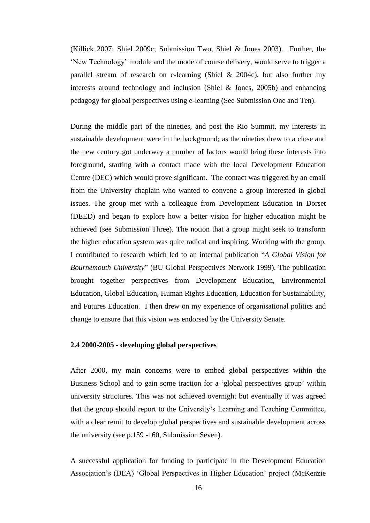(Killick 2007; Shiel 2009c; Submission Two, Shiel & Jones 2003). Further, the 'New Technology' module and the mode of course delivery, would serve to trigger a parallel stream of research on e-learning (Shiel & 2004c), but also further my interests around technology and inclusion (Shiel & Jones, 2005b) and enhancing pedagogy for global perspectives using e-learning (See Submission One and Ten).

During the middle part of the nineties, and post the Rio Summit, my interests in sustainable development were in the background; as the nineties drew to a close and the new century got underway a number of factors would bring these interests into foreground, starting with a contact made with the local Development Education Centre (DEC) which would prove significant. The contact was triggered by an email from the University chaplain who wanted to convene a group interested in global issues. The group met with a colleague from Development Education in Dorset (DEED) and began to explore how a better vision for higher education might be achieved (see Submission Three). The notion that a group might seek to transform the higher education system was quite radical and inspiring. Working with the group, I contributed to research which led to an internal publication "*A Global Vision for Bournemouth University*" (BU Global Perspectives Network 1999). The publication brought together perspectives from Development Education, Environmental Education, Global Education, Human Rights Education, Education for Sustainability, and Futures Education. I then drew on my experience of organisational politics and change to ensure that this vision was endorsed by the University Senate.

#### **2.4 2000-2005 - developing global perspectives**

After 2000, my main concerns were to embed global perspectives within the Business School and to gain some traction for a 'global perspectives group' within university structures. This was not achieved overnight but eventually it was agreed that the group should report to the University's Learning and Teaching Committee, with a clear remit to develop global perspectives and sustainable development across the university (see p.159 -160, Submission Seven).

A successful application for funding to participate in the Development Education Association's (DEA) 'Global Perspectives in Higher Education' project (McKenzie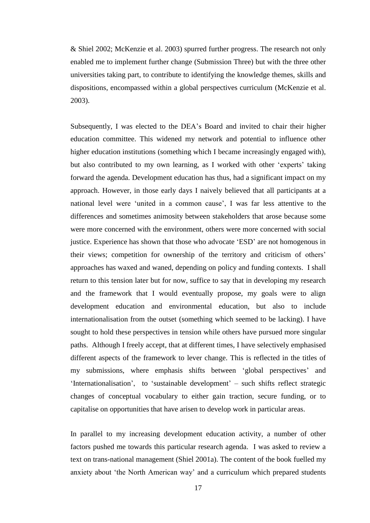& Shiel 2002; McKenzie et al. 2003) spurred further progress. The research not only enabled me to implement further change (Submission Three) but with the three other universities taking part, to contribute to identifying the knowledge themes, skills and dispositions, encompassed within a global perspectives curriculum (McKenzie et al. 2003).

Subsequently, I was elected to the DEA's Board and invited to chair their higher education committee. This widened my network and potential to influence other higher education institutions (something which I became increasingly engaged with), but also contributed to my own learning, as I worked with other 'experts' taking forward the agenda. Development education has thus, had a significant impact on my approach. However, in those early days I naively believed that all participants at a national level were 'united in a common cause', I was far less attentive to the differences and sometimes animosity between stakeholders that arose because some were more concerned with the environment, others were more concerned with social justice. Experience has shown that those who advocate 'ESD' are not homogenous in their views; competition for ownership of the territory and criticism of others' approaches has waxed and waned, depending on policy and funding contexts. I shall return to this tension later but for now, suffice to say that in developing my research and the framework that I would eventually propose, my goals were to align development education and environmental education, but also to include internationalisation from the outset (something which seemed to be lacking). I have sought to hold these perspectives in tension while others have pursued more singular paths. Although I freely accept, that at different times, I have selectively emphasised different aspects of the framework to lever change. This is reflected in the titles of my submissions, where emphasis shifts between 'global perspectives' and 'Internationalisation', to 'sustainable development' – such shifts reflect strategic changes of conceptual vocabulary to either gain traction, secure funding, or to capitalise on opportunities that have arisen to develop work in particular areas.

In parallel to my increasing development education activity, a number of other factors pushed me towards this particular research agenda. I was asked to review a text on trans-national management (Shiel 2001a). The content of the book fuelled my anxiety about 'the North American way' and a curriculum which prepared students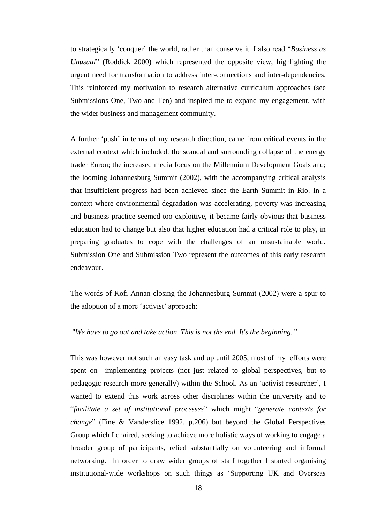to strategically 'conquer' the world, rather than conserve it. I also read "*Business as Unusual*" (Roddick 2000) which represented the opposite view, highlighting the urgent need for transformation to address inter-connections and inter-dependencies. This reinforced my motivation to research alternative curriculum approaches (see Submissions One, Two and Ten) and inspired me to expand my engagement, with the wider business and management community.

A further 'push' in terms of my research direction, came from critical events in the external context which included: the scandal and surrounding collapse of the energy trader Enron; the increased media focus on the Millennium Development Goals and; the looming Johannesburg Summit (2002), with the accompanying critical analysis that insufficient progress had been achieved since the Earth Summit in Rio. In a context where environmental degradation was accelerating, poverty was increasing and business practice seemed too exploitive, it became fairly obvious that business education had to change but also that higher education had a critical role to play, in preparing graduates to cope with the challenges of an unsustainable world. Submission One and Submission Two represent the outcomes of this early research endeavour.

The words of Kofi Annan closing the Johannesburg Summit (2002) were a spur to the adoption of a more 'activist' approach:

#### "*We have to go out and take action. This is not the end. It's the beginning."*

This was however not such an easy task and up until 2005, most of my efforts were spent on implementing projects (not just related to global perspectives, but to pedagogic research more generally) within the School. As an 'activist researcher', I wanted to extend this work across other disciplines within the university and to "*facilitate a set of institutional processes*" which might "*generate contexts for change*" (Fine & Vanderslice 1992, p.206) but beyond the Global Perspectives Group which I chaired, seeking to achieve more holistic ways of working to engage a broader group of participants, relied substantially on volunteering and informal networking. In order to draw wider groups of staff together I started organising institutional-wide workshops on such things as 'Supporting UK and Overseas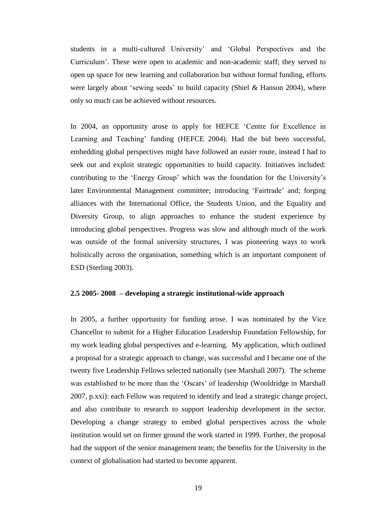students in a multi-cultured University' and 'Global Perspectives and the Curriculum'. These were open to academic and non-academic staff; they served to open up space for new learning and collaboration but without formal funding, efforts were largely about 'sewing seeds' to build capacity (Shiel & Hanson 2004), where only so much can be achieved without resources.

In 2004, an opportunity arose to apply for HEFCE 'Centre for Excellence in Learning and Teaching' funding (HEFCE 2004). Had the bid been successful, embedding global perspectives might have followed an easier route, instead I had to seek out and exploit strategic opportunities to build capacity. Initiatives included: contributing to the 'Energy Group' which was the foundation for the University's later Environmental Management committee; introducing 'Fairtrade' and; forging alliances with the International Office, the Students Union, and the Equality and Diversity Group, to align approaches to enhance the student experience by introducing global perspectives. Progress was slow and although much of the work was outside of the formal university structures, I was pioneering ways to work holistically across the organisation, something which is an important component of ESD (Sterling 2003).

#### **2.5 2005- 2008 – developing a strategic institutional-wide approach**

In 2005, a further opportunity for funding arose. I was nominated by the Vice Chancellor to submit for a Higher Education Leadership Foundation Fellowship, for my work leading global perspectives and e-learning. My application, which outlined a proposal for a strategic approach to change, was successful and I became one of the twenty five Leadership Fellows selected nationally (see Marshall 2007). The scheme was established to be more than the 'Oscars' of leadership (Wooldridge in Marshall 2007, p.xxi): each Fellow was required to identify and lead a strategic change project, and also contribute to research to support leadership development in the sector. Developing a change strategy to embed global perspectives across the whole institution would set on firmer ground the work started in 1999. Further, the proposal had the support of the senior management team; the benefits for the University in the context of globalisation had started to become apparent.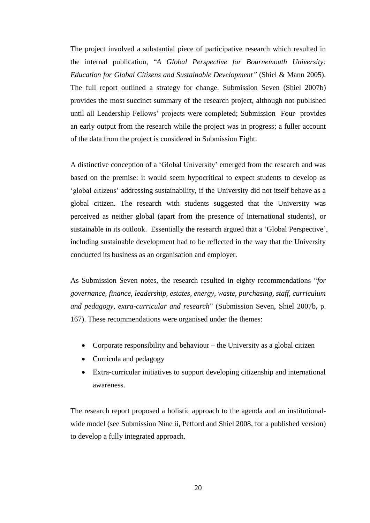The project involved a substantial piece of participative research which resulted in the internal publication, "*A Global Perspective for Bournemouth University: Education for Global Citizens and Sustainable Development"* (Shiel & Mann 2005). The full report outlined a strategy for change. Submission Seven (Shiel 2007b) provides the most succinct summary of the research project, although not published until all Leadership Fellows' projects were completed; Submission Four provides an early output from the research while the project was in progress; a fuller account of the data from the project is considered in Submission Eight.

A distinctive conception of a 'Global University' emerged from the research and was based on the premise: it would seem hypocritical to expect students to develop as 'global citizens' addressing sustainability, if the University did not itself behave as a global citizen. The research with students suggested that the University was perceived as neither global (apart from the presence of International students), or sustainable in its outlook. Essentially the research argued that a 'Global Perspective', including sustainable development had to be reflected in the way that the University conducted its business as an organisation and employer.

As Submission Seven notes, the research resulted in eighty recommendations "*for governance, finance, leadership, estates, energy, waste, purchasing, staff, curriculum and pedagogy, extra-curricular and research*" (Submission Seven, Shiel 2007b, p. 167). These recommendations were organised under the themes:

- Corporate responsibility and behaviour the University as a global citizen
- Curricula and pedagogy
- Extra-curricular initiatives to support developing citizenship and international awareness.

The research report proposed a holistic approach to the agenda and an institutionalwide model (see Submission Nine ii, Petford and Shiel 2008, for a published version) to develop a fully integrated approach.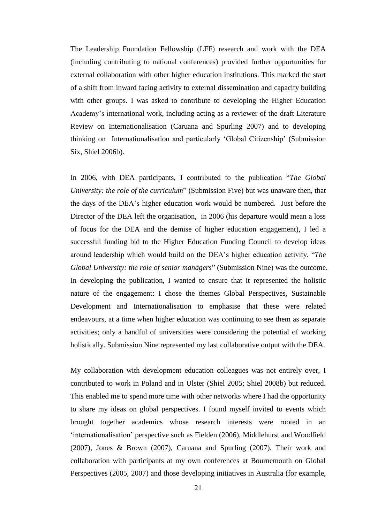The Leadership Foundation Fellowship (LFF) research and work with the DEA (including contributing to national conferences) provided further opportunities for external collaboration with other higher education institutions. This marked the start of a shift from inward facing activity to external dissemination and capacity building with other groups. I was asked to contribute to developing the Higher Education Academy's international work, including acting as a reviewer of the draft Literature Review on Internationalisation (Caruana and Spurling 2007) and to developing thinking on Internationalisation and particularly 'Global Citizenship' (Submission Six, Shiel 2006b).

In 2006, with DEA participants, I contributed to the publication "*The Global University: the role of the curriculum*" (Submission Five) but was unaware then, that the days of the DEA's higher education work would be numbered. Just before the Director of the DEA left the organisation, in 2006 (his departure would mean a loss of focus for the DEA and the demise of higher education engagement), I led a successful funding bid to the Higher Education Funding Council to develop ideas around leadership which would build on the DEA's higher education activity. "*The Global University: the role of senior managers*" (Submission Nine) was the outcome. In developing the publication, I wanted to ensure that it represented the holistic nature of the engagement: I chose the themes Global Perspectives, Sustainable Development and Internationalisation to emphasise that these were related endeavours, at a time when higher education was continuing to see them as separate activities; only a handful of universities were considering the potential of working holistically. Submission Nine represented my last collaborative output with the DEA.

My collaboration with development education colleagues was not entirely over, I contributed to work in Poland and in Ulster (Shiel 2005; Shiel 2008b) but reduced. This enabled me to spend more time with other networks where I had the opportunity to share my ideas on global perspectives. I found myself invited to events which brought together academics whose research interests were rooted in an 'internationalisation' perspective such as Fielden (2006), Middlehurst and Woodfield (2007), Jones & Brown (2007), Caruana and Spurling (2007). Their work and collaboration with participants at my own conferences at Bournemouth on Global Perspectives (2005, 2007) and those developing initiatives in Australia (for example,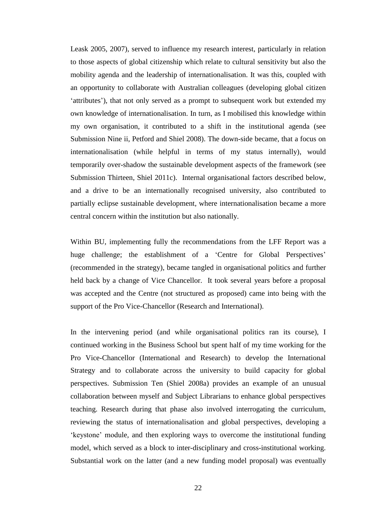Leask 2005, 2007), served to influence my research interest, particularly in relation to those aspects of global citizenship which relate to cultural sensitivity but also the mobility agenda and the leadership of internationalisation. It was this, coupled with an opportunity to collaborate with Australian colleagues (developing global citizen 'attributes'), that not only served as a prompt to subsequent work but extended my own knowledge of internationalisation. In turn, as I mobilised this knowledge within my own organisation, it contributed to a shift in the institutional agenda (see Submission Nine ii, Petford and Shiel 2008). The down-side became, that a focus on internationalisation (while helpful in terms of my status internally), would temporarily over-shadow the sustainable development aspects of the framework (see Submission Thirteen, Shiel 2011c). Internal organisational factors described below, and a drive to be an internationally recognised university, also contributed to partially eclipse sustainable development, where internationalisation became a more central concern within the institution but also nationally.

Within BU, implementing fully the recommendations from the LFF Report was a huge challenge; the establishment of a 'Centre for Global Perspectives' (recommended in the strategy), became tangled in organisational politics and further held back by a change of Vice Chancellor. It took several years before a proposal was accepted and the Centre (not structured as proposed) came into being with the support of the Pro Vice-Chancellor (Research and International).

In the intervening period (and while organisational politics ran its course), I continued working in the Business School but spent half of my time working for the Pro Vice-Chancellor (International and Research) to develop the International Strategy and to collaborate across the university to build capacity for global perspectives. Submission Ten (Shiel 2008a) provides an example of an unusual collaboration between myself and Subject Librarians to enhance global perspectives teaching. Research during that phase also involved interrogating the curriculum, reviewing the status of internationalisation and global perspectives, developing a 'keystone' module, and then exploring ways to overcome the institutional funding model, which served as a block to inter-disciplinary and cross-institutional working. Substantial work on the latter (and a new funding model proposal) was eventually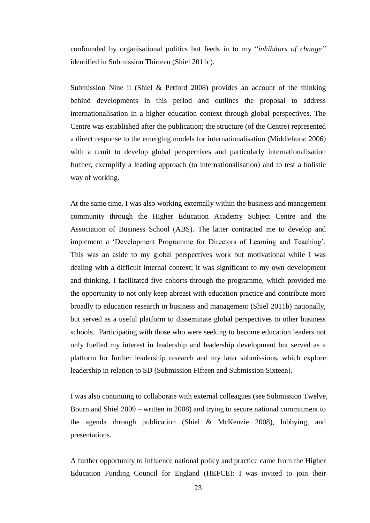confounded by organisational politics but feeds in to my "*inhibitors of change"*  identified in Submission Thirteen (Shiel 2011c).

Submission Nine ii (Shiel & Petford 2008) provides an account of the thinking behind developments in this period and outlines the proposal to address internationalisation in a higher education context through global perspectives. The Centre was established after the publication; the structure (of the Centre) represented a direct response to the emerging models for internationalisation (Middlehurst 2006) with a remit to develop global perspectives and particularly internationalisation further, exemplify a leading approach (to internationalisation) and to test a holistic way of working.

At the same time, I was also working externally within the business and management community through the Higher Education Academy Subject Centre and the Association of Business School (ABS). The latter contracted me to develop and implement a 'Development Programme for Directors of Learning and Teaching'. This was an aside to my global perspectives work but motivational while I was dealing with a difficult internal context; it was significant to my own development and thinking. I facilitated five cohorts through the programme, which provided me the opportunity to not only keep abreast with education practice and contribute more broadly to education research in business and management (Shiel 2011b) nationally, but served as a useful platform to disseminate global perspectives to other business schools. Participating with those who were seeking to become education leaders not only fuelled my interest in leadership and leadership development but served as a platform for further leadership research and my later submissions, which explore leadership in relation to SD (Submission Fifteen and Submission Sixteen).

I was also continuing to collaborate with external colleagues (see Submission Twelve, Bourn and Shiel 2009 – written in 2008) and trying to secure national commitment to the agenda through publication (Shiel & McKenzie 2008), lobbying, and presentations.

A further opportunity to influence national policy and practice came from the Higher Education Funding Council for England (HEFCE): I was invited to join their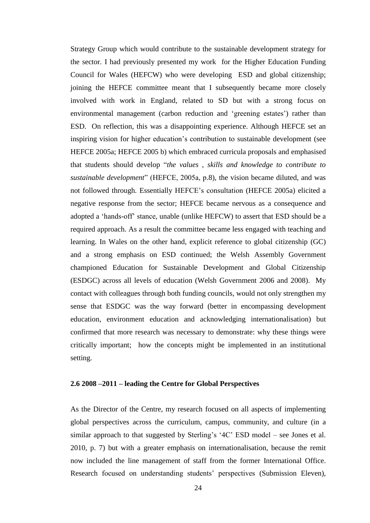Strategy Group which would contribute to the sustainable development strategy for the sector. I had previously presented my work for the Higher Education Funding Council for Wales (HEFCW) who were developing ESD and global citizenship; joining the HEFCE committee meant that I subsequently became more closely involved with work in England, related to SD but with a strong focus on environmental management (carbon reduction and 'greening estates') rather than ESD. On reflection, this was a disappointing experience. Although HEFCE set an inspiring vision for higher education's contribution to sustainable development (see HEFCE 2005a; HEFCE 2005 b) which embraced curricula proposals and emphasised that students should develop "*the values , skills and knowledge to contribute to sustainable development*" (HEFCE, 2005a, p.8), the vision became diluted, and was not followed through. Essentially HEFCE's consultation (HEFCE 2005a) elicited a negative response from the sector; HEFCE became nervous as a consequence and adopted a 'hands-off' stance, unable (unlike HEFCW) to assert that ESD should be a required approach. As a result the committee became less engaged with teaching and learning. In Wales on the other hand, explicit reference to global citizenship (GC) and a strong emphasis on ESD continued; the Welsh Assembly Government championed Education for Sustainable Development and Global Citizenship (ESDGC) across all levels of education (Welsh Government 2006 and 2008). My contact with colleagues through both funding councils, would not only strengthen my sense that ESDGC was the way forward (better in encompassing development education, environment education and acknowledging internationalisation) but confirmed that more research was necessary to demonstrate: why these things were critically important; how the concepts might be implemented in an institutional setting.

#### **2.6 2008 –2011 – leading the Centre for Global Perspectives**

As the Director of the Centre, my research focused on all aspects of implementing global perspectives across the curriculum, campus, community, and culture (in a similar approach to that suggested by Sterling's '4C' ESD model – see Jones et al. 2010, p. 7) but with a greater emphasis on internationalisation, because the remit now included the line management of staff from the former International Office. Research focused on understanding students' perspectives (Submission Eleven),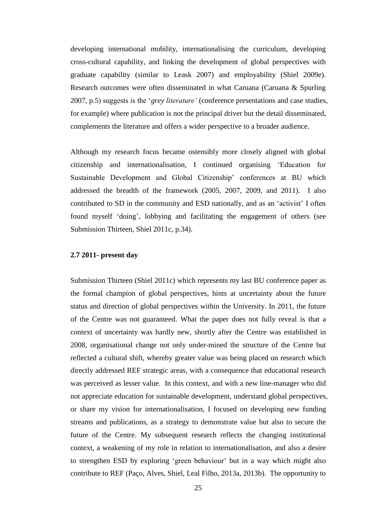developing international mobility, internationalising the curriculum, developing cross-cultural capability, and linking the development of global perspectives with graduate capability (similar to Leask 2007) and employability (Shiel 2009e). Research outcomes were often disseminated in what Caruana (Caruana & Spurling 2007, p.5) suggests is the '*grey literature'* (conference presentations and case studies, for example) where publication is not the principal driver but the detail disseminated, complements the literature and offers a wider perspective to a broader audience.

Although my research focus became ostensibly more closely aligned with global citizenship and internationalisation, I continued organising 'Education for Sustainable Development and Global Citizenship' conferences at BU which addressed the breadth of the framework (2005, 2007, 2009, and 2011). I also contributed to SD in the community and ESD nationally, and as an 'activist' I often found myself 'doing', lobbying and facilitating the engagement of others (see Submission Thirteen, Shiel 2011c, p.34).

#### **2.7 2011- present day**

Submission Thirteen (Shiel 2011c) which represents my last BU conference paper as the formal champion of global perspectives, hints at uncertainty about the future status and direction of global perspectives within the University. In 2011, the future of the Centre was not guaranteed. What the paper does not fully reveal is that a context of uncertainty was hardly new, shortly after the Centre was established in 2008, organisational change not only under-mined the structure of the Centre but reflected a cultural shift, whereby greater value was being placed on research which directly addressed REF strategic areas, with a consequence that educational research was perceived as lesser value. In this context, and with a new line-manager who did not appreciate education for sustainable development, understand global perspectives, or share my vision for internationalisation, I focused on developing new funding streams and publications, as a strategy to demonstrate value but also to secure the future of the Centre. My subsequent research reflects the changing institutional context, a weakening of my role in relation to internationalisation, and also a desire to strengthen ESD by exploring 'green behaviour' but in a way which might also contribute to REF (Paço, Alves, Shiel, Leal Filho, 2013a, 2013b). The opportunity to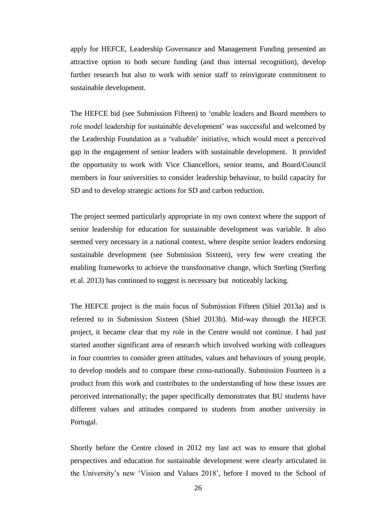apply for HEFCE, Leadership Governance and Management Funding presented an attractive option to both secure funding (and thus internal recognition), develop further research but also to work with senior staff to reinvigorate commitment to sustainable development.

The HEFCE bid (see Submission Fifteen) to 'enable leaders and Board members to role model leadership for sustainable development' was successful and welcomed by the Leadership Foundation as a 'valuable' initiative, which would meet a perceived gap in the engagement of senior leaders with sustainable development. It provided the opportunity to work with Vice Chancellors, senior teams, and Board/Council members in four universities to consider leadership behaviour, to build capacity for SD and to develop strategic actions for SD and carbon reduction.

The project seemed particularly appropriate in my own context where the support of senior leadership for education for sustainable development was variable. It also seemed very necessary in a national context, where despite senior leaders endorsing sustainable development (see Submission Sixteen), very few were creating the enabling frameworks to achieve the transformative change, which Sterling (Sterling et al. 2013) has continued to suggest is necessary but noticeably lacking.

The HEFCE project is the main focus of Submission Fifteen (Shiel 2013a) and is referred to in Submission Sixteen (Shiel 2013b). Mid-way through the HEFCE project, it became clear that my role in the Centre would not continue. I had just started another significant area of research which involved working with colleagues in four countries to consider green attitudes, values and behaviours of young people, to develop models and to compare these cross-nationally. Submission Fourteen is a product from this work and contributes to the understanding of how these issues are perceived internationally; the paper specifically demonstrates that BU students have different values and attitudes compared to students from another university in Portugal.

Shortly before the Centre closed in 2012 my last act was to ensure that global perspectives and education for sustainable development were clearly articulated in the University's new 'Vision and Values 2018', before I moved to the School of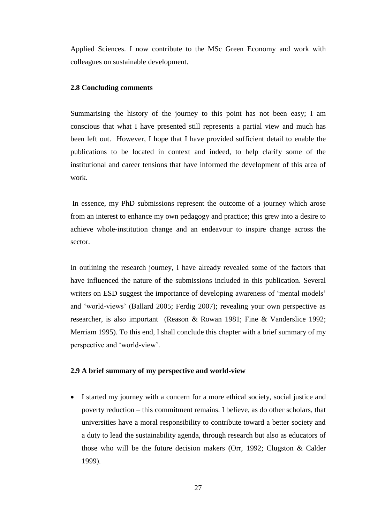Applied Sciences. I now contribute to the MSc Green Economy and work with colleagues on sustainable development.

#### **2.8 Concluding comments**

Summarising the history of the journey to this point has not been easy; I am conscious that what I have presented still represents a partial view and much has been left out. However, I hope that I have provided sufficient detail to enable the publications to be located in context and indeed, to help clarify some of the institutional and career tensions that have informed the development of this area of work.

In essence, my PhD submissions represent the outcome of a journey which arose from an interest to enhance my own pedagogy and practice; this grew into a desire to achieve whole-institution change and an endeavour to inspire change across the sector.

In outlining the research journey, I have already revealed some of the factors that have influenced the nature of the submissions included in this publication. Several writers on ESD suggest the importance of developing awareness of 'mental models' and 'world-views' (Ballard 2005; Ferdig 2007); revealing your own perspective as researcher, is also important (Reason & Rowan 1981; Fine & Vanderslice 1992; Merriam 1995). To this end, I shall conclude this chapter with a brief summary of my perspective and 'world-view'.

### **2.9 A brief summary of my perspective and world-view**

 I started my journey with a concern for a more ethical society, social justice and poverty reduction – this commitment remains. I believe, as do other scholars, that universities have a moral responsibility to contribute toward a better society and a duty to lead the sustainability agenda, through research but also as educators of those who will be the future decision makers (Orr, 1992; Clugston & Calder 1999).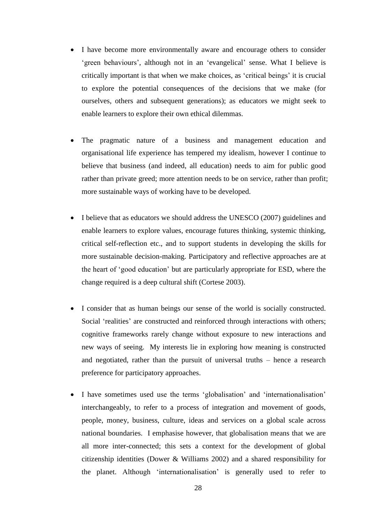- I have become more environmentally aware and encourage others to consider 'green behaviours', although not in an 'evangelical' sense. What I believe is critically important is that when we make choices, as 'critical beings' it is crucial to explore the potential consequences of the decisions that we make (for ourselves, others and subsequent generations); as educators we might seek to enable learners to explore their own ethical dilemmas.
- The pragmatic nature of a business and management education and organisational life experience has tempered my idealism, however I continue to believe that business (and indeed, all education) needs to aim for public good rather than private greed; more attention needs to be on service, rather than profit; more sustainable ways of working have to be developed.
- I believe that as educators we should address the UNESCO (2007) guidelines and enable learners to explore values, encourage futures thinking, systemic thinking, critical self-reflection etc., and to support students in developing the skills for more sustainable decision-making. Participatory and reflective approaches are at the heart of 'good education' but are particularly appropriate for ESD, where the change required is a deep cultural shift (Cortese 2003).
- I consider that as human beings our sense of the world is socially constructed. Social 'realities' are constructed and reinforced through interactions with others; cognitive frameworks rarely change without exposure to new interactions and new ways of seeing. My interests lie in exploring how meaning is constructed and negotiated, rather than the pursuit of universal truths – hence a research preference for participatory approaches.
- I have sometimes used use the terms 'globalisation' and 'internationalisation' interchangeably, to refer to a process of integration and movement of goods, people, money, business, culture, ideas and services on a global scale across national boundaries. I emphasise however, that globalisation means that we are all more inter-connected; this sets a context for the development of global citizenship identities (Dower & Williams 2002) and a shared responsibility for the planet. Although 'internationalisation' is generally used to refer to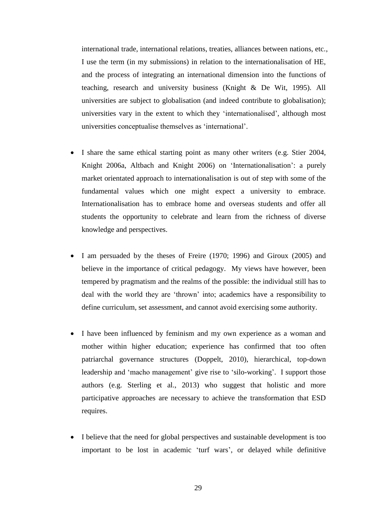international trade, international relations, treaties, alliances between nations, etc., I use the term (in my submissions) in relation to the internationalisation of HE, and the process of integrating an international dimension into the functions of teaching, research and university business (Knight & De Wit, 1995). All universities are subject to globalisation (and indeed contribute to globalisation); universities vary in the extent to which they 'internationalised', although most universities conceptualise themselves as 'international'.

- I share the same ethical starting point as many other writers (e.g. Stier 2004, Knight 2006a, Altbach and Knight 2006) on 'Internationalisation': a purely market orientated approach to internationalisation is out of step with some of the fundamental values which one might expect a university to embrace. Internationalisation has to embrace home and overseas students and offer all students the opportunity to celebrate and learn from the richness of diverse knowledge and perspectives.
- I am persuaded by the theses of Freire (1970; 1996) and Giroux (2005) and believe in the importance of critical pedagogy. My views have however, been tempered by pragmatism and the realms of the possible: the individual still has to deal with the world they are 'thrown' into; academics have a responsibility to define curriculum, set assessment, and cannot avoid exercising some authority.
- I have been influenced by feminism and my own experience as a woman and mother within higher education; experience has confirmed that too often patriarchal governance structures (Doppelt, 2010), hierarchical, top-down leadership and 'macho management' give rise to 'silo-working'. I support those authors (e.g. Sterling et al., 2013) who suggest that holistic and more participative approaches are necessary to achieve the transformation that ESD requires.
- I believe that the need for global perspectives and sustainable development is too important to be lost in academic 'turf wars', or delayed while definitive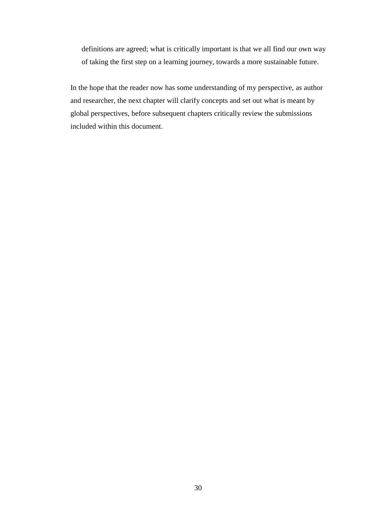definitions are agreed; what is critically important is that we all find our own way of taking the first step on a learning journey, towards a more sustainable future.

In the hope that the reader now has some understanding of my perspective, as author and researcher, the next chapter will clarify concepts and set out what is meant by global perspectives, before subsequent chapters critically review the submissions included within this document.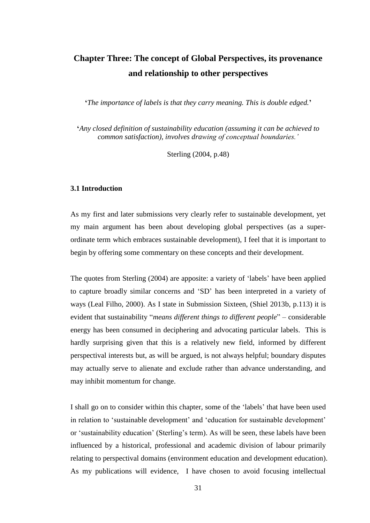# **Chapter Three: The concept of Global Perspectives, its provenance and relationship to other perspectives**

**'***The importance of labels is that they carry meaning. This is double edged.***'**

**'***Any closed definition of sustainability education (assuming it can be achieved to common satisfaction), involves drawing of conceptual boundaries.'*

Sterling (2004, p.48)

#### **3.1 Introduction**

As my first and later submissions very clearly refer to sustainable development, yet my main argument has been about developing global perspectives (as a superordinate term which embraces sustainable development), I feel that it is important to begin by offering some commentary on these concepts and their development.

The quotes from Sterling (2004) are apposite: a variety of 'labels' have been applied to capture broadly similar concerns and 'SD' has been interpreted in a variety of ways (Leal Filho, 2000). As I state in Submission Sixteen, (Shiel 2013b, p.113) it is evident that sustainability "*means different things to different people*" – considerable energy has been consumed in deciphering and advocating particular labels. This is hardly surprising given that this is a relatively new field, informed by different perspectival interests but, as will be argued, is not always helpful; boundary disputes may actually serve to alienate and exclude rather than advance understanding, and may inhibit momentum for change.

I shall go on to consider within this chapter, some of the 'labels' that have been used in relation to 'sustainable development' and 'education for sustainable development' or 'sustainability education' (Sterling's term). As will be seen, these labels have been influenced by a historical, professional and academic division of labour primarily relating to perspectival domains (environment education and development education). As my publications will evidence, I have chosen to avoid focusing intellectual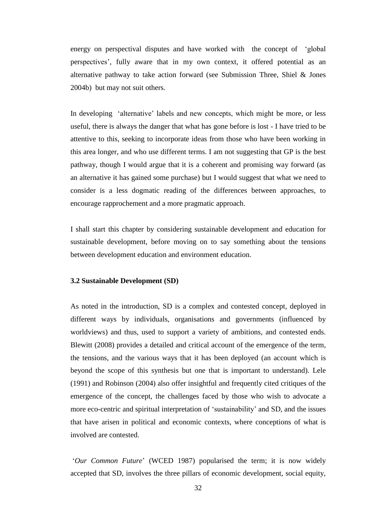energy on perspectival disputes and have worked with the concept of 'global perspectives', fully aware that in my own context, it offered potential as an alternative pathway to take action forward (see Submission Three, Shiel & Jones 2004b) but may not suit others.

In developing 'alternative' labels and new concepts, which might be more, or less useful, there is always the danger that what has gone before is lost - I have tried to be attentive to this, seeking to incorporate ideas from those who have been working in this area longer, and who use different terms. I am not suggesting that GP is the best pathway, though I would argue that it is a coherent and promising way forward (as an alternative it has gained some purchase) but I would suggest that what we need to consider is a less dogmatic reading of the differences between approaches, to encourage rapprochement and a more pragmatic approach.

I shall start this chapter by considering sustainable development and education for sustainable development, before moving on to say something about the tensions between development education and environment education.

#### **3.2 Sustainable Development (SD)**

As noted in the introduction, SD is a complex and contested concept, deployed in different ways by individuals, organisations and governments (influenced by worldviews) and thus, used to support a variety of ambitions, and contested ends. Blewitt (2008) provides a detailed and critical account of the emergence of the term, the tensions, and the various ways that it has been deployed (an account which is beyond the scope of this synthesis but one that is important to understand). Lele (1991) and Robinson (2004) also offer insightful and frequently cited critiques of the emergence of the concept, the challenges faced by those who wish to advocate a more eco-centric and spiritual interpretation of 'sustainability' and SD, and the issues that have arisen in political and economic contexts, where conceptions of what is involved are contested.

'*Our Common Future*' (WCED 1987) popularised the term; it is now widely accepted that SD, involves the three pillars of economic development, social equity,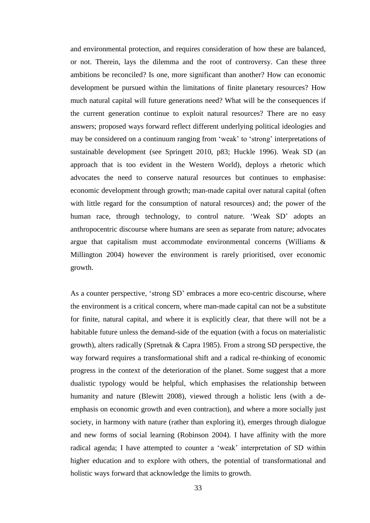and environmental protection, and requires consideration of how these are balanced, or not. Therein, lays the dilemma and the root of controversy. Can these three ambitions be reconciled? Is one, more significant than another? How can economic development be pursued within the limitations of finite planetary resources? How much natural capital will future generations need? What will be the consequences if the current generation continue to exploit natural resources? There are no easy answers; proposed ways forward reflect different underlying political ideologies and may be considered on a continuum ranging from 'weak' to 'strong' interpretations of sustainable development (see Springett 2010, p83; Huckle 1996). Weak SD (an approach that is too evident in the Western World), deploys a rhetoric which advocates the need to conserve natural resources but continues to emphasise: economic development through growth; man-made capital over natural capital (often with little regard for the consumption of natural resources) and; the power of the human race, through technology, to control nature. 'Weak SD' adopts an anthropocentric discourse where humans are seen as separate from nature; advocates argue that capitalism must accommodate environmental concerns (Williams & Millington 2004) however the environment is rarely prioritised, over economic growth.

As a counter perspective, 'strong SD' embraces a more eco-centric discourse, where the environment is a critical concern, where man-made capital can not be a substitute for finite, natural capital, and where it is explicitly clear, that there will not be a habitable future unless the demand-side of the equation (with a focus on materialistic growth), alters radically (Spretnak & Capra 1985). From a strong SD perspective, the way forward requires a transformational shift and a radical re-thinking of economic progress in the context of the deterioration of the planet. Some suggest that a more dualistic typology would be helpful, which emphasises the relationship between humanity and nature (Blewitt 2008), viewed through a holistic lens (with a deemphasis on economic growth and even contraction), and where a more socially just society, in harmony with nature (rather than exploring it), emerges through dialogue and new forms of social learning (Robinson 2004). I have affinity with the more radical agenda; I have attempted to counter a 'weak' interpretation of SD within higher education and to explore with others, the potential of transformational and holistic ways forward that acknowledge the limits to growth.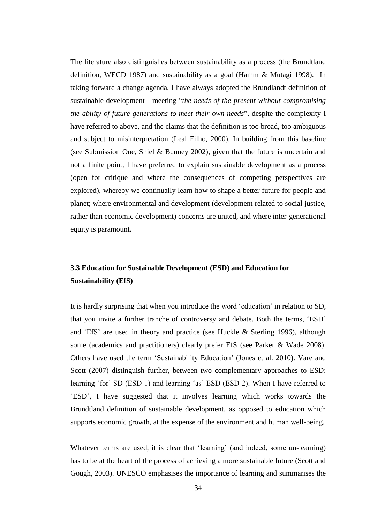The literature also distinguishes between sustainability as a process (the Brundtland definition, WECD 1987) and sustainability as a goal (Hamm & Mutagi 1998). In taking forward a change agenda, I have always adopted the Brundlandt definition of sustainable development - meeting "*the needs of the present without compromising the ability of future generations to meet their own needs*", despite the complexity I have referred to above, and the claims that the definition is too broad, too ambiguous and subject to misinterpretation (Leal Filho, 2000). In building from this baseline (see Submission One, Shiel & Bunney 2002), given that the future is uncertain and not a finite point, I have preferred to explain sustainable development as a process (open for critique and where the consequences of competing perspectives are explored), whereby we continually learn how to shape a better future for people and planet; where environmental and development (development related to social justice, rather than economic development) concerns are united, and where inter-generational equity is paramount.

## **3.3 Education for Sustainable Development (ESD) and Education for Sustainability (EfS)**

It is hardly surprising that when you introduce the word 'education' in relation to SD, that you invite a further tranche of controversy and debate. Both the terms, 'ESD' and 'EfS' are used in theory and practice (see Huckle & Sterling 1996), although some (academics and practitioners) clearly prefer EfS (see Parker & Wade 2008). Others have used the term 'Sustainability Education' (Jones et al. 2010). Vare and Scott (2007) distinguish further, between two complementary approaches to ESD: learning 'for' SD (ESD 1) and learning 'as' ESD (ESD 2). When I have referred to 'ESD', I have suggested that it involves learning which works towards the Brundtland definition of sustainable development, as opposed to education which supports economic growth, at the expense of the environment and human well-being.

Whatever terms are used, it is clear that 'learning' (and indeed, some un-learning) has to be at the heart of the process of achieving a more sustainable future (Scott and Gough, 2003). UNESCO emphasises the importance of learning and summarises the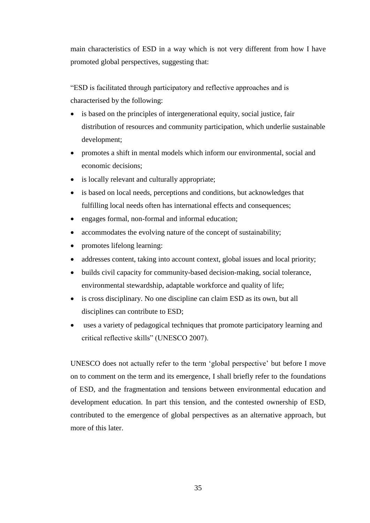main characteristics of ESD in a way which is not very different from how I have promoted global perspectives, suggesting that:

"ESD is facilitated through participatory and reflective approaches and is characterised by the following:

- is based on the principles of intergenerational equity, social justice, fair distribution of resources and community participation, which underlie sustainable development;
- promotes a shift in mental models which inform our environmental, social and economic decisions;
- is locally relevant and culturally appropriate;
- is based on local needs, perceptions and conditions, but acknowledges that fulfilling local needs often has international effects and consequences;
- engages formal, non-formal and informal education;
- accommodates the evolving nature of the concept of sustainability;
- promotes lifelong learning:
- addresses content, taking into account context, global issues and local priority;
- builds civil capacity for community-based decision-making, social tolerance, environmental stewardship, adaptable workforce and quality of life;
- is cross disciplinary. No one discipline can claim ESD as its own, but all disciplines can contribute to ESD;
- uses a variety of pedagogical techniques that promote participatory learning and critical reflective skills" (UNESCO 2007).

UNESCO does not actually refer to the term 'global perspective' but before I move on to comment on the term and its emergence, I shall briefly refer to the foundations of ESD, and the fragmentation and tensions between environmental education and development education. In part this tension, and the contested ownership of ESD, contributed to the emergence of global perspectives as an alternative approach, but more of this later.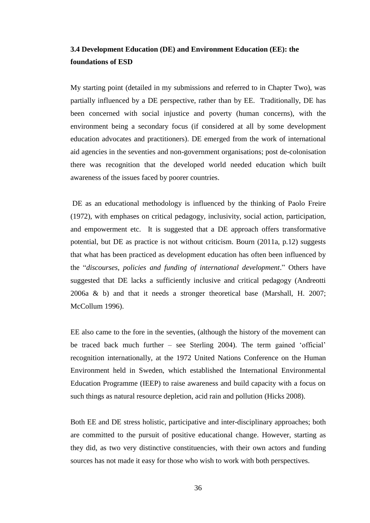## **3.4 Development Education (DE) and Environment Education (EE): the foundations of ESD**

My starting point (detailed in my submissions and referred to in Chapter Two), was partially influenced by a DE perspective, rather than by EE. Traditionally, DE has been concerned with social injustice and poverty (human concerns), with the environment being a secondary focus (if considered at all by some development education advocates and practitioners). DE emerged from the work of international aid agencies in the seventies and non-government organisations; post de-colonisation there was recognition that the developed world needed education which built awareness of the issues faced by poorer countries.

DE as an educational methodology is influenced by the thinking of Paolo Freire (1972), with emphases on critical pedagogy, inclusivity, social action, participation, and empowerment etc. It is suggested that a DE approach offers transformative potential, but DE as practice is not without criticism. Bourn (2011a, p.12) suggests that what has been practiced as development education has often been influenced by the "*discourses, policies and funding of international development*." Others have suggested that DE lacks a sufficiently inclusive and critical pedagogy (Andreotti 2006a & b) and that it needs a stronger theoretical base (Marshall, H. 2007; McCollum 1996).

EE also came to the fore in the seventies, (although the history of the movement can be traced back much further – see Sterling 2004). The term gained 'official' recognition internationally, at the 1972 United Nations Conference on the Human Environment held in Sweden, which established the International Environmental Education Programme (IEEP) to raise awareness and build capacity with a focus on such things as natural resource depletion, acid rain and pollution (Hicks 2008).

Both EE and DE stress holistic, participative and inter-disciplinary approaches; both are committed to the pursuit of positive educational change. However, starting as they did, as two very distinctive constituencies, with their own actors and funding sources has not made it easy for those who wish to work with both perspectives.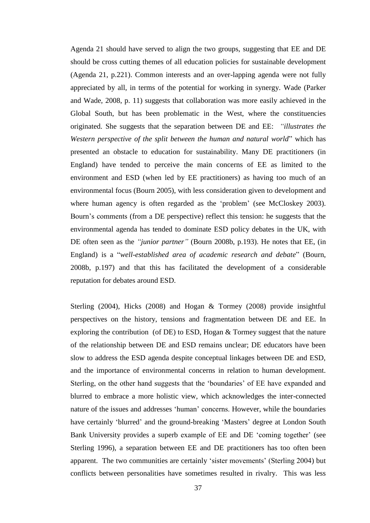Agenda 21 should have served to align the two groups, suggesting that EE and DE should be cross cutting themes of all education policies for sustainable development (Agenda 21, p.221). Common interests and an over-lapping agenda were not fully appreciated by all, in terms of the potential for working in synergy. Wade (Parker and Wade, 2008, p. 11) suggests that collaboration was more easily achieved in the Global South, but has been problematic in the West, where the constituencies originated. She suggests that the separation between DE and EE: *"illustrates the Western perspective of the split between the human and natural world*" which has presented an obstacle to education for sustainability. Many DE practitioners (in England) have tended to perceive the main concerns of EE as limited to the environment and ESD (when led by EE practitioners) as having too much of an environmental focus (Bourn 2005), with less consideration given to development and where human agency is often regarded as the 'problem' (see McCloskey 2003). Bourn's comments (from a DE perspective) reflect this tension: he suggests that the environmental agenda has tended to dominate ESD policy debates in the UK, with DE often seen as the *"junior partner"* (Bourn 2008b, p.193). He notes that EE, (in England) is a "*well-established area of academic research and debate*" (Bourn, 2008b, p.197) and that this has facilitated the development of a considerable reputation for debates around ESD.

Sterling (2004), Hicks (2008) and Hogan & Tormey (2008) provide insightful perspectives on the history, tensions and fragmentation between DE and EE. In exploring the contribution (of DE) to ESD, Hogan & Tormey suggest that the nature of the relationship between DE and ESD remains unclear; DE educators have been slow to address the ESD agenda despite conceptual linkages between DE and ESD, and the importance of environmental concerns in relation to human development. Sterling, on the other hand suggests that the 'boundaries' of EE have expanded and blurred to embrace a more holistic view, which acknowledges the inter-connected nature of the issues and addresses 'human' concerns. However, while the boundaries have certainly 'blurred' and the ground-breaking 'Masters' degree at London South Bank University provides a superb example of EE and DE 'coming together' (see Sterling 1996), a separation between EE and DE practitioners has too often been apparent. The two communities are certainly 'sister movements' (Sterling 2004) but conflicts between personalities have sometimes resulted in rivalry. This was less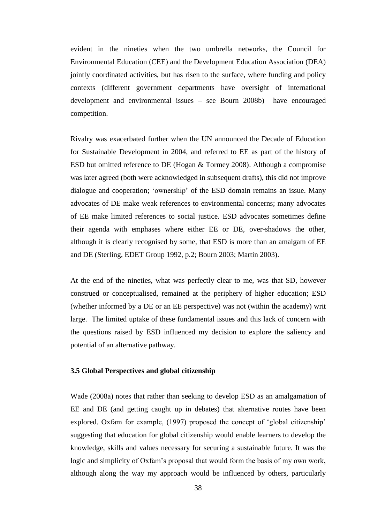evident in the nineties when the two umbrella networks, the Council for Environmental Education (CEE) and the Development Education Association (DEA) jointly coordinated activities, but has risen to the surface, where funding and policy contexts (different government departments have oversight of international development and environmental issues – see Bourn 2008b) have encouraged competition.

Rivalry was exacerbated further when the UN announced the Decade of Education for Sustainable Development in 2004, and referred to EE as part of the history of ESD but omitted reference to DE (Hogan & Tormey 2008). Although a compromise was later agreed (both were acknowledged in subsequent drafts), this did not improve dialogue and cooperation; 'ownership' of the ESD domain remains an issue. Many advocates of DE make weak references to environmental concerns; many advocates of EE make limited references to social justice. ESD advocates sometimes define their agenda with emphases where either EE or DE, over-shadows the other, although it is clearly recognised by some, that ESD is more than an amalgam of EE and DE (Sterling, EDET Group 1992, p.2; Bourn 2003; Martin 2003).

At the end of the nineties, what was perfectly clear to me, was that SD, however construed or conceptualised, remained at the periphery of higher education; ESD (whether informed by a DE or an EE perspective) was not (within the academy) writ large. The limited uptake of these fundamental issues and this lack of concern with the questions raised by ESD influenced my decision to explore the saliency and potential of an alternative pathway.

### **3.5 Global Perspectives and global citizenship**

Wade (2008a) notes that rather than seeking to develop ESD as an amalgamation of EE and DE (and getting caught up in debates) that alternative routes have been explored. Oxfam for example, (1997) proposed the concept of 'global citizenship' suggesting that education for global citizenship would enable learners to develop the knowledge, skills and values necessary for securing a sustainable future. It was the logic and simplicity of Oxfam's proposal that would form the basis of my own work, although along the way my approach would be influenced by others, particularly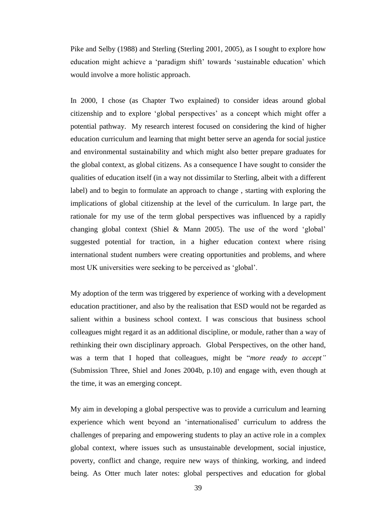Pike and Selby (1988) and Sterling (Sterling 2001, 2005), as I sought to explore how education might achieve a 'paradigm shift' towards 'sustainable education' which would involve a more holistic approach.

In 2000, I chose (as Chapter Two explained) to consider ideas around global citizenship and to explore 'global perspectives' as a concept which might offer a potential pathway. My research interest focused on considering the kind of higher education curriculum and learning that might better serve an agenda for social justice and environmental sustainability and which might also better prepare graduates for the global context, as global citizens. As a consequence I have sought to consider the qualities of education itself (in a way not dissimilar to Sterling, albeit with a different label) and to begin to formulate an approach to change , starting with exploring the implications of global citizenship at the level of the curriculum. In large part, the rationale for my use of the term global perspectives was influenced by a rapidly changing global context (Shiel & Mann 2005). The use of the word 'global' suggested potential for traction, in a higher education context where rising international student numbers were creating opportunities and problems, and where most UK universities were seeking to be perceived as 'global'.

My adoption of the term was triggered by experience of working with a development education practitioner, and also by the realisation that ESD would not be regarded as salient within a business school context. I was conscious that business school colleagues might regard it as an additional discipline, or module, rather than a way of rethinking their own disciplinary approach. Global Perspectives, on the other hand, was a term that I hoped that colleagues, might be "*more ready to accept"* (Submission Three, Shiel and Jones 2004b, p.10) and engage with, even though at the time, it was an emerging concept.

My aim in developing a global perspective was to provide a curriculum and learning experience which went beyond an 'internationalised' curriculum to address the challenges of preparing and empowering students to play an active role in a complex global context, where issues such as unsustainable development, social injustice, poverty, conflict and change, require new ways of thinking, working, and indeed being. As Otter much later notes: global perspectives and education for global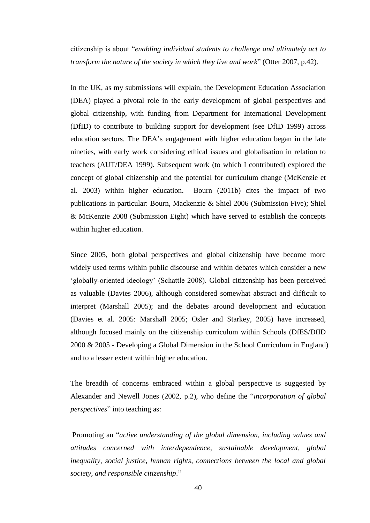citizenship is about "*enabling individual students to challenge and ultimately act to transform the nature of the society in which they live and work*" (Otter 2007, p.42).

In the UK, as my submissions will explain, the Development Education Association (DEA) played a pivotal role in the early development of global perspectives and global citizenship, with funding from Department for International Development (DfID) to contribute to building support for development (see DfID 1999) across education sectors. The DEA's engagement with higher education began in the late nineties, with early work considering ethical issues and globalisation in relation to teachers (AUT/DEA 1999). Subsequent work (to which I contributed) explored the concept of global citizenship and the potential for curriculum change (McKenzie et al. 2003) within higher education. Bourn (2011b) cites the impact of two publications in particular: Bourn, Mackenzie & Shiel 2006 (Submission Five); Shiel & McKenzie 2008 (Submission Eight) which have served to establish the concepts within higher education.

Since 2005, both global perspectives and global citizenship have become more widely used terms within public discourse and within debates which consider a new 'globally-oriented ideology' (Schattle 2008). Global citizenship has been perceived as valuable (Davies 2006), although considered somewhat abstract and difficult to interpret (Marshall 2005); and the debates around development and education (Davies et al. 2005: Marshall 2005; Osler and Starkey, 2005) have increased, although focused mainly on the citizenship curriculum within Schools (DfES/DfID 2000 & 2005 - Developing a Global Dimension in the School Curriculum in England) and to a lesser extent within higher education.

The breadth of concerns embraced within a global perspective is suggested by Alexander and Newell Jones (2002, p.2), who define the "*incorporation of global perspectives*" into teaching as:

Promoting an "*active understanding of the global dimension, including values and attitudes concerned with interdependence, sustainable development, global inequality, social justice, human rights, connections between the local and global society, and responsible citizenship*."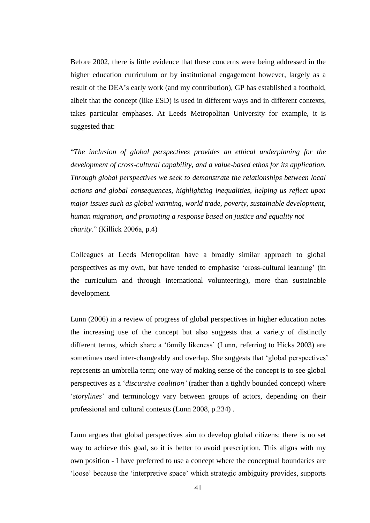Before 2002, there is little evidence that these concerns were being addressed in the higher education curriculum or by institutional engagement however, largely as a result of the DEA's early work (and my contribution), GP has established a foothold, albeit that the concept (like ESD) is used in different ways and in different contexts, takes particular emphases. At Leeds Metropolitan University for example, it is suggested that:

"*The inclusion of global perspectives provides an ethical underpinning for the development of cross-cultural capability, and a value-based ethos for its application. Through global perspectives we seek to demonstrate the relationships between local actions and global consequences, highlighting inequalities, helping us reflect upon major issues such as global warming, world trade, poverty, sustainable development, human migration, and promoting a response based on justice and equality not charity.*" (Killick 2006a, p.4)

Colleagues at Leeds Metropolitan have a broadly similar approach to global perspectives as my own, but have tended to emphasise 'cross-cultural learning' (in the curriculum and through international volunteering), more than sustainable development.

Lunn (2006) in a review of progress of global perspectives in higher education notes the increasing use of the concept but also suggests that a variety of distinctly different terms, which share a 'family likeness' (Lunn, referring to Hicks 2003) are sometimes used inter-changeably and overlap. She suggests that 'global perspectives' represents an umbrella term; one way of making sense of the concept is to see global perspectives as a '*discursive coalition'* (rather than a tightly bounded concept) where '*storylines*' and terminology vary between groups of actors, depending on their professional and cultural contexts (Lunn 2008, p.234) .

Lunn argues that global perspectives aim to develop global citizens; there is no set way to achieve this goal, so it is better to avoid prescription. This aligns with my own position - I have preferred to use a concept where the conceptual boundaries are 'loose' because the 'interpretive space' which strategic ambiguity provides, supports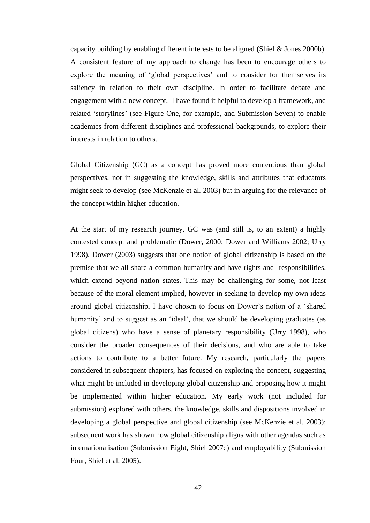capacity building by enabling different interests to be aligned (Shiel & Jones 2000b). A consistent feature of my approach to change has been to encourage others to explore the meaning of 'global perspectives' and to consider for themselves its saliency in relation to their own discipline. In order to facilitate debate and engagement with a new concept, I have found it helpful to develop a framework, and related 'storylines' (see Figure One, for example, and Submission Seven) to enable academics from different disciplines and professional backgrounds, to explore their interests in relation to others.

Global Citizenship (GC) as a concept has proved more contentious than global perspectives, not in suggesting the knowledge, skills and attributes that educators might seek to develop (see McKenzie et al. 2003) but in arguing for the relevance of the concept within higher education.

At the start of my research journey, GC was (and still is, to an extent) a highly contested concept and problematic (Dower, 2000; Dower and Williams 2002; Urry 1998). Dower (2003) suggests that one notion of global citizenship is based on the premise that we all share a common humanity and have rights and responsibilities, which extend beyond nation states. This may be challenging for some, not least because of the moral element implied, however in seeking to develop my own ideas around global citizenship, I have chosen to focus on Dower's notion of a 'shared humanity' and to suggest as an 'ideal', that we should be developing graduates (as global citizens) who have a sense of planetary responsibility (Urry 1998), who consider the broader consequences of their decisions, and who are able to take actions to contribute to a better future. My research, particularly the papers considered in subsequent chapters, has focused on exploring the concept, suggesting what might be included in developing global citizenship and proposing how it might be implemented within higher education. My early work (not included for submission) explored with others, the knowledge, skills and dispositions involved in developing a global perspective and global citizenship (see McKenzie et al. 2003); subsequent work has shown how global citizenship aligns with other agendas such as internationalisation (Submission Eight, Shiel 2007c) and employability (Submission Four, Shiel et al. 2005).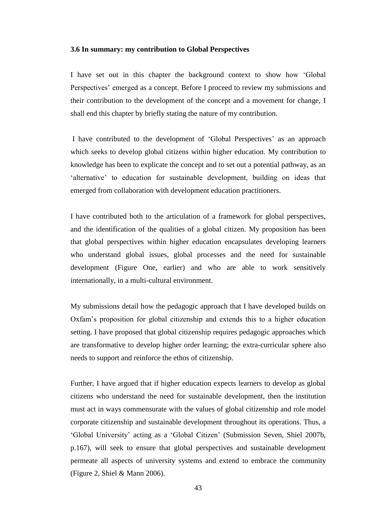#### **3.6 In summary: my contribution to Global Perspectives**

I have set out in this chapter the background context to show how 'Global Perspectives' emerged as a concept. Before I proceed to review my submissions and their contribution to the development of the concept and a movement for change, I shall end this chapter by briefly stating the nature of my contribution.

I have contributed to the development of 'Global Perspectives' as an approach which seeks to develop global citizens within higher education. My contribution to knowledge has been to explicate the concept and to set out a potential pathway, as an 'alternative' to education for sustainable development, building on ideas that emerged from collaboration with development education practitioners.

I have contributed both to the articulation of a framework for global perspectives, and the identification of the qualities of a global citizen. My proposition has been that global perspectives within higher education encapsulates developing learners who understand global issues, global processes and the need for sustainable development (Figure One, earlier) and who are able to work sensitively internationally, in a multi-cultural environment.

My submissions detail how the pedagogic approach that I have developed builds on Oxfam's proposition for global citizenship and extends this to a higher education setting. I have proposed that global citizenship requires pedagogic approaches which are transformative to develop higher order learning; the extra-curricular sphere also needs to support and reinforce the ethos of citizenship.

Further, I have argued that if higher education expects learners to develop as global citizens who understand the need for sustainable development, then the institution must act in ways commensurate with the values of global citizenship and role model corporate citizenship and sustainable development throughout its operations. Thus, a 'Global University' acting as a 'Global Citizen' (Submission Seven, Shiel 2007b, p.167), will seek to ensure that global perspectives and sustainable development permeate all aspects of university systems and extend to embrace the community (Figure 2, Shiel & Mann 2006).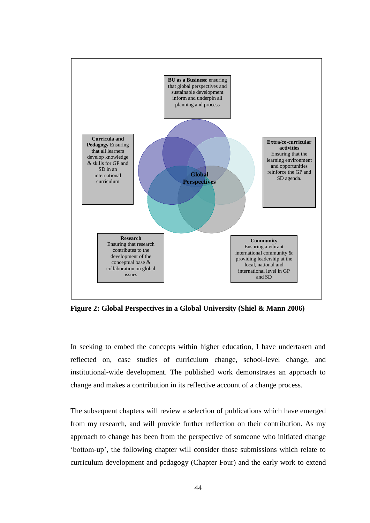

**Figure 2: Global Perspectives in a Global University (Shiel & Mann 2006)**

In seeking to embed the concepts within higher education, I have undertaken and reflected on, case studies of curriculum change, school-level change, and institutional-wide development. The published work demonstrates an approach to change and makes a contribution in its reflective account of a change process.

The subsequent chapters will review a selection of publications which have emerged from my research, and will provide further reflection on their contribution. As my approach to change has been from the perspective of someone who initiated change 'bottom-up', the following chapter will consider those submissions which relate to curriculum development and pedagogy (Chapter Four) and the early work to extend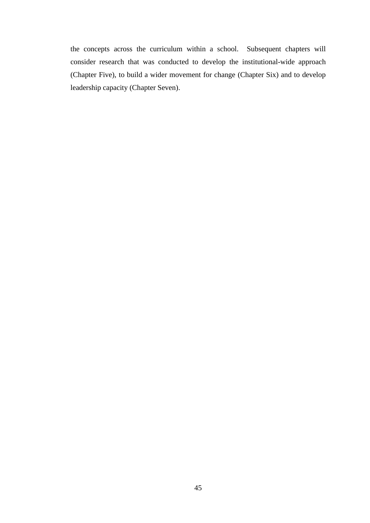the concepts across the curriculum within a school. Subsequent chapters will consider research that was conducted to develop the institutional-wide approach (Chapter Five), to build a wider movement for change (Chapter Six) and to develop leadership capacity (Chapter Seven).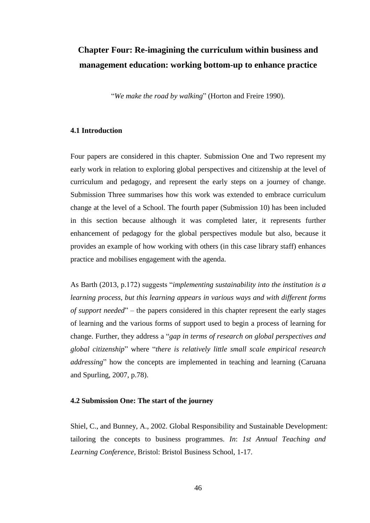# **Chapter Four: Re-imagining the curriculum within business and management education: working bottom-up to enhance practice**

"*We make the road by walking*" (Horton and Freire 1990).

#### **4.1 Introduction**

Four papers are considered in this chapter. Submission One and Two represent my early work in relation to exploring global perspectives and citizenship at the level of curriculum and pedagogy, and represent the early steps on a journey of change. Submission Three summarises how this work was extended to embrace curriculum change at the level of a School. The fourth paper (Submission 10) has been included in this section because although it was completed later, it represents further enhancement of pedagogy for the global perspectives module but also, because it provides an example of how working with others (in this case library staff) enhances practice and mobilises engagement with the agenda.

As Barth (2013, p.172) suggests "*implementing sustainability into the institution is a learning process, but this learning appears in various ways and with different forms of support needed*" – the papers considered in this chapter represent the early stages of learning and the various forms of support used to begin a process of learning for change. Further, they address a "*gap in terms of research on global perspectives and global citizenship*" where "*there is relatively little small scale empirical research addressing*" how the concepts are implemented in teaching and learning (Caruana and Spurling, 2007, p.78).

#### **4.2 Submission One: The start of the journey**

Shiel, C., and Bunney, A., 2002. Global Responsibility and Sustainable Development: tailoring the concepts to business programmes. *In*: *1st Annual Teaching and Learning Conference*, Bristol: Bristol Business School, 1-17.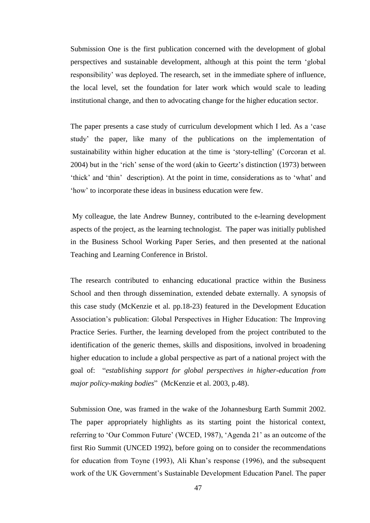Submission One is the first publication concerned with the development of global perspectives and sustainable development, although at this point the term 'global responsibility' was deployed. The research, set in the immediate sphere of influence, the local level, set the foundation for later work which would scale to leading institutional change, and then to advocating change for the higher education sector.

The paper presents a case study of curriculum development which I led. As a 'case study' the paper, like many of the publications on the implementation of sustainability within higher education at the time is 'story-telling' (Corcoran et al. 2004) but in the 'rich' sense of the word (akin to Geertz's distinction (1973) between 'thick' and 'thin' description). At the point in time, considerations as to 'what' and 'how' to incorporate these ideas in business education were few.

My colleague, the late Andrew Bunney, contributed to the e-learning development aspects of the project, as the learning technologist. The paper was initially published in the Business School Working Paper Series, and then presented at the national Teaching and Learning Conference in Bristol.

The research contributed to enhancing educational practice within the Business School and then through dissemination, extended debate externally. A synopsis of this case study (McKenzie et al. pp.18-23) featured in the Development Education Association's publication: Global Perspectives in Higher Education: The Improving Practice Series. Further, the learning developed from the project contributed to the identification of the generic themes, skills and dispositions, involved in broadening higher education to include a global perspective as part of a national project with the goal of: "*establishing support for global perspectives in higher-education from major policy-making bodies*" (McKenzie et al. 2003, p.48).

Submission One, was framed in the wake of the Johannesburg Earth Summit 2002. The paper appropriately highlights as its starting point the historical context, referring to 'Our Common Future' (WCED, 1987), 'Agenda 21' as an outcome of the first Rio Summit (UNCED 1992), before going on to consider the recommendations for education from Toyne (1993), Ali Khan's response (1996), and the subsequent work of the UK Government's Sustainable Development Education Panel. The paper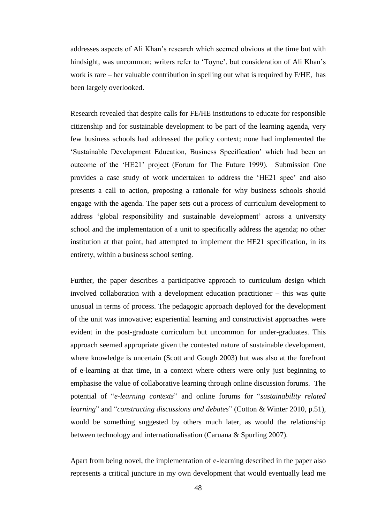addresses aspects of Ali Khan's research which seemed obvious at the time but with hindsight, was uncommon; writers refer to 'Toyne', but consideration of Ali Khan's work is rare – her valuable contribution in spelling out what is required by F/HE, has been largely overlooked.

Research revealed that despite calls for FE/HE institutions to educate for responsible citizenship and for sustainable development to be part of the learning agenda, very few business schools had addressed the policy context; none had implemented the 'Sustainable Development Education, Business Specification' which had been an outcome of the 'HE21' project (Forum for The Future 1999). Submission One provides a case study of work undertaken to address the 'HE21 spec' and also presents a call to action, proposing a rationale for why business schools should engage with the agenda. The paper sets out a process of curriculum development to address 'global responsibility and sustainable development' across a university school and the implementation of a unit to specifically address the agenda; no other institution at that point, had attempted to implement the HE21 specification, in its entirety, within a business school setting.

Further, the paper describes a participative approach to curriculum design which involved collaboration with a development education practitioner – this was quite unusual in terms of process. The pedagogic approach deployed for the development of the unit was innovative; experiential learning and constructivist approaches were evident in the post-graduate curriculum but uncommon for under-graduates. This approach seemed appropriate given the contested nature of sustainable development, where knowledge is uncertain (Scott and Gough 2003) but was also at the forefront of e-learning at that time, in a context where others were only just beginning to emphasise the value of collaborative learning through online discussion forums. The potential of "*e-learning contexts*" and online forums for "*sustainability related learning*" and "*constructing discussions and debates*" (Cotton & Winter 2010, p.51), would be something suggested by others much later, as would the relationship between technology and internationalisation (Caruana & Spurling 2007).

Apart from being novel, the implementation of e-learning described in the paper also represents a critical juncture in my own development that would eventually lead me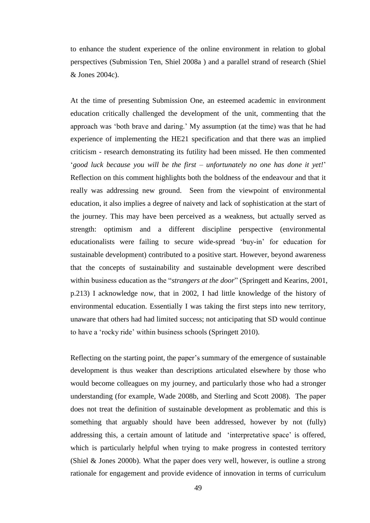to enhance the student experience of the online environment in relation to global perspectives (Submission Ten, Shiel 2008a ) and a parallel strand of research (Shiel & Jones 2004c).

At the time of presenting Submission One, an esteemed academic in environment education critically challenged the development of the unit, commenting that the approach was 'both brave and daring.' My assumption (at the time) was that he had experience of implementing the HE21 specification and that there was an implied criticism - research demonstrating its futility had been missed. He then commented '*good luck because you will be the first – unfortunately no one has done it yet!*' Reflection on this comment highlights both the boldness of the endeavour and that it really was addressing new ground. Seen from the viewpoint of environmental education, it also implies a degree of naivety and lack of sophistication at the start of the journey. This may have been perceived as a weakness, but actually served as strength: optimism and a different discipline perspective (environmental educationalists were failing to secure wide-spread 'buy-in' for education for sustainable development) contributed to a positive start. However, beyond awareness that the concepts of sustainability and sustainable development were described within business education as the "*strangers at the door*" (Springett and Kearins, 2001, p.213) I acknowledge now, that in 2002, I had little knowledge of the history of environmental education. Essentially I was taking the first steps into new territory, unaware that others had had limited success; not anticipating that SD would continue to have a 'rocky ride' within business schools (Springett 2010).

Reflecting on the starting point, the paper's summary of the emergence of sustainable development is thus weaker than descriptions articulated elsewhere by those who would become colleagues on my journey, and particularly those who had a stronger understanding (for example, Wade 2008b, and Sterling and Scott 2008). The paper does not treat the definition of sustainable development as problematic and this is something that arguably should have been addressed, however by not (fully) addressing this, a certain amount of latitude and 'interpretative space' is offered, which is particularly helpful when trying to make progress in contested territory (Shiel & Jones 2000b). What the paper does very well, however, is outline a strong rationale for engagement and provide evidence of innovation in terms of curriculum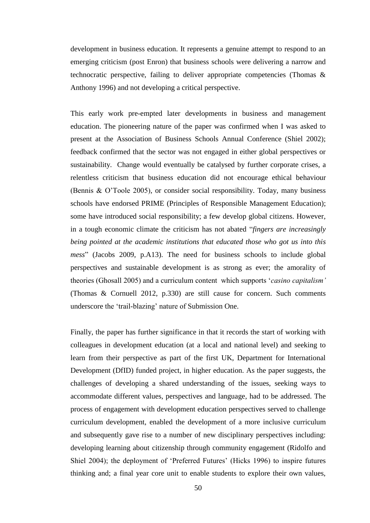development in business education. It represents a genuine attempt to respond to an emerging criticism (post Enron) that business schools were delivering a narrow and technocratic perspective, failing to deliver appropriate competencies (Thomas & Anthony 1996) and not developing a critical perspective.

This early work pre-empted later developments in business and management education. The pioneering nature of the paper was confirmed when I was asked to present at the Association of Business Schools Annual Conference (Shiel 2002); feedback confirmed that the sector was not engaged in either global perspectives or sustainability. Change would eventually be catalysed by further corporate crises, a relentless criticism that business education did not encourage ethical behaviour (Bennis & O'Toole 2005), or consider social responsibility. Today, many business schools have endorsed PRIME (Principles of Responsible Management Education); some have introduced social responsibility; a few develop global citizens. However, in a tough economic climate the criticism has not abated "*fingers are increasingly being pointed at the academic institutions that educated those who got us into this mess*" (Jacobs 2009, p.A13). The need for business schools to include global perspectives and sustainable development is as strong as ever; the amorality of theories (Ghosall 2005) and a curriculum content which supports '*casino capitalism'* (Thomas & Cornuell 2012, p.330) are still cause for concern. Such comments underscore the 'trail-blazing' nature of Submission One.

Finally, the paper has further significance in that it records the start of working with colleagues in development education (at a local and national level) and seeking to learn from their perspective as part of the first UK, Department for International Development (DfID) funded project, in higher education. As the paper suggests, the challenges of developing a shared understanding of the issues, seeking ways to accommodate different values, perspectives and language, had to be addressed. The process of engagement with development education perspectives served to challenge curriculum development, enabled the development of a more inclusive curriculum and subsequently gave rise to a number of new disciplinary perspectives including: developing learning about citizenship through community engagement (Ridolfo and Shiel 2004); the deployment of 'Preferred Futures' (Hicks 1996) to inspire futures thinking and; a final year core unit to enable students to explore their own values,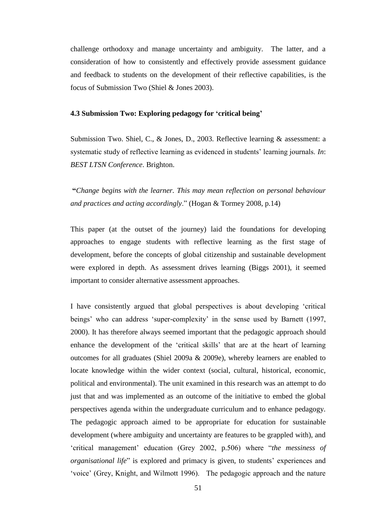challenge orthodoxy and manage uncertainty and ambiguity. The latter, and a consideration of how to consistently and effectively provide assessment guidance and feedback to students on the development of their reflective capabilities, is the focus of Submission Two (Shiel & Jones 2003).

#### **4.3 Submission Two: Exploring pedagogy for 'critical being'**

Submission Two. Shiel, C., & Jones, D., 2003. Reflective learning & assessment: a systematic study of reflective learning as evidenced in students' learning journals. *In*: *BEST LTSN Conference*. Brighton.

**"***Change begins with the learner. This may mean reflection on personal behaviour and practices and acting accordingly*." (Hogan & Tormey 2008, p.14)

This paper (at the outset of the journey) laid the foundations for developing approaches to engage students with reflective learning as the first stage of development, before the concepts of global citizenship and sustainable development were explored in depth. As assessment drives learning (Biggs 2001), it seemed important to consider alternative assessment approaches.

I have consistently argued that global perspectives is about developing 'critical beings' who can address 'super-complexity' in the sense used by Barnett (1997, 2000). It has therefore always seemed important that the pedagogic approach should enhance the development of the 'critical skills' that are at the heart of learning outcomes for all graduates (Shiel 2009a & 2009e), whereby learners are enabled to locate knowledge within the wider context (social, cultural, historical, economic, political and environmental). The unit examined in this research was an attempt to do just that and was implemented as an outcome of the initiative to embed the global perspectives agenda within the undergraduate curriculum and to enhance pedagogy. The pedagogic approach aimed to be appropriate for education for sustainable development (where ambiguity and uncertainty are features to be grappled with), and 'critical management' education (Grey 2002, p.506) where "*the messiness of organisational life*" is explored and primacy is given, to students' experiences and 'voice' (Grey, Knight, and Wilmott 1996). The pedagogic approach and the nature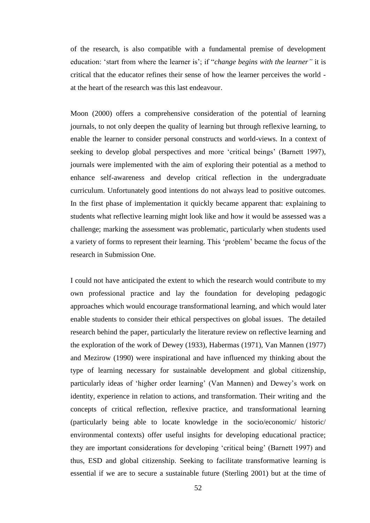of the research, is also compatible with a fundamental premise of development education: 'start from where the learner is'; if "*change begins with the learner"* it is critical that the educator refines their sense of how the learner perceives the world at the heart of the research was this last endeavour.

Moon (2000) offers a comprehensive consideration of the potential of learning journals, to not only deepen the quality of learning but through reflexive learning, to enable the learner to consider personal constructs and world-views. In a context of seeking to develop global perspectives and more 'critical beings' (Barnett 1997), journals were implemented with the aim of exploring their potential as a method to enhance self-awareness and develop critical reflection in the undergraduate curriculum. Unfortunately good intentions do not always lead to positive outcomes. In the first phase of implementation it quickly became apparent that: explaining to students what reflective learning might look like and how it would be assessed was a challenge; marking the assessment was problematic, particularly when students used a variety of forms to represent their learning. This 'problem' became the focus of the research in Submission One.

I could not have anticipated the extent to which the research would contribute to my own professional practice and lay the foundation for developing pedagogic approaches which would encourage transformational learning, and which would later enable students to consider their ethical perspectives on global issues. The detailed research behind the paper, particularly the literature review on reflective learning and the exploration of the work of Dewey (1933), Habermas (1971), Van Mannen (1977) and Mezirow (1990) were inspirational and have influenced my thinking about the type of learning necessary for sustainable development and global citizenship, particularly ideas of 'higher order learning' (Van Mannen) and Dewey's work on identity, experience in relation to actions, and transformation. Their writing and the concepts of critical reflection, reflexive practice, and transformational learning (particularly being able to locate knowledge in the socio/economic/ historic/ environmental contexts) offer useful insights for developing educational practice; they are important considerations for developing 'critical being' (Barnett 1997) and thus, ESD and global citizenship. Seeking to facilitate transformative learning is essential if we are to secure a sustainable future (Sterling 2001) but at the time of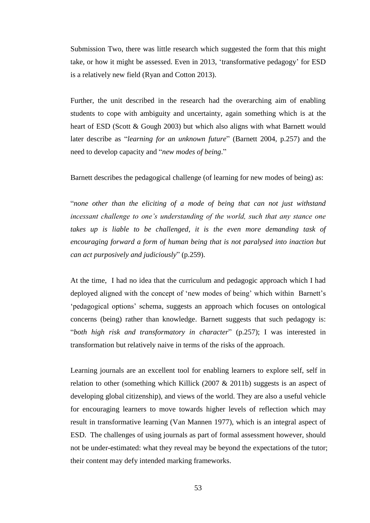Submission Two, there was little research which suggested the form that this might take, or how it might be assessed. Even in 2013, 'transformative pedagogy' for ESD is a relatively new field (Ryan and Cotton 2013).

Further, the unit described in the research had the overarching aim of enabling students to cope with ambiguity and uncertainty, again something which is at the heart of ESD (Scott & Gough 2003) but which also aligns with what Barnett would later describe as "*learning for an unknown future*" (Barnett 2004, p.257) and the need to develop capacity and "*new modes of being*."

Barnett describes the pedagogical challenge (of learning for new modes of being) as:

"*none other than the eliciting of a mode of being that can not just withstand incessant challenge to one's understanding of the world, such that any stance one takes up is liable to be challenged, it is the even more demanding task of encouraging forward a form of human being that is not paralysed into inaction but can act purposively and judiciously*" (p.259).

At the time, I had no idea that the curriculum and pedagogic approach which I had deployed aligned with the concept of 'new modes of being' which within Barnett's 'pedagogical options' schema, suggests an approach which focuses on ontological concerns (being) rather than knowledge. Barnett suggests that such pedagogy is: "*both high risk and transformatory in character*" (p.257); I was interested in transformation but relatively naive in terms of the risks of the approach.

Learning journals are an excellent tool for enabling learners to explore self, self in relation to other (something which Killick  $(2007 \& 2011b)$  suggests is an aspect of developing global citizenship), and views of the world. They are also a useful vehicle for encouraging learners to move towards higher levels of reflection which may result in transformative learning (Van Mannen 1977), which is an integral aspect of ESD. The challenges of using journals as part of formal assessment however, should not be under-estimated: what they reveal may be beyond the expectations of the tutor; their content may defy intended marking frameworks.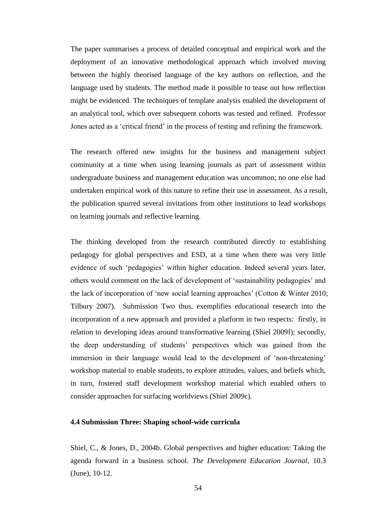The paper summarises a process of detailed conceptual and empirical work and the deployment of an innovative methodological approach which involved moving between the highly theorised language of the key authors on reflection, and the language used by students. The method made it possible to tease out how reflection might be evidenced. The techniques of template analysis enabled the development of an analytical tool, which over subsequent cohorts was tested and refined. Professor Jones acted as a 'critical friend' in the process of testing and refining the framework.

The research offered new insights for the business and management subject community at a time when using learning journals as part of assessment within undergraduate business and management education was uncommon; no one else had undertaken empirical work of this nature to refine their use in assessment. As a result, the publication spurred several invitations from other institutions to lead workshops on learning journals and reflective learning.

The thinking developed from the research contributed directly to establishing pedagogy for global perspectives and ESD, at a time when there was very little evidence of such 'pedagogies' within higher education. Indeed several years later, others would comment on the lack of development of 'sustainability pedagogies' and the lack of incorporation of 'new social learning approaches' (Cotton & Winter 2010; Tilbury 2007). Submission Two thus, exemplifies educational research into the incorporation of a new approach and provided a platform in two respects: firstly, in relation to developing ideas around transformative learning (Shiel 2009f); secondly, the deep understanding of students' perspectives which was gained from the immersion in their language would lead to the development of 'non-threatening' workshop material to enable students, to explore attitudes, values, and beliefs which, in turn, fostered staff development workshop material which enabled others to consider approaches for surfacing worldviews (Shiel 2009c).

#### **4.4 Submission Three: Shaping school-wide curricula**

Shiel, C., & Jones, D., 2004b. Global perspectives and higher education: Taking the agenda forward in a business school. *The Development Education Journal*, 10.3 (June), 10-12.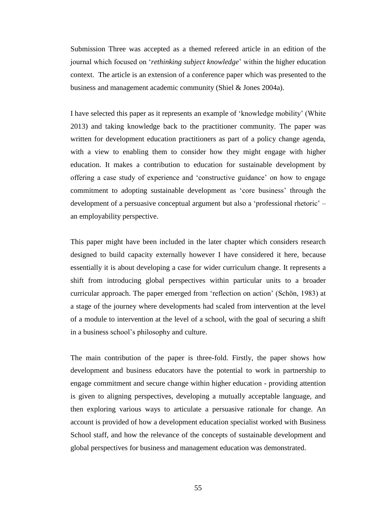Submission Three was accepted as a themed refereed article in an edition of the journal which focused on '*rethinking subject knowledge*' within the higher education context. The article is an extension of a conference paper which was presented to the business and management academic community (Shiel & Jones 2004a).

I have selected this paper as it represents an example of 'knowledge mobility' (White 2013) and taking knowledge back to the practitioner community. The paper was written for development education practitioners as part of a policy change agenda, with a view to enabling them to consider how they might engage with higher education. It makes a contribution to education for sustainable development by offering a case study of experience and 'constructive guidance' on how to engage commitment to adopting sustainable development as 'core business' through the development of a persuasive conceptual argument but also a 'professional rhetoric' – an employability perspective.

This paper might have been included in the later chapter which considers research designed to build capacity externally however I have considered it here, because essentially it is about developing a case for wider curriculum change. It represents a shift from introducing global perspectives within particular units to a broader curricular approach. The paper emerged from 'reflection on action' (Schön, 1983) at a stage of the journey where developments had scaled from intervention at the level of a module to intervention at the level of a school, with the goal of securing a shift in a business school's philosophy and culture.

The main contribution of the paper is three-fold. Firstly, the paper shows how development and business educators have the potential to work in partnership to engage commitment and secure change within higher education - providing attention is given to aligning perspectives, developing a mutually acceptable language, and then exploring various ways to articulate a persuasive rationale for change. An account is provided of how a development education specialist worked with Business School staff, and how the relevance of the concepts of sustainable development and global perspectives for business and management education was demonstrated.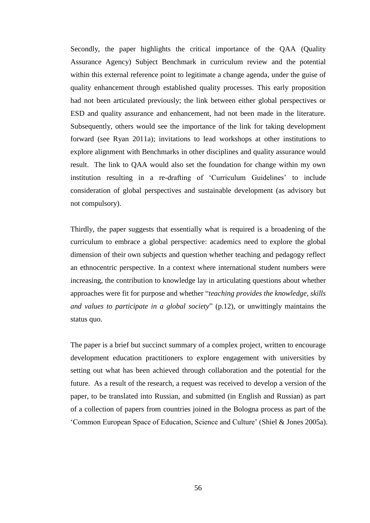Secondly, the paper highlights the critical importance of the QAA (Quality Assurance Agency) Subject Benchmark in curriculum review and the potential within this external reference point to legitimate a change agenda, under the guise of quality enhancement through established quality processes. This early proposition had not been articulated previously; the link between either global perspectives or ESD and quality assurance and enhancement, had not been made in the literature. Subsequently, others would see the importance of the link for taking development forward (see Ryan 2011a); invitations to lead workshops at other institutions to explore alignment with Benchmarks in other disciplines and quality assurance would result. The link to QAA would also set the foundation for change within my own institution resulting in a re-drafting of 'Curriculum Guidelines' to include consideration of global perspectives and sustainable development (as advisory but not compulsory).

Thirdly, the paper suggests that essentially what is required is a broadening of the curriculum to embrace a global perspective: academics need to explore the global dimension of their own subjects and question whether teaching and pedagogy reflect an ethnocentric perspective. In a context where international student numbers were increasing, the contribution to knowledge lay in articulating questions about whether approaches were fit for purpose and whether "*teaching provides the knowledge, skills and values to participate in a global society*" (p.12), or unwittingly maintains the status quo.

The paper is a brief but succinct summary of a complex project, written to encourage development education practitioners to explore engagement with universities by setting out what has been achieved through collaboration and the potential for the future. As a result of the research, a request was received to develop a version of the paper, to be translated into Russian, and submitted (in English and Russian) as part of a collection of papers from countries joined in the Bologna process as part of the 'Common European Space of Education, Science and Culture' (Shiel & Jones 2005a).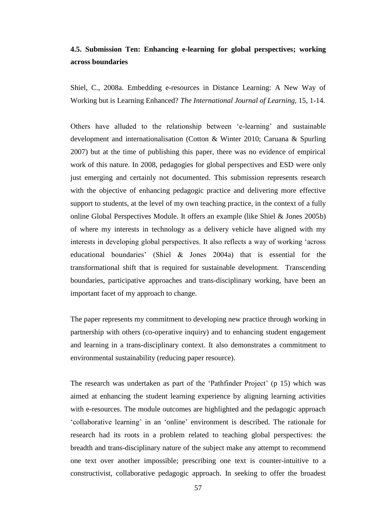## **4.5. Submission Ten: Enhancing e-learning for global perspectives; working across boundaries**

Shiel, C., 2008a. Embedding e-resources in Distance Learning: A New Way of Working but is Learning Enhanced? *The International Journal of Learning*, 15, 1-14.

Others have alluded to the relationship between 'e-learning' and sustainable development and internationalisation (Cotton & Winter 2010; Caruana & Spurling 2007) but at the time of publishing this paper, there was no evidence of empirical work of this nature. In 2008, pedagogies for global perspectives and ESD were only just emerging and certainly not documented. This submission represents research with the objective of enhancing pedagogic practice and delivering more effective support to students, at the level of my own teaching practice, in the context of a fully online Global Perspectives Module. It offers an example (like Shiel & Jones 2005b) of where my interests in technology as a delivery vehicle have aligned with my interests in developing global perspectives. It also reflects a way of working 'across educational boundaries' (Shiel & Jones 2004a) that is essential for the transformational shift that is required for sustainable development. Transcending boundaries, participative approaches and trans-disciplinary working, have been an important facet of my approach to change.

The paper represents my commitment to developing new practice through working in partnership with others (co-operative inquiry) and to enhancing student engagement and learning in a trans-disciplinary context. It also demonstrates a commitment to environmental sustainability (reducing paper resource).

The research was undertaken as part of the 'Pathfinder Project' (p 15) which was aimed at enhancing the student learning experience by aligning learning activities with e-resources. The module outcomes are highlighted and the pedagogic approach 'collaborative learning' in an 'online' environment is described. The rationale for research had its roots in a problem related to teaching global perspectives: the breadth and trans-disciplinary nature of the subject make any attempt to recommend one text over another impossible; prescribing one text is counter-intuitive to a constructivist, collaborative pedagogic approach. In seeking to offer the broadest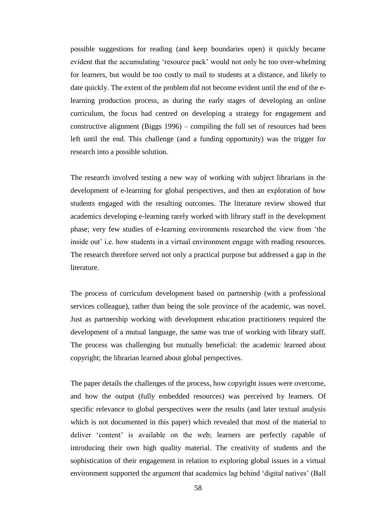possible suggestions for reading (and keep boundaries open) it quickly became evident that the accumulating 'resource pack' would not only be too over-whelming for learners, but would be too costly to mail to students at a distance, and likely to date quickly. The extent of the problem did not become evident until the end of the elearning production process, as during the early stages of developing an online curriculum, the focus had centred on developing a strategy for engagement and constructive alignment (Biggs 1996) – compiling the full set of resources had been left until the end. This challenge (and a funding opportunity) was the trigger for research into a possible solution.

The research involved testing a new way of working with subject librarians in the development of e-learning for global perspectives, and then an exploration of how students engaged with the resulting outcomes. The literature review showed that academics developing e-learning rarely worked with library staff in the development phase; very few studies of e-learning environments researched the view from 'the inside out' i.e. how students in a virtual environment engage with reading resources. The research therefore served not only a practical purpose but addressed a gap in the literature.

The process of curriculum development based on partnership (with a professional services colleague), rather than being the sole province of the academic, was novel. Just as partnership working with development education practitioners required the development of a mutual language, the same was true of working with library staff. The process was challenging but mutually beneficial: the academic learned about copyright; the librarian learned about global perspectives.

The paper details the challenges of the process, how copyright issues were overcome, and how the output (fully embedded resources) was perceived by learners. Of specific relevance to global perspectives were the results (and later textual analysis which is not documented in this paper) which revealed that most of the material to deliver 'content' is available on the web; learners are perfectly capable of introducing their own high quality material. The creativity of students and the sophistication of their engagement in relation to exploring global issues in a virtual environment supported the argument that academics lag behind 'digital natives' (Ball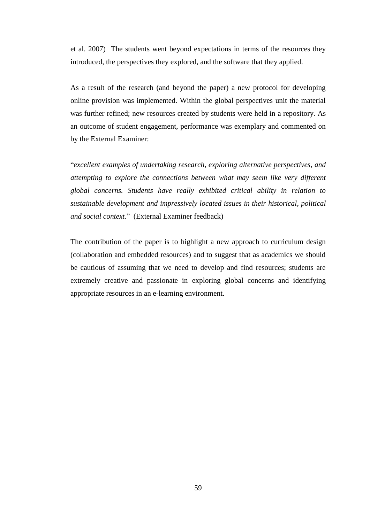et al. 2007) The students went beyond expectations in terms of the resources they introduced, the perspectives they explored, and the software that they applied.

As a result of the research (and beyond the paper) a new protocol for developing online provision was implemented. Within the global perspectives unit the material was further refined; new resources created by students were held in a repository. As an outcome of student engagement, performance was exemplary and commented on by the External Examiner:

"*excellent examples of undertaking research, exploring alternative perspectives, and attempting to explore the connections between what may seem like very different global concerns. Students have really exhibited critical ability in relation to sustainable development and impressively located issues in their historical, political and social context*." (External Examiner feedback)

The contribution of the paper is to highlight a new approach to curriculum design (collaboration and embedded resources) and to suggest that as academics we should be cautious of assuming that we need to develop and find resources; students are extremely creative and passionate in exploring global concerns and identifying appropriate resources in an e-learning environment.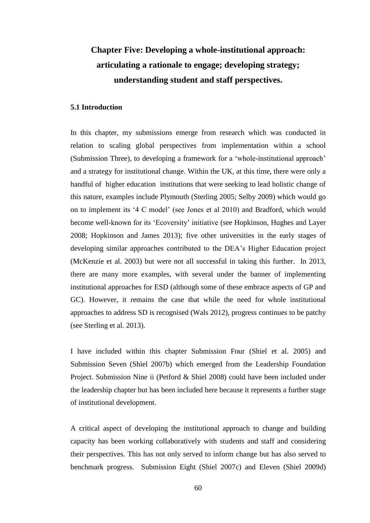# **Chapter Five: Developing a whole-institutional approach: articulating a rationale to engage; developing strategy; understanding student and staff perspectives.**

### **5.1 Introduction**

In this chapter, my submissions emerge from research which was conducted in relation to scaling global perspectives from implementation within a school (Submission Three), to developing a framework for a 'whole-institutional approach' and a strategy for institutional change. Within the UK, at this time, there were only a handful of higher education institutions that were seeking to lead holistic change of this nature, examples include Plymouth (Sterling 2005; Selby 2009) which would go on to implement its '4 C model' (see Jones et al 2010) and Bradford, which would become well-known for its 'Ecoversity' initiative (see Hopkinson, Hughes and Layer 2008; Hopkinson and James 2013); five other universities in the early stages of developing similar approaches contributed to the DEA's Higher Education project (McKenzie et al. 2003) but were not all successful in taking this further. In 2013, there are many more examples, with several under the banner of implementing institutional approaches for ESD (although some of these embrace aspects of GP and GC). However, it remains the case that while the need for whole institutional approaches to address SD is recognised (Wals 2012), progress continues to be patchy (see Sterling et al. 2013).

I have included within this chapter Submission Four (Shiel et al. 2005) and Submission Seven (Shiel 2007b) which emerged from the Leadership Foundation Project. Submission Nine ii (Petford & Shiel 2008) could have been included under the leadership chapter but has been included here because it represents a further stage of institutional development.

A critical aspect of developing the institutional approach to change and building capacity has been working collaboratively with students and staff and considering their perspectives. This has not only served to inform change but has also served to benchmark progress. Submission Eight (Shiel 2007c) and Eleven (Shiel 2009d)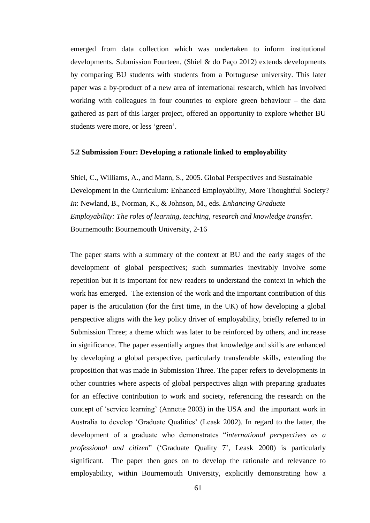emerged from data collection which was undertaken to inform institutional developments. Submission Fourteen, (Shiel & do Paço 2012) extends developments by comparing BU students with students from a Portuguese university. This later paper was a by-product of a new area of international research, which has involved working with colleagues in four countries to explore green behaviour – the data gathered as part of this larger project, offered an opportunity to explore whether BU students were more, or less 'green'.

#### **5.2 Submission Four: Developing a rationale linked to employability**

Shiel, C., Williams, A., and Mann, S., 2005. Global Perspectives and Sustainable Development in the Curriculum: Enhanced Employability, More Thoughtful Society? *In*: Newland, B., Norman, K., & Johnson, M., eds. *Enhancing Graduate Employability: The roles of learning, teaching, research and knowledge transfer*. Bournemouth: Bournemouth University, 2-16

The paper starts with a summary of the context at BU and the early stages of the development of global perspectives; such summaries inevitably involve some repetition but it is important for new readers to understand the context in which the work has emerged. The extension of the work and the important contribution of this paper is the articulation (for the first time, in the UK) of how developing a global perspective aligns with the key policy driver of employability, briefly referred to in Submission Three; a theme which was later to be reinforced by others, and increase in significance. The paper essentially argues that knowledge and skills are enhanced by developing a global perspective, particularly transferable skills, extending the proposition that was made in Submission Three. The paper refers to developments in other countries where aspects of global perspectives align with preparing graduates for an effective contribution to work and society, referencing the research on the concept of 'service learning' (Annette 2003) in the USA and the important work in Australia to develop 'Graduate Qualities' (Leask 2002). In regard to the latter, the development of a graduate who demonstrates "*international perspectives as a professional and citizen*" ('Graduate Quality 7', Leask 2000) is particularly significant. The paper then goes on to develop the rationale and relevance to employability, within Bournemouth University, explicitly demonstrating how a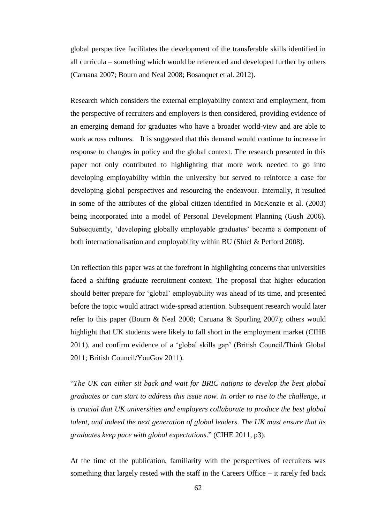global perspective facilitates the development of the transferable skills identified in all curricula – something which would be referenced and developed further by others (Caruana 2007; Bourn and Neal 2008; Bosanquet et al. 2012).

Research which considers the external employability context and employment, from the perspective of recruiters and employers is then considered, providing evidence of an emerging demand for graduates who have a broader world-view and are able to work across cultures. It is suggested that this demand would continue to increase in response to changes in policy and the global context. The research presented in this paper not only contributed to highlighting that more work needed to go into developing employability within the university but served to reinforce a case for developing global perspectives and resourcing the endeavour. Internally, it resulted in some of the attributes of the global citizen identified in McKenzie et al. (2003) being incorporated into a model of Personal Development Planning (Gush 2006). Subsequently, 'developing globally employable graduates' became a component of both internationalisation and employability within BU (Shiel & Petford 2008).

On reflection this paper was at the forefront in highlighting concerns that universities faced a shifting graduate recruitment context. The proposal that higher education should better prepare for 'global' employability was ahead of its time, and presented before the topic would attract wide-spread attention. Subsequent research would later refer to this paper (Bourn & Neal 2008; Caruana & Spurling 2007); others would highlight that UK students were likely to fall short in the employment market (CIHE 2011), and confirm evidence of a 'global skills gap' (British Council/Think Global 2011; British Council/YouGov 2011).

"*The UK can either sit back and wait for BRIC nations to develop the best global graduates or can start to address this issue now. In order to rise to the challenge, it is crucial that UK universities and employers collaborate to produce the best global talent, and indeed the next generation of global leaders. The UK must ensure that its graduates keep pace with global expectations*." (CIHE 2011, p3).

At the time of the publication, familiarity with the perspectives of recruiters was something that largely rested with the staff in the Careers Office – it rarely fed back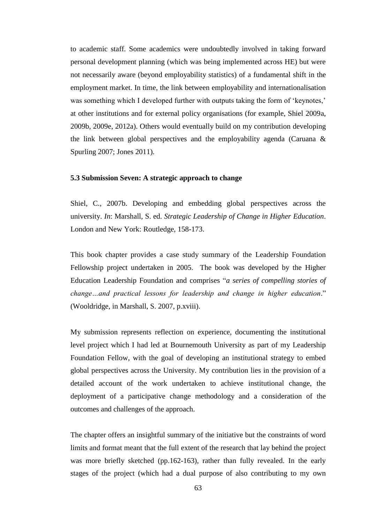to academic staff. Some academics were undoubtedly involved in taking forward personal development planning (which was being implemented across HE) but were not necessarily aware (beyond employability statistics) of a fundamental shift in the employment market. In time, the link between employability and internationalisation was something which I developed further with outputs taking the form of 'keynotes,' at other institutions and for external policy organisations (for example, Shiel 2009a, 2009b, 2009e, 2012a). Others would eventually build on my contribution developing the link between global perspectives and the employability agenda (Caruana & Spurling 2007; Jones 2011).

#### **5.3 Submission Seven: A strategic approach to change**

Shiel, C., 2007b. Developing and embedding global perspectives across the university. *In*: Marshall, S. ed. *Strategic Leadership of Change in Higher Education*. London and New York: Routledge, 158-173.

This book chapter provides a case study summary of the Leadership Foundation Fellowship project undertaken in 2005. The book was developed by the Higher Education Leadership Foundation and comprises "*a series of compelling stories of change…and practical lessons for leadership and change in higher education*." (Wooldridge, in Marshall, S. 2007, p.xviii).

My submission represents reflection on experience, documenting the institutional level project which I had led at Bournemouth University as part of my Leadership Foundation Fellow, with the goal of developing an institutional strategy to embed global perspectives across the University. My contribution lies in the provision of a detailed account of the work undertaken to achieve institutional change, the deployment of a participative change methodology and a consideration of the outcomes and challenges of the approach.

The chapter offers an insightful summary of the initiative but the constraints of word limits and format meant that the full extent of the research that lay behind the project was more briefly sketched (pp.162-163), rather than fully revealed. In the early stages of the project (which had a dual purpose of also contributing to my own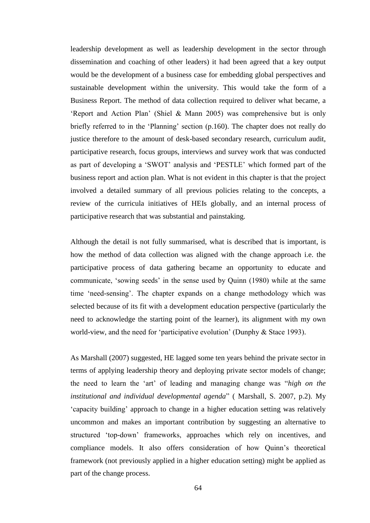leadership development as well as leadership development in the sector through dissemination and coaching of other leaders) it had been agreed that a key output would be the development of a business case for embedding global perspectives and sustainable development within the university. This would take the form of a Business Report. The method of data collection required to deliver what became, a 'Report and Action Plan' (Shiel & Mann 2005) was comprehensive but is only briefly referred to in the 'Planning' section (p.160). The chapter does not really do justice therefore to the amount of desk-based secondary research, curriculum audit, participative research, focus groups, interviews and survey work that was conducted as part of developing a 'SWOT' analysis and 'PESTLE' which formed part of the business report and action plan. What is not evident in this chapter is that the project involved a detailed summary of all previous policies relating to the concepts, a review of the curricula initiatives of HEIs globally, and an internal process of participative research that was substantial and painstaking.

Although the detail is not fully summarised, what is described that is important, is how the method of data collection was aligned with the change approach i.e. the participative process of data gathering became an opportunity to educate and communicate, 'sowing seeds' in the sense used by Quinn (1980) while at the same time 'need-sensing'. The chapter expands on a change methodology which was selected because of its fit with a development education perspective (particularly the need to acknowledge the starting point of the learner), its alignment with my own world-view, and the need for 'participative evolution' (Dunphy & Stace 1993).

As Marshall (2007) suggested, HE lagged some ten years behind the private sector in terms of applying leadership theory and deploying private sector models of change; the need to learn the 'art' of leading and managing change was "*high on the institutional and individual developmental agenda*" ( Marshall, S. 2007, p.2). My 'capacity building' approach to change in a higher education setting was relatively uncommon and makes an important contribution by suggesting an alternative to structured 'top-down' frameworks, approaches which rely on incentives, and compliance models. It also offers consideration of how Quinn's theoretical framework (not previously applied in a higher education setting) might be applied as part of the change process.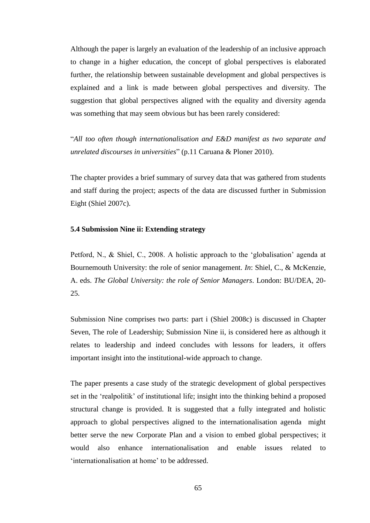Although the paper is largely an evaluation of the leadership of an inclusive approach to change in a higher education, the concept of global perspectives is elaborated further, the relationship between sustainable development and global perspectives is explained and a link is made between global perspectives and diversity. The suggestion that global perspectives aligned with the equality and diversity agenda was something that may seem obvious but has been rarely considered:

"*All too often though internationalisation and E&D manifest as two separate and unrelated discourses in universities*" (p.11 Caruana & Ploner 2010).

The chapter provides a brief summary of survey data that was gathered from students and staff during the project; aspects of the data are discussed further in Submission Eight (Shiel 2007c).

### **5.4 Submission Nine ii: Extending strategy**

Petford, N., & Shiel, C., 2008. A holistic approach to the 'globalisation' agenda at Bournemouth University: the role of senior management. *In*: Shiel, C., & McKenzie, A. eds. *The Global University: the role of Senior Managers*. London: BU/DEA, 20- 25.

Submission Nine comprises two parts: part i (Shiel 2008c) is discussed in Chapter Seven, The role of Leadership; Submission Nine ii, is considered here as although it relates to leadership and indeed concludes with lessons for leaders, it offers important insight into the institutional-wide approach to change.

The paper presents a case study of the strategic development of global perspectives set in the 'realpolitik' of institutional life; insight into the thinking behind a proposed structural change is provided. It is suggested that a fully integrated and holistic approach to global perspectives aligned to the internationalisation agenda might better serve the new Corporate Plan and a vision to embed global perspectives; it would also enhance internationalisation and enable issues related to 'internationalisation at home' to be addressed.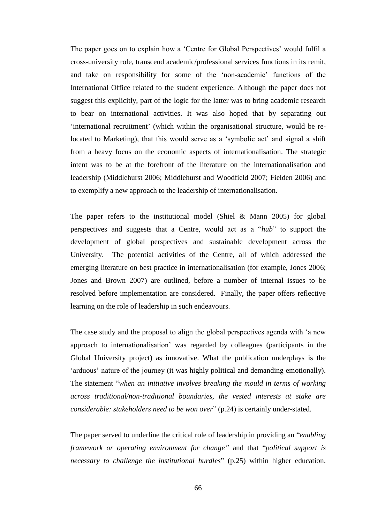The paper goes on to explain how a 'Centre for Global Perspectives' would fulfil a cross-university role, transcend academic/professional services functions in its remit, and take on responsibility for some of the 'non-academic' functions of the International Office related to the student experience. Although the paper does not suggest this explicitly, part of the logic for the latter was to bring academic research to bear on international activities. It was also hoped that by separating out 'international recruitment' (which within the organisational structure, would be relocated to Marketing), that this would serve as a 'symbolic act' and signal a shift from a heavy focus on the economic aspects of internationalisation. The strategic intent was to be at the forefront of the literature on the internationalisation and leadership (Middlehurst 2006; Middlehurst and Woodfield 2007; Fielden 2006) and to exemplify a new approach to the leadership of internationalisation.

The paper refers to the institutional model (Shiel & Mann 2005) for global perspectives and suggests that a Centre, would act as a "*hub*" to support the development of global perspectives and sustainable development across the University. The potential activities of the Centre, all of which addressed the emerging literature on best practice in internationalisation (for example, Jones 2006; Jones and Brown 2007) are outlined, before a number of internal issues to be resolved before implementation are considered. Finally, the paper offers reflective learning on the role of leadership in such endeavours.

The case study and the proposal to align the global perspectives agenda with 'a new approach to internationalisation' was regarded by colleagues (participants in the Global University project) as innovative. What the publication underplays is the 'arduous' nature of the journey (it was highly political and demanding emotionally). The statement "*when an initiative involves breaking the mould in terms of working across traditional/non-traditional boundaries, the vested interests at stake are considerable: stakeholders need to be won over*" (p.24) is certainly under-stated.

The paper served to underline the critical role of leadership in providing an "*enabling framework or operating environment for change"* and that "*political support is necessary to challenge the institutional hurdles*" (p.25) within higher education.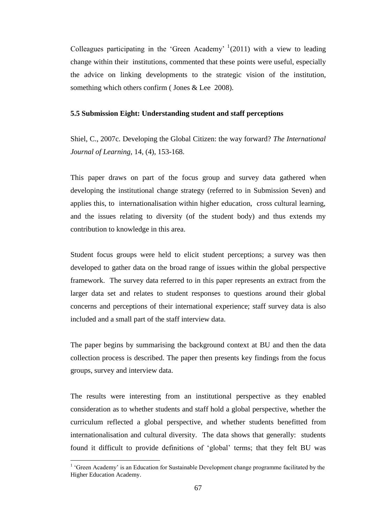Colleagues participating in the 'Green Academy'  $(2011)$  with a view to leading change within their institutions, commented that these points were useful, especially the advice on linking developments to the strategic vision of the institution, something which others confirm (Jones & Lee 2008).

#### **5.5 Submission Eight: Understanding student and staff perceptions**

Shiel, C., 2007c. Developing the Global Citizen: the way forward? *The International Journal of Learning*, 14, (4), 153-168.

This paper draws on part of the focus group and survey data gathered when developing the institutional change strategy (referred to in Submission Seven) and applies this, to internationalisation within higher education, cross cultural learning, and the issues relating to diversity (of the student body) and thus extends my contribution to knowledge in this area.

Student focus groups were held to elicit student perceptions; a survey was then developed to gather data on the broad range of issues within the global perspective framework. The survey data referred to in this paper represents an extract from the larger data set and relates to student responses to questions around their global concerns and perceptions of their international experience; staff survey data is also included and a small part of the staff interview data.

The paper begins by summarising the background context at BU and then the data collection process is described. The paper then presents key findings from the focus groups, survey and interview data.

The results were interesting from an institutional perspective as they enabled consideration as to whether students and staff hold a global perspective, whether the curriculum reflected a global perspective, and whether students benefitted from internationalisation and cultural diversity. The data shows that generally: students found it difficult to provide definitions of 'global' terms; that they felt BU was

 $\overline{a}$ 

<sup>&</sup>lt;sup>1</sup> 'Green Academy' is an Education for Sustainable Development change programme facilitated by the Higher Education Academy.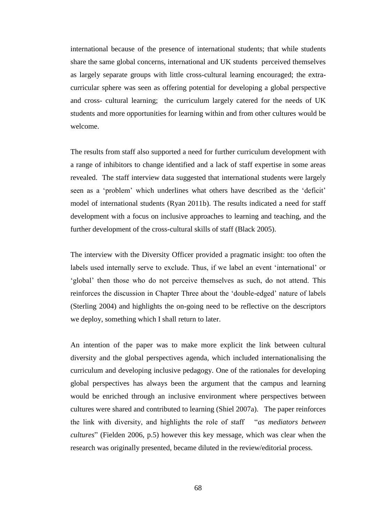international because of the presence of international students; that while students share the same global concerns, international and UK students perceived themselves as largely separate groups with little cross-cultural learning encouraged; the extracurricular sphere was seen as offering potential for developing a global perspective and cross- cultural learning; the curriculum largely catered for the needs of UK students and more opportunities for learning within and from other cultures would be welcome.

The results from staff also supported a need for further curriculum development with a range of inhibitors to change identified and a lack of staff expertise in some areas revealed. The staff interview data suggested that international students were largely seen as a 'problem' which underlines what others have described as the 'deficit' model of international students (Ryan 2011b). The results indicated a need for staff development with a focus on inclusive approaches to learning and teaching, and the further development of the cross-cultural skills of staff (Black 2005).

The interview with the Diversity Officer provided a pragmatic insight: too often the labels used internally serve to exclude. Thus, if we label an event 'international' or 'global' then those who do not perceive themselves as such, do not attend. This reinforces the discussion in Chapter Three about the 'double-edged' nature of labels (Sterling 2004) and highlights the on-going need to be reflective on the descriptors we deploy, something which I shall return to later.

An intention of the paper was to make more explicit the link between cultural diversity and the global perspectives agenda, which included internationalising the curriculum and developing inclusive pedagogy. One of the rationales for developing global perspectives has always been the argument that the campus and learning would be enriched through an inclusive environment where perspectives between cultures were shared and contributed to learning (Shiel 2007a). The paper reinforces the link with diversity, and highlights the role of staff "*as mediators between cultures*" (Fielden 2006, p.5) however this key message, which was clear when the research was originally presented, became diluted in the review/editorial process.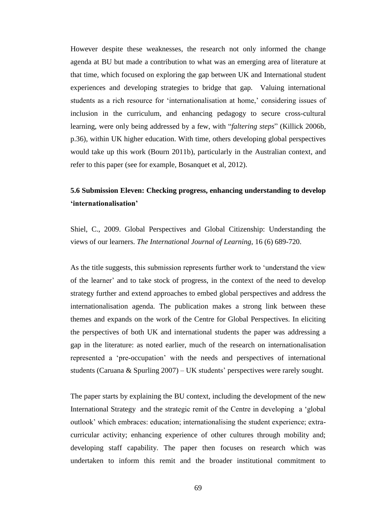However despite these weaknesses, the research not only informed the change agenda at BU but made a contribution to what was an emerging area of literature at that time, which focused on exploring the gap between UK and International student experiences and developing strategies to bridge that gap. Valuing international students as a rich resource for 'internationalisation at home,' considering issues of inclusion in the curriculum, and enhancing pedagogy to secure cross-cultural learning, were only being addressed by a few, with "*faltering steps*" (Killick 2006b, p.36), within UK higher education. With time, others developing global perspectives would take up this work (Bourn 2011b), particularly in the Australian context, and refer to this paper (see for example, Bosanquet et al, 2012).

## **5.6 Submission Eleven: Checking progress, enhancing understanding to develop 'internationalisation'**

Shiel, C., 2009. Global Perspectives and Global Citizenship: Understanding the views of our learners. *The International Journal of Learning*, 16 (6) 689-720.

As the title suggests, this submission represents further work to 'understand the view of the learner' and to take stock of progress, in the context of the need to develop strategy further and extend approaches to embed global perspectives and address the internationalisation agenda. The publication makes a strong link between these themes and expands on the work of the Centre for Global Perspectives. In eliciting the perspectives of both UK and international students the paper was addressing a gap in the literature: as noted earlier, much of the research on internationalisation represented a 'pre-occupation' with the needs and perspectives of international students (Caruana & Spurling 2007) – UK students' perspectives were rarely sought.

The paper starts by explaining the BU context, including the development of the new International Strategy and the strategic remit of the Centre in developing a 'global outlook' which embraces: education; internationalising the student experience; extracurricular activity; enhancing experience of other cultures through mobility and; developing staff capability. The paper then focuses on research which was undertaken to inform this remit and the broader institutional commitment to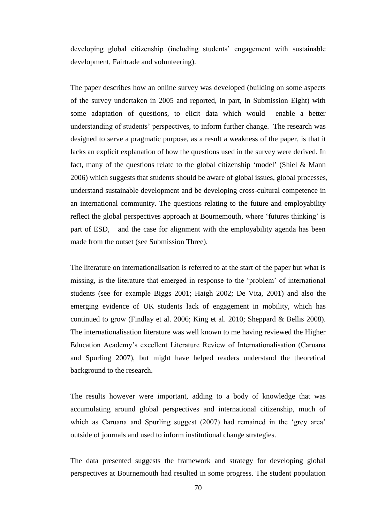developing global citizenship (including students' engagement with sustainable development, Fairtrade and volunteering).

The paper describes how an online survey was developed (building on some aspects of the survey undertaken in 2005 and reported, in part, in Submission Eight) with some adaptation of questions, to elicit data which would enable a better understanding of students' perspectives, to inform further change. The research was designed to serve a pragmatic purpose, as a result a weakness of the paper, is that it lacks an explicit explanation of how the questions used in the survey were derived. In fact, many of the questions relate to the global citizenship 'model' (Shiel & Mann 2006) which suggests that students should be aware of global issues, global processes, understand sustainable development and be developing cross-cultural competence in an international community. The questions relating to the future and employability reflect the global perspectives approach at Bournemouth, where 'futures thinking' is part of ESD, and the case for alignment with the employability agenda has been made from the outset (see Submission Three).

The literature on internationalisation is referred to at the start of the paper but what is missing, is the literature that emerged in response to the 'problem' of international students (see for example Biggs 2001; Haigh 2002; De Vita, 2001) and also the emerging evidence of UK students lack of engagement in mobility, which has continued to grow (Findlay et al. 2006; King et al. 2010; Sheppard & Bellis 2008). The internationalisation literature was well known to me having reviewed the Higher Education Academy's excellent Literature Review of Internationalisation (Caruana and Spurling 2007), but might have helped readers understand the theoretical background to the research.

The results however were important, adding to a body of knowledge that was accumulating around global perspectives and international citizenship, much of which as Caruana and Spurling suggest (2007) had remained in the 'grey area' outside of journals and used to inform institutional change strategies.

The data presented suggests the framework and strategy for developing global perspectives at Bournemouth had resulted in some progress. The student population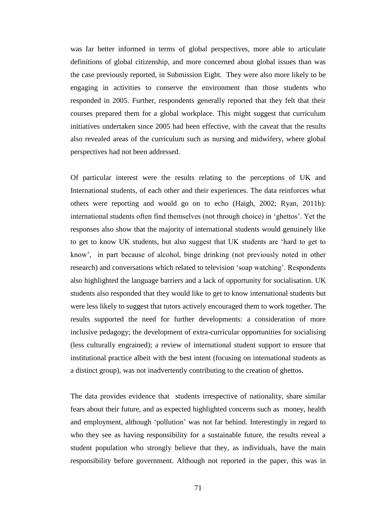was far better informed in terms of global perspectives, more able to articulate definitions of global citizenship, and more concerned about global issues than was the case previously reported, in Submission Eight. They were also more likely to be engaging in activities to conserve the environment than those students who responded in 2005. Further, respondents generally reported that they felt that their courses prepared them for a global workplace. This might suggest that curriculum initiatives undertaken since 2005 had been effective, with the caveat that the results also revealed areas of the curriculum such as nursing and midwifery, where global perspectives had not been addressed.

Of particular interest were the results relating to the perceptions of UK and International students, of each other and their experiences. The data reinforces what others were reporting and would go on to echo (Haigh, 2002; Ryan, 2011b): international students often find themselves (not through choice) in 'ghettos'. Yet the responses also show that the majority of international students would genuinely like to get to know UK students, but also suggest that UK students are 'hard to get to know', in part because of alcohol, binge drinking (not previously noted in other research) and conversations which related to television 'soap watching'. Respondents also highlighted the language barriers and a lack of opportunity for socialisation. UK students also responded that they would like to get to know international students but were less likely to suggest that tutors actively encouraged them to work together. The results supported the need for further developments: a consideration of more inclusive pedagogy; the development of extra-curricular opportunities for socialising (less culturally engrained); a review of international student support to ensure that institutional practice albeit with the best intent (focusing on international students as a distinct group), was not inadvertently contributing to the creation of ghettos.

The data provides evidence that students irrespective of nationality, share similar fears about their future, and as expected highlighted concerns such as money, health and employment, although 'pollution' was not far behind. Interestingly in regard to who they see as having responsibility for a sustainable future, the results reveal a student population who strongly believe that they, as individuals, have the main responsibility before government. Although not reported in the paper, this was in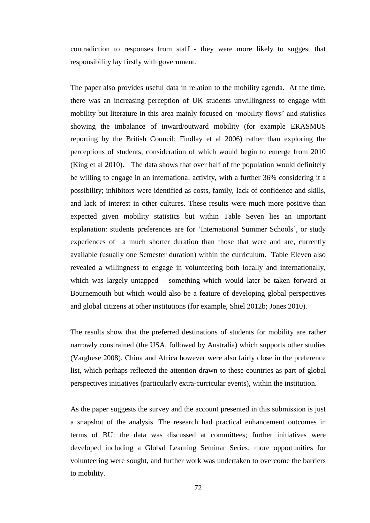contradiction to responses from staff - they were more likely to suggest that responsibility lay firstly with government.

The paper also provides useful data in relation to the mobility agenda. At the time, there was an increasing perception of UK students unwillingness to engage with mobility but literature in this area mainly focused on 'mobility flows' and statistics showing the imbalance of inward/outward mobility (for example ERASMUS reporting by the British Council; Findlay et al 2006) rather than exploring the perceptions of students, consideration of which would begin to emerge from 2010 (King et al 2010). The data shows that over half of the population would definitely be willing to engage in an international activity, with a further 36% considering it a possibility; inhibitors were identified as costs, family, lack of confidence and skills, and lack of interest in other cultures. These results were much more positive than expected given mobility statistics but within Table Seven lies an important explanation: students preferences are for 'International Summer Schools', or study experiences of a much shorter duration than those that were and are, currently available (usually one Semester duration) within the curriculum. Table Eleven also revealed a willingness to engage in volunteering both locally and internationally, which was largely untapped – something which would later be taken forward at Bournemouth but which would also be a feature of developing global perspectives and global citizens at other institutions (for example, Shiel 2012b; Jones 2010).

The results show that the preferred destinations of students for mobility are rather narrowly constrained (the USA, followed by Australia) which supports other studies (Varghese 2008). China and Africa however were also fairly close in the preference list, which perhaps reflected the attention drawn to these countries as part of global perspectives initiatives (particularly extra-curricular events), within the institution.

As the paper suggests the survey and the account presented in this submission is just a snapshot of the analysis. The research had practical enhancement outcomes in terms of BU: the data was discussed at committees; further initiatives were developed including a Global Learning Seminar Series; more opportunities for volunteering were sought, and further work was undertaken to overcome the barriers to mobility.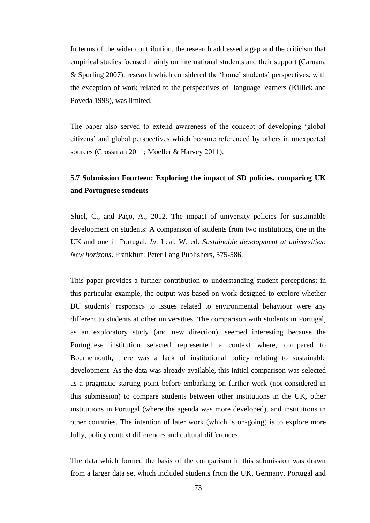In terms of the wider contribution, the research addressed a gap and the criticism that empirical studies focused mainly on international students and their support (Caruana & Spurling 2007); research which considered the 'home' students' perspectives, with the exception of work related to the perspectives of language learners (Killick and Poveda 1998), was limited.

The paper also served to extend awareness of the concept of developing 'global citizens' and global perspectives which became referenced by others in unexpected sources (Crossman 2011; Moeller & Harvey 2011).

# **5.7 Submission Fourteen: Exploring the impact of SD policies, comparing UK and Portuguese students**

Shiel, C., and Paço, A., 2012. The impact of university policies for sustainable development on students: A comparison of students from two institutions, one in the UK and one in Portugal. *In*: Leal, W. ed. *Sustainable development at universities: New horizons*. Frankfurt: Peter Lang Publishers, 575-586.

This paper provides a further contribution to understanding student perceptions; in this particular example, the output was based on work designed to explore whether BU students' responses to issues related to environmental behaviour were any different to students at other universities. The comparison with students in Portugal, as an exploratory study (and new direction), seemed interesting because the Portuguese institution selected represented a context where, compared to Bournemouth, there was a lack of institutional policy relating to sustainable development. As the data was already available, this initial comparison was selected as a pragmatic starting point before embarking on further work (not considered in this submission) to compare students between other institutions in the UK, other institutions in Portugal (where the agenda was more developed), and institutions in other countries. The intention of later work (which is on-going) is to explore more fully, policy context differences and cultural differences.

The data which formed the basis of the comparison in this submission was drawn from a larger data set which included students from the UK, Germany, Portugal and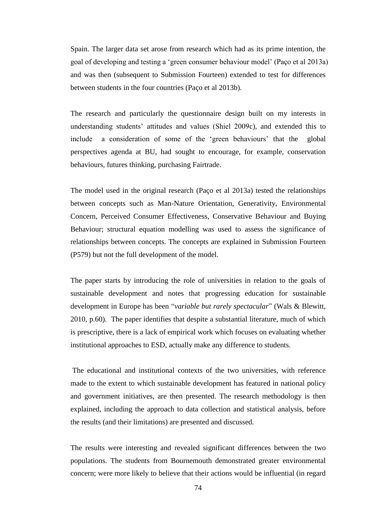Spain. The larger data set arose from research which had as its prime intention, the goal of developing and testing a 'green consumer behaviour model' (Paço et al 2013a) and was then (subsequent to Submission Fourteen) extended to test for differences between students in the four countries (Paço et al 2013b).

The research and particularly the questionnaire design built on my interests in understanding students' attitudes and values (Shiel 2009c), and extended this to include a consideration of some of the 'green behaviours' that the global perspectives agenda at BU, had sought to encourage, for example, conservation behaviours, futures thinking, purchasing Fairtrade.

The model used in the original research (Paço et al 2013a) tested the relationships between concepts such as Man-Nature Orientation, Generativity, Environmental Concern, Perceived Consumer Effectiveness, Conservative Behaviour and Buying Behaviour; structural equation modelling was used to assess the significance of relationships between concepts. The concepts are explained in Submission Fourteen (P579) but not the full development of the model.

The paper starts by introducing the role of universities in relation to the goals of sustainable development and notes that progressing education for sustainable development in Europe has been "*variable but rarely spectacular*" (Wals & Blewitt, 2010, p.60). The paper identifies that despite a substantial literature, much of which is prescriptive, there is a lack of empirical work which focuses on evaluating whether institutional approaches to ESD, actually make any difference to students.

The educational and institutional contexts of the two universities, with reference made to the extent to which sustainable development has featured in national policy and government initiatives, are then presented. The research methodology is then explained, including the approach to data collection and statistical analysis, before the results (and their limitations) are presented and discussed.

The results were interesting and revealed significant differences between the two populations. The students from Bournemouth demonstrated greater environmental concern; were more likely to believe that their actions would be influential (in regard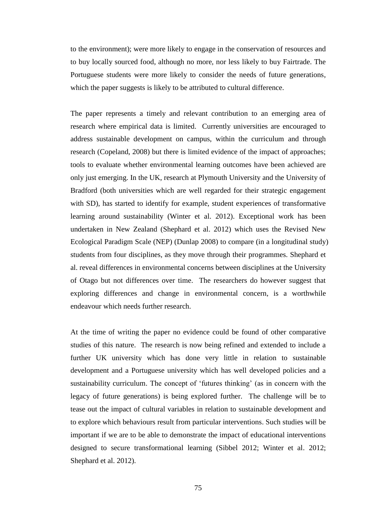to the environment); were more likely to engage in the conservation of resources and to buy locally sourced food, although no more, nor less likely to buy Fairtrade. The Portuguese students were more likely to consider the needs of future generations, which the paper suggests is likely to be attributed to cultural difference.

The paper represents a timely and relevant contribution to an emerging area of research where empirical data is limited. Currently universities are encouraged to address sustainable development on campus, within the curriculum and through research (Copeland, 2008) but there is limited evidence of the impact of approaches; tools to evaluate whether environmental learning outcomes have been achieved are only just emerging. In the UK, research at Plymouth University and the University of Bradford (both universities which are well regarded for their strategic engagement with SD), has started to identify for example, student experiences of transformative learning around sustainability (Winter et al. 2012). Exceptional work has been undertaken in New Zealand (Shephard et al. 2012) which uses the Revised New Ecological Paradigm Scale (NEP) (Dunlap 2008) to compare (in a longitudinal study) students from four disciplines, as they move through their programmes. Shephard et al. reveal differences in environmental concerns between disciplines at the University of Otago but not differences over time. The researchers do however suggest that exploring differences and change in environmental concern, is a worthwhile endeavour which needs further research.

At the time of writing the paper no evidence could be found of other comparative studies of this nature. The research is now being refined and extended to include a further UK university which has done very little in relation to sustainable development and a Portuguese university which has well developed policies and a sustainability curriculum. The concept of 'futures thinking' (as in concern with the legacy of future generations) is being explored further. The challenge will be to tease out the impact of cultural variables in relation to sustainable development and to explore which behaviours result from particular interventions. Such studies will be important if we are to be able to demonstrate the impact of educational interventions designed to secure transformational learning (Sibbel 2012; Winter et al. 2012; Shephard et al. 2012).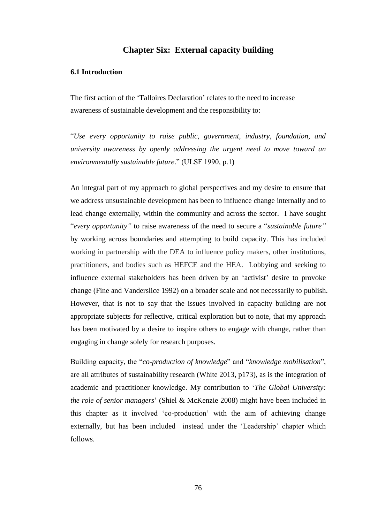## **Chapter Six: External capacity building**

### **6.1 Introduction**

The first action of the 'Talloires Declaration' relates to the need to increase awareness of sustainable development and the responsibility to:

"*Use every opportunity to raise public, government, industry, foundation, and university awareness by openly addressing the urgent need to move toward an environmentally sustainable future*." (ULSF 1990, p.1)

An integral part of my approach to global perspectives and my desire to ensure that we address unsustainable development has been to influence change internally and to lead change externally, within the community and across the sector. I have sought "*every opportunity"* to raise awareness of the need to secure a "*sustainable future"*  by working across boundaries and attempting to build capacity. This has included working in partnership with the DEA to influence policy makers, other institutions, practitioners, and bodies such as HEFCE and the HEA. Lobbying and seeking to influence external stakeholders has been driven by an 'activist' desire to provoke change (Fine and Vanderslice 1992) on a broader scale and not necessarily to publish. However, that is not to say that the issues involved in capacity building are not appropriate subjects for reflective, critical exploration but to note, that my approach has been motivated by a desire to inspire others to engage with change, rather than engaging in change solely for research purposes.

Building capacity, the "*co-production of knowledge*" and "*knowledge mobilisation*", are all attributes of sustainability research (White 2013, p173), as is the integration of academic and practitioner knowledge. My contribution to '*The Global University: the role of senior managers*' (Shiel & McKenzie 2008) might have been included in this chapter as it involved 'co-production' with the aim of achieving change externally, but has been included instead under the 'Leadership' chapter which follows.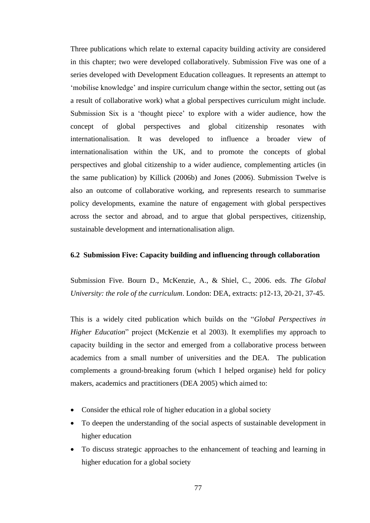Three publications which relate to external capacity building activity are considered in this chapter; two were developed collaboratively. Submission Five was one of a series developed with Development Education colleagues. It represents an attempt to 'mobilise knowledge' and inspire curriculum change within the sector, setting out (as a result of collaborative work) what a global perspectives curriculum might include. Submission Six is a 'thought piece' to explore with a wider audience, how the concept of global perspectives and global citizenship resonates with internationalisation. It was developed to influence a broader view of internationalisation within the UK, and to promote the concepts of global perspectives and global citizenship to a wider audience, complementing articles (in the same publication) by Killick (2006b) and Jones (2006). Submission Twelve is also an outcome of collaborative working, and represents research to summarise policy developments, examine the nature of engagement with global perspectives across the sector and abroad, and to argue that global perspectives, citizenship, sustainable development and internationalisation align.

### **6.2 Submission Five: Capacity building and influencing through collaboration**

Submission Five. Bourn D., McKenzie, A., & Shiel, C., 2006. eds. *The Global University: the role of the curriculum*. London: DEA, extracts: p12-13, 20-21, 37-45.

This is a widely cited publication which builds on the "*Global Perspectives in Higher Education*" project (McKenzie et al 2003). It exemplifies my approach to capacity building in the sector and emerged from a collaborative process between academics from a small number of universities and the DEA. The publication complements a ground-breaking forum (which I helped organise) held for policy makers, academics and practitioners (DEA 2005) which aimed to:

- Consider the ethical role of higher education in a global society
- To deepen the understanding of the social aspects of sustainable development in higher education
- To discuss strategic approaches to the enhancement of teaching and learning in higher education for a global society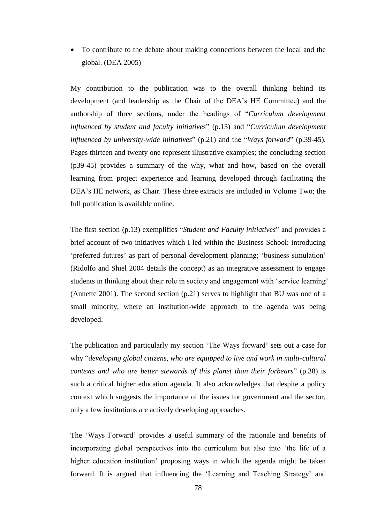To contribute to the debate about making connections between the local and the global. (DEA 2005)

My contribution to the publication was to the overall thinking behind its development (and leadership as the Chair of the DEA's HE Committee) and the authorship of three sections, under the headings of "*Curriculum development influenced by student and faculty initiatives*" (p.13) and "*Curriculum development influenced by university-wide initiatives*" (p.21) and the "*Ways forward*" (p.39-45). Pages thirteen and twenty one represent illustrative examples; the concluding section (p39-45) provides a summary of the why, what and how, based on the overall learning from project experience and learning developed through facilitating the DEA's HE network, as Chair. These three extracts are included in Volume Two; the full publication is available online.

The first section (p.13) exemplifies "*Student and Faculty initiatives*" and provides a brief account of two initiatives which I led within the Business School: introducing 'preferred futures' as part of personal development planning; 'business simulation' (Ridolfo and Shiel 2004 details the concept) as an integrative assessment to engage students in thinking about their role in society and engagement with 'service learning' (Annette 2001). The second section (p.21) serves to highlight that BU was one of a small minority, where an institution-wide approach to the agenda was being developed.

The publication and particularly my section 'The Ways forward' sets out a case for why "*developing global citizens, who are equipped to live and work in multi-cultural contexts and who are better stewards of this planet than their forbears*" (p.38) is such a critical higher education agenda. It also acknowledges that despite a policy context which suggests the importance of the issues for government and the sector, only a few institutions are actively developing approaches.

The 'Ways Forward' provides a useful summary of the rationale and benefits of incorporating global perspectives into the curriculum but also into 'the life of a higher education institution' proposing ways in which the agenda might be taken forward. It is argued that influencing the 'Learning and Teaching Strategy' and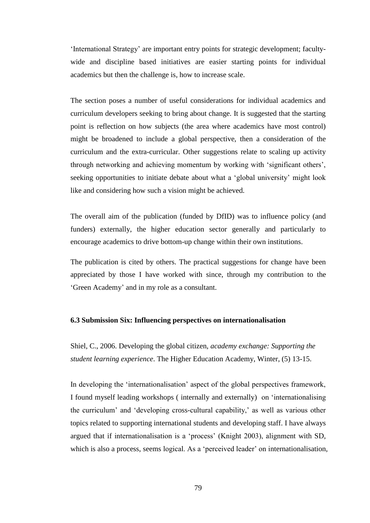'International Strategy' are important entry points for strategic development; facultywide and discipline based initiatives are easier starting points for individual academics but then the challenge is, how to increase scale.

The section poses a number of useful considerations for individual academics and curriculum developers seeking to bring about change. It is suggested that the starting point is reflection on how subjects (the area where academics have most control) might be broadened to include a global perspective, then a consideration of the curriculum and the extra-curricular. Other suggestions relate to scaling up activity through networking and achieving momentum by working with 'significant others', seeking opportunities to initiate debate about what a 'global university' might look like and considering how such a vision might be achieved.

The overall aim of the publication (funded by DfID) was to influence policy (and funders) externally, the higher education sector generally and particularly to encourage academics to drive bottom-up change within their own institutions.

The publication is cited by others. The practical suggestions for change have been appreciated by those I have worked with since, through my contribution to the 'Green Academy' and in my role as a consultant.

#### **6.3 Submission Six: Influencing perspectives on internationalisation**

Shiel, C., 2006. Developing the global citizen, *academy exchange: Supporting the student learning experience*. The Higher Education Academy, Winter, (5) 13-15.

In developing the 'internationalisation' aspect of the global perspectives framework, I found myself leading workshops ( internally and externally) on 'internationalising the curriculum' and 'developing cross-cultural capability,' as well as various other topics related to supporting international students and developing staff. I have always argued that if internationalisation is a 'process' (Knight 2003), alignment with SD, which is also a process, seems logical. As a 'perceived leader' on internationalisation,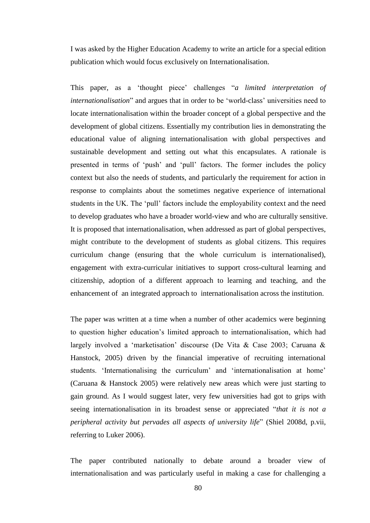I was asked by the Higher Education Academy to write an article for a special edition publication which would focus exclusively on Internationalisation.

This paper, as a 'thought piece' challenges "*a limited interpretation of internationalisation*" and argues that in order to be 'world-class' universities need to locate internationalisation within the broader concept of a global perspective and the development of global citizens. Essentially my contribution lies in demonstrating the educational value of aligning internationalisation with global perspectives and sustainable development and setting out what this encapsulates. A rationale is presented in terms of 'push' and 'pull' factors. The former includes the policy context but also the needs of students, and particularly the requirement for action in response to complaints about the sometimes negative experience of international students in the UK. The 'pull' factors include the employability context and the need to develop graduates who have a broader world-view and who are culturally sensitive. It is proposed that internationalisation, when addressed as part of global perspectives, might contribute to the development of students as global citizens. This requires curriculum change (ensuring that the whole curriculum is internationalised), engagement with extra-curricular initiatives to support cross-cultural learning and citizenship, adoption of a different approach to learning and teaching, and the enhancement of an integrated approach to internationalisation across the institution.

The paper was written at a time when a number of other academics were beginning to question higher education's limited approach to internationalisation, which had largely involved a 'marketisation' discourse (De Vita & Case 2003; Caruana & Hanstock, 2005) driven by the financial imperative of recruiting international students. 'Internationalising the curriculum' and 'internationalisation at home' (Caruana & Hanstock 2005) were relatively new areas which were just starting to gain ground. As I would suggest later, very few universities had got to grips with seeing internationalisation in its broadest sense or appreciated "*that it is not a peripheral activity but pervades all aspects of university life*" (Shiel 2008d, p.vii, referring to Luker 2006).

The paper contributed nationally to debate around a broader view of internationalisation and was particularly useful in making a case for challenging a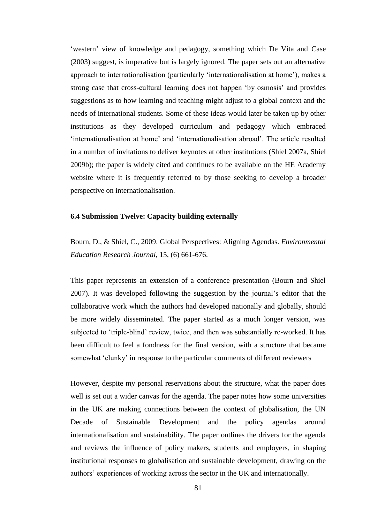'western' view of knowledge and pedagogy, something which De Vita and Case (2003) suggest, is imperative but is largely ignored. The paper sets out an alternative approach to internationalisation (particularly 'internationalisation at home'), makes a strong case that cross-cultural learning does not happen 'by osmosis' and provides suggestions as to how learning and teaching might adjust to a global context and the needs of international students. Some of these ideas would later be taken up by other institutions as they developed curriculum and pedagogy which embraced 'internationalisation at home' and 'internationalisation abroad'. The article resulted in a number of invitations to deliver keynotes at other institutions (Shiel 2007a, Shiel 2009b); the paper is widely cited and continues to be available on the HE Academy website where it is frequently referred to by those seeking to develop a broader perspective on internationalisation.

#### **6.4 Submission Twelve: Capacity building externally**

Bourn, D., & Shiel, C., 2009. Global Perspectives: Aligning Agendas. *Environmental Education Research Journal*, 15, (6) 661-676.

This paper represents an extension of a conference presentation (Bourn and Shiel 2007). It was developed following the suggestion by the journal's editor that the collaborative work which the authors had developed nationally and globally, should be more widely disseminated. The paper started as a much longer version, was subjected to 'triple-blind' review, twice, and then was substantially re-worked. It has been difficult to feel a fondness for the final version, with a structure that became somewhat 'clunky' in response to the particular comments of different reviewers

However, despite my personal reservations about the structure, what the paper does well is set out a wider canvas for the agenda. The paper notes how some universities in the UK are making connections between the context of globalisation, the UN Decade of Sustainable Development and the policy agendas around internationalisation and sustainability. The paper outlines the drivers for the agenda and reviews the influence of policy makers, students and employers, in shaping institutional responses to globalisation and sustainable development, drawing on the authors' experiences of working across the sector in the UK and internationally.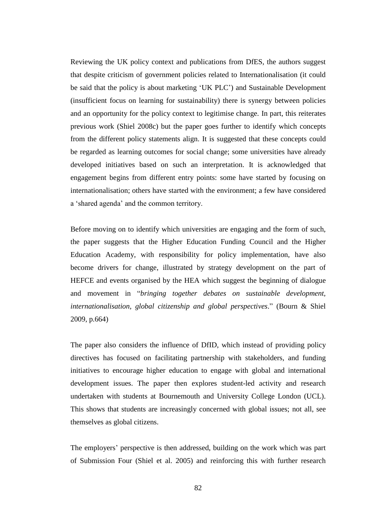Reviewing the UK policy context and publications from DfES, the authors suggest that despite criticism of government policies related to Internationalisation (it could be said that the policy is about marketing 'UK PLC') and Sustainable Development (insufficient focus on learning for sustainability) there is synergy between policies and an opportunity for the policy context to legitimise change. In part, this reiterates previous work (Shiel 2008c) but the paper goes further to identify which concepts from the different policy statements align. It is suggested that these concepts could be regarded as learning outcomes for social change; some universities have already developed initiatives based on such an interpretation. It is acknowledged that engagement begins from different entry points: some have started by focusing on internationalisation; others have started with the environment; a few have considered a 'shared agenda' and the common territory.

Before moving on to identify which universities are engaging and the form of such, the paper suggests that the Higher Education Funding Council and the Higher Education Academy, with responsibility for policy implementation, have also become drivers for change, illustrated by strategy development on the part of HEFCE and events organised by the HEA which suggest the beginning of dialogue and movement in "*bringing together debates on sustainable development, internationalisation, global citizenship and global perspectives*." (Bourn & Shiel 2009, p.664)

The paper also considers the influence of DfID, which instead of providing policy directives has focused on facilitating partnership with stakeholders, and funding initiatives to encourage higher education to engage with global and international development issues. The paper then explores student-led activity and research undertaken with students at Bournemouth and University College London (UCL). This shows that students are increasingly concerned with global issues; not all, see themselves as global citizens.

The employers' perspective is then addressed, building on the work which was part of Submission Four (Shiel et al. 2005) and reinforcing this with further research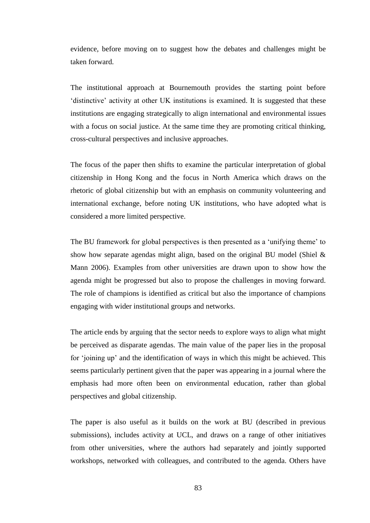evidence, before moving on to suggest how the debates and challenges might be taken forward.

The institutional approach at Bournemouth provides the starting point before 'distinctive' activity at other UK institutions is examined. It is suggested that these institutions are engaging strategically to align international and environmental issues with a focus on social justice. At the same time they are promoting critical thinking, cross-cultural perspectives and inclusive approaches.

The focus of the paper then shifts to examine the particular interpretation of global citizenship in Hong Kong and the focus in North America which draws on the rhetoric of global citizenship but with an emphasis on community volunteering and international exchange, before noting UK institutions, who have adopted what is considered a more limited perspective.

The BU framework for global perspectives is then presented as a 'unifying theme' to show how separate agendas might align, based on the original BU model (Shiel & Mann 2006). Examples from other universities are drawn upon to show how the agenda might be progressed but also to propose the challenges in moving forward. The role of champions is identified as critical but also the importance of champions engaging with wider institutional groups and networks.

The article ends by arguing that the sector needs to explore ways to align what might be perceived as disparate agendas. The main value of the paper lies in the proposal for 'joining up' and the identification of ways in which this might be achieved. This seems particularly pertinent given that the paper was appearing in a journal where the emphasis had more often been on environmental education, rather than global perspectives and global citizenship.

The paper is also useful as it builds on the work at BU (described in previous submissions), includes activity at UCL, and draws on a range of other initiatives from other universities, where the authors had separately and jointly supported workshops, networked with colleagues, and contributed to the agenda. Others have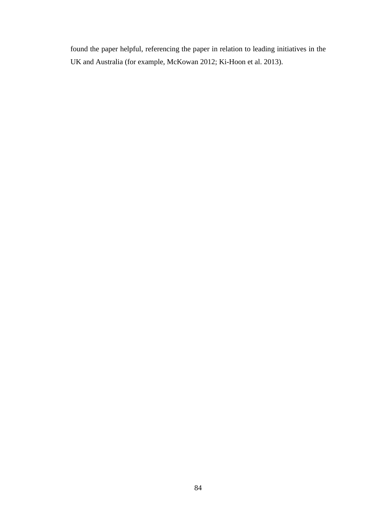found the paper helpful, referencing the paper in relation to leading initiatives in the UK and Australia (for example, McKowan 2012; Ki-Hoon et al. 2013).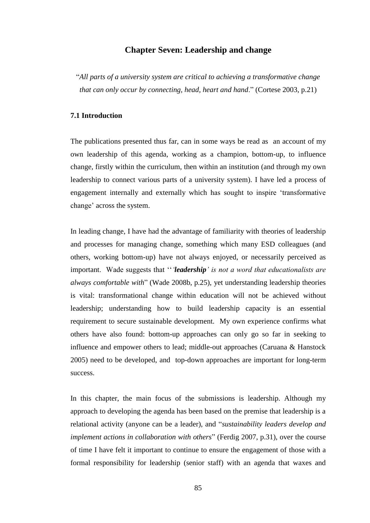## **Chapter Seven: Leadership and change**

"*All parts of a university system are critical to achieving a transformative change that can only occur by connecting, head, heart and hand*." (Cortese 2003, p.21)

## **7.1 Introduction**

The publications presented thus far, can in some ways be read as an account of my own leadership of this agenda, working as a champion, bottom-up, to influence change, firstly within the curriculum, then within an institution (and through my own leadership to connect various parts of a university system). I have led a process of engagement internally and externally which has sought to inspire 'transformative change' across the system.

In leading change, I have had the advantage of familiarity with theories of leadership and processes for managing change, something which many ESD colleagues (and others, working bottom-up) have not always enjoyed, or necessarily perceived as important. Wade suggests that ''*'leadership' is not a word that educationalists are always comfortable with*" (Wade 2008b, p.25), yet understanding leadership theories is vital: transformational change within education will not be achieved without leadership; understanding how to build leadership capacity is an essential requirement to secure sustainable development. My own experience confirms what others have also found: bottom-up approaches can only go so far in seeking to influence and empower others to lead; middle-out approaches (Caruana & Hanstock 2005) need to be developed, and top-down approaches are important for long-term success.

In this chapter, the main focus of the submissions is leadership. Although my approach to developing the agenda has been based on the premise that leadership is a relational activity (anyone can be a leader), and "*sustainability leaders develop and implement actions in collaboration with others*" (Ferdig 2007, p.31), over the course of time I have felt it important to continue to ensure the engagement of those with a formal responsibility for leadership (senior staff) with an agenda that waxes and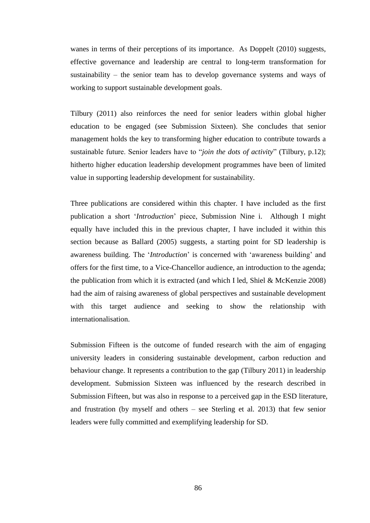wanes in terms of their perceptions of its importance. As Doppelt (2010) suggests, effective governance and leadership are central to long-term transformation for sustainability – the senior team has to develop governance systems and ways of working to support sustainable development goals.

Tilbury (2011) also reinforces the need for senior leaders within global higher education to be engaged (see Submission Sixteen). She concludes that senior management holds the key to transforming higher education to contribute towards a sustainable future. Senior leaders have to "*join the dots of activity*" (Tilbury, p.12); hitherto higher education leadership development programmes have been of limited value in supporting leadership development for sustainability.

Three publications are considered within this chapter. I have included as the first publication a short '*Introduction*' piece, Submission Nine i. Although I might equally have included this in the previous chapter, I have included it within this section because as Ballard (2005) suggests, a starting point for SD leadership is awareness building. The '*Introduction*' is concerned with 'awareness building' and offers for the first time, to a Vice-Chancellor audience, an introduction to the agenda; the publication from which it is extracted (and which I led, Shiel & McKenzie 2008) had the aim of raising awareness of global perspectives and sustainable development with this target audience and seeking to show the relationship with internationalisation.

Submission Fifteen is the outcome of funded research with the aim of engaging university leaders in considering sustainable development, carbon reduction and behaviour change. It represents a contribution to the gap (Tilbury 2011) in leadership development. Submission Sixteen was influenced by the research described in Submission Fifteen, but was also in response to a perceived gap in the ESD literature, and frustration (by myself and others – see Sterling et al. 2013) that few senior leaders were fully committed and exemplifying leadership for SD.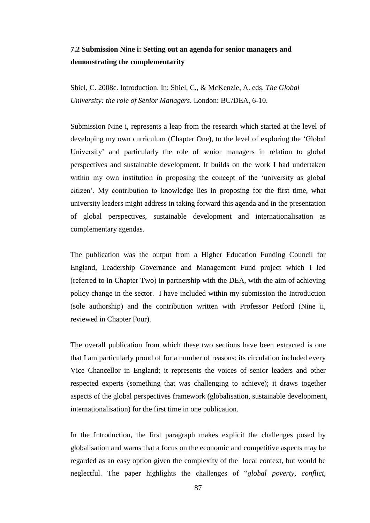## **7.2 Submission Nine i: Setting out an agenda for senior managers and demonstrating the complementarity**

Shiel, C. 2008c. Introduction. In: Shiel, C., & McKenzie, A. eds. *The Global University: the role of Senior Managers*. London: BU/DEA, 6-10.

Submission Nine i, represents a leap from the research which started at the level of developing my own curriculum (Chapter One), to the level of exploring the 'Global University' and particularly the role of senior managers in relation to global perspectives and sustainable development. It builds on the work I had undertaken within my own institution in proposing the concept of the 'university as global citizen'. My contribution to knowledge lies in proposing for the first time, what university leaders might address in taking forward this agenda and in the presentation of global perspectives, sustainable development and internationalisation as complementary agendas.

The publication was the output from a Higher Education Funding Council for England, Leadership Governance and Management Fund project which I led (referred to in Chapter Two) in partnership with the DEA, with the aim of achieving policy change in the sector. I have included within my submission the Introduction (sole authorship) and the contribution written with Professor Petford (Nine ii, reviewed in Chapter Four).

The overall publication from which these two sections have been extracted is one that I am particularly proud of for a number of reasons: its circulation included every Vice Chancellor in England; it represents the voices of senior leaders and other respected experts (something that was challenging to achieve); it draws together aspects of the global perspectives framework (globalisation, sustainable development, internationalisation) for the first time in one publication.

In the Introduction, the first paragraph makes explicit the challenges posed by globalisation and warns that a focus on the economic and competitive aspects may be regarded as an easy option given the complexity of the local context, but would be neglectful. The paper highlights the challenges of "*global poverty, conflict,*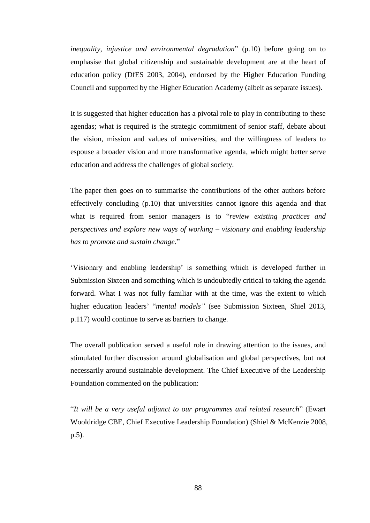*inequality, injustice and environmental degradation*" (p.10) before going on to emphasise that global citizenship and sustainable development are at the heart of education policy (DfES 2003, 2004), endorsed by the Higher Education Funding Council and supported by the Higher Education Academy (albeit as separate issues).

It is suggested that higher education has a pivotal role to play in contributing to these agendas; what is required is the strategic commitment of senior staff, debate about the vision, mission and values of universities, and the willingness of leaders to espouse a broader vision and more transformative agenda, which might better serve education and address the challenges of global society.

The paper then goes on to summarise the contributions of the other authors before effectively concluding (p.10) that universities cannot ignore this agenda and that what is required from senior managers is to "*review existing practices and perspectives and explore new ways of working – visionary and enabling leadership has to promote and sustain change.*"

'Visionary and enabling leadership' is something which is developed further in Submission Sixteen and something which is undoubtedly critical to taking the agenda forward. What I was not fully familiar with at the time, was the extent to which higher education leaders' "*mental models"* (see Submission Sixteen, Shiel 2013, p.117) would continue to serve as barriers to change.

The overall publication served a useful role in drawing attention to the issues, and stimulated further discussion around globalisation and global perspectives, but not necessarily around sustainable development. The Chief Executive of the Leadership Foundation commented on the publication:

"*It will be a very useful adjunct to our programmes and related research*" (Ewart Wooldridge CBE, Chief Executive Leadership Foundation) (Shiel & McKenzie 2008, p.5).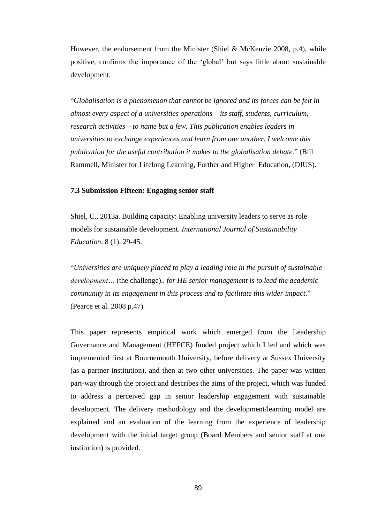However, the endorsement from the Minister (Shiel & McKenzie 2008, p.4), while positive, confirms the importance of the 'global' but says little about sustainable development.

"*Globalisation is a phenomenon that cannot be ignored and its forces can be felt in almost every aspect of a universities operations – its staff, students, curriculum, research activities – to name but a few. This publication enables leaders in universities to exchange experiences and learn from one another. I welcome this publication for the useful contribution it makes to the globalisation debate.*" (Bill Rammell, Minister for Lifelong Learning, Further and Higher Education, (DIUS).

#### **7.3 Submission Fifteen: Engaging senior staff**

Shiel, C., 2013a. Building capacity: Enabling university leaders to serve as role models for sustainable development. *International Journal of Sustainability Education*, 8 (1), 29-45.

"*Universities are uniquely placed to play a leading role in the pursuit of sustainable development…* (the challenge).. *for HE senior management is to lead the academic community in its engagement in this process and to facilitate this wider impact*." (Pearce et al. 2008 p.47)

This paper represents empirical work which emerged from the Leadership Governance and Management (HEFCE) funded project which I led and which was implemented first at Bournemouth University, before delivery at Sussex University (as a partner institution), and then at two other universities. The paper was written part-way through the project and describes the aims of the project, which was funded to address a perceived gap in senior leadership engagement with sustainable development. The delivery methodology and the development/learning model are explained and an evaluation of the learning from the experience of leadership development with the initial target group (Board Members and senior staff at one institution) is provided.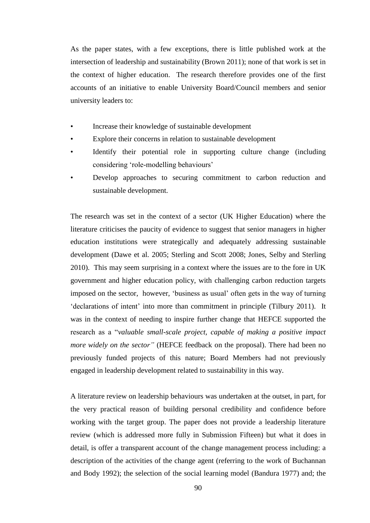As the paper states, with a few exceptions, there is little published work at the intersection of leadership and sustainability (Brown 2011); none of that work is set in the context of higher education. The research therefore provides one of the first accounts of an initiative to enable University Board/Council members and senior university leaders to:

- Increase their knowledge of sustainable development
- Explore their concerns in relation to sustainable development
- Identify their potential role in supporting culture change (including considering 'role-modelling behaviours'
- Develop approaches to securing commitment to carbon reduction and sustainable development.

The research was set in the context of a sector (UK Higher Education) where the literature criticises the paucity of evidence to suggest that senior managers in higher education institutions were strategically and adequately addressing sustainable development (Dawe et al. 2005; Sterling and Scott 2008; Jones, Selby and Sterling 2010). This may seem surprising in a context where the issues are to the fore in UK government and higher education policy, with challenging carbon reduction targets imposed on the sector, however, 'business as usual' often gets in the way of turning 'declarations of intent' into more than commitment in principle (Tilbury 2011). It was in the context of needing to inspire further change that HEFCE supported the research as a "*valuable small-scale project, capable of making a positive impact more widely on the sector"* (HEFCE feedback on the proposal). There had been no previously funded projects of this nature; Board Members had not previously engaged in leadership development related to sustainability in this way.

A literature review on leadership behaviours was undertaken at the outset, in part, for the very practical reason of building personal credibility and confidence before working with the target group. The paper does not provide a leadership literature review (which is addressed more fully in Submission Fifteen) but what it does in detail, is offer a transparent account of the change management process including: a description of the activities of the change agent (referring to the work of Buchannan and Body 1992); the selection of the social learning model (Bandura 1977) and; the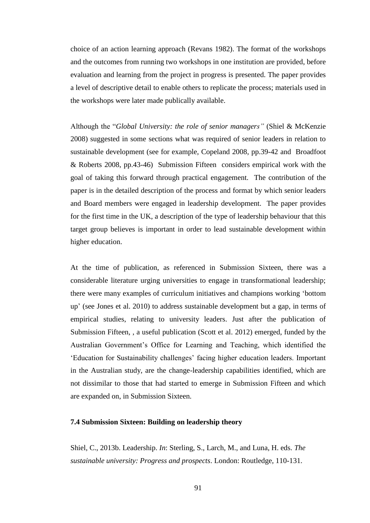choice of an action learning approach (Revans 1982). The format of the workshops and the outcomes from running two workshops in one institution are provided, before evaluation and learning from the project in progress is presented. The paper provides a level of descriptive detail to enable others to replicate the process; materials used in the workshops were later made publically available.

Although the "*Global University: the role of senior managers"* (Shiel & McKenzie 2008) suggested in some sections what was required of senior leaders in relation to sustainable development (see for example, Copeland 2008, pp.39-42 and Broadfoot & Roberts 2008, pp.43-46) Submission Fifteen considers empirical work with the goal of taking this forward through practical engagement. The contribution of the paper is in the detailed description of the process and format by which senior leaders and Board members were engaged in leadership development. The paper provides for the first time in the UK, a description of the type of leadership behaviour that this target group believes is important in order to lead sustainable development within higher education.

At the time of publication, as referenced in Submission Sixteen, there was a considerable literature urging universities to engage in transformational leadership; there were many examples of curriculum initiatives and champions working 'bottom up' (see Jones et al. 2010) to address sustainable development but a gap, in terms of empirical studies, relating to university leaders. Just after the publication of Submission Fifteen, , a useful publication (Scott et al. 2012) emerged, funded by the Australian Government's Office for Learning and Teaching, which identified the 'Education for Sustainability challenges' facing higher education leaders. Important in the Australian study, are the change-leadership capabilities identified, which are not dissimilar to those that had started to emerge in Submission Fifteen and which are expanded on, in Submission Sixteen.

### **7.4 Submission Sixteen: Building on leadership theory**

Shiel, C., 2013b. Leadership. *In*: Sterling, S., Larch, M., and Luna, H. eds. *The sustainable university: Progress and prospects*. London: Routledge, 110-131.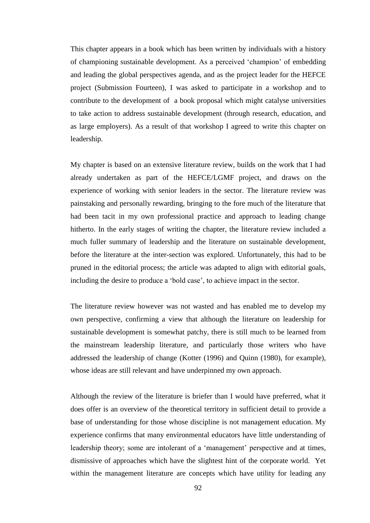This chapter appears in a book which has been written by individuals with a history of championing sustainable development. As a perceived 'champion' of embedding and leading the global perspectives agenda, and as the project leader for the HEFCE project (Submission Fourteen), I was asked to participate in a workshop and to contribute to the development of a book proposal which might catalyse universities to take action to address sustainable development (through research, education, and as large employers). As a result of that workshop I agreed to write this chapter on leadership.

My chapter is based on an extensive literature review, builds on the work that I had already undertaken as part of the HEFCE/LGMF project, and draws on the experience of working with senior leaders in the sector. The literature review was painstaking and personally rewarding, bringing to the fore much of the literature that had been tacit in my own professional practice and approach to leading change hitherto. In the early stages of writing the chapter, the literature review included a much fuller summary of leadership and the literature on sustainable development, before the literature at the inter-section was explored. Unfortunately, this had to be pruned in the editorial process; the article was adapted to align with editorial goals, including the desire to produce a 'bold case', to achieve impact in the sector.

The literature review however was not wasted and has enabled me to develop my own perspective, confirming a view that although the literature on leadership for sustainable development is somewhat patchy, there is still much to be learned from the mainstream leadership literature, and particularly those writers who have addressed the leadership of change (Kotter (1996) and Quinn (1980), for example), whose ideas are still relevant and have underpinned my own approach.

Although the review of the literature is briefer than I would have preferred, what it does offer is an overview of the theoretical territory in sufficient detail to provide a base of understanding for those whose discipline is not management education. My experience confirms that many environmental educators have little understanding of leadership theory; some are intolerant of a 'management' perspective and at times, dismissive of approaches which have the slightest hint of the corporate world. Yet within the management literature are concepts which have utility for leading any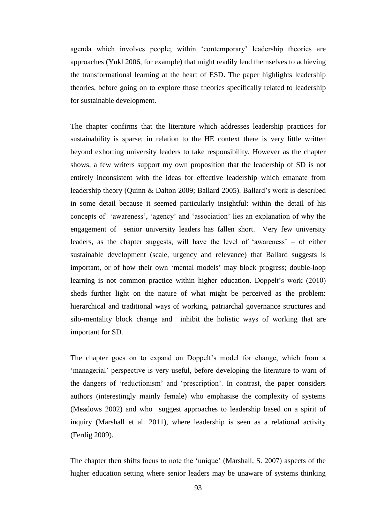agenda which involves people; within 'contemporary' leadership theories are approaches (Yukl 2006, for example) that might readily lend themselves to achieving the transformational learning at the heart of ESD. The paper highlights leadership theories, before going on to explore those theories specifically related to leadership for sustainable development.

The chapter confirms that the literature which addresses leadership practices for sustainability is sparse; in relation to the HE context there is very little written beyond exhorting university leaders to take responsibility. However as the chapter shows, a few writers support my own proposition that the leadership of SD is not entirely inconsistent with the ideas for effective leadership which emanate from leadership theory (Quinn & Dalton 2009; Ballard 2005). Ballard's work is described in some detail because it seemed particularly insightful: within the detail of his concepts of 'awareness', 'agency' and 'association' lies an explanation of why the engagement of senior university leaders has fallen short. Very few university leaders, as the chapter suggests, will have the level of 'awareness' – of either sustainable development (scale, urgency and relevance) that Ballard suggests is important, or of how their own 'mental models' may block progress; double-loop learning is not common practice within higher education. Doppelt's work (2010) sheds further light on the nature of what might be perceived as the problem: hierarchical and traditional ways of working, patriarchal governance structures and silo-mentality block change and inhibit the holistic ways of working that are important for SD.

The chapter goes on to expand on Doppelt's model for change, which from a 'managerial' perspective is very useful, before developing the literature to warn of the dangers of 'reductionism' and 'prescription'. In contrast, the paper considers authors (interestingly mainly female) who emphasise the complexity of systems (Meadows 2002) and who suggest approaches to leadership based on a spirit of inquiry (Marshall et al. 2011), where leadership is seen as a relational activity (Ferdig 2009).

The chapter then shifts focus to note the 'unique' (Marshall, S. 2007) aspects of the higher education setting where senior leaders may be unaware of systems thinking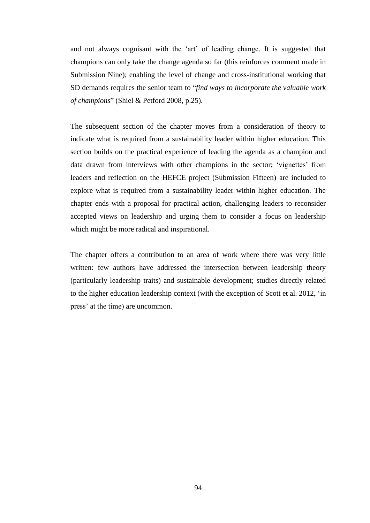and not always cognisant with the 'art' of leading change. It is suggested that champions can only take the change agenda so far (this reinforces comment made in Submission Nine); enabling the level of change and cross-institutional working that SD demands requires the senior team to "*find ways to incorporate the valuable work of champions*" (Shiel & Petford 2008, p.25).

The subsequent section of the chapter moves from a consideration of theory to indicate what is required from a sustainability leader within higher education. This section builds on the practical experience of leading the agenda as a champion and data drawn from interviews with other champions in the sector; 'vignettes' from leaders and reflection on the HEFCE project (Submission Fifteen) are included to explore what is required from a sustainability leader within higher education. The chapter ends with a proposal for practical action, challenging leaders to reconsider accepted views on leadership and urging them to consider a focus on leadership which might be more radical and inspirational.

The chapter offers a contribution to an area of work where there was very little written: few authors have addressed the intersection between leadership theory (particularly leadership traits) and sustainable development; studies directly related to the higher education leadership context (with the exception of Scott et al. 2012, 'in press' at the time) are uncommon.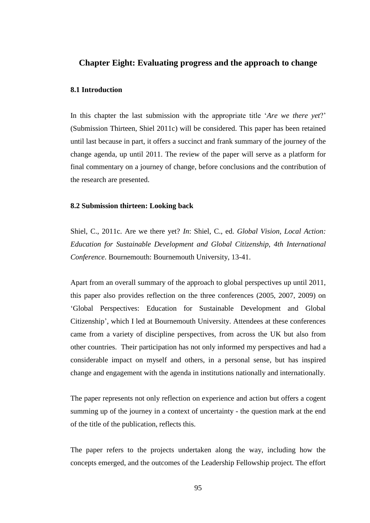## **Chapter Eight: Evaluating progress and the approach to change**

#### **8.1 Introduction**

In this chapter the last submission with the appropriate title '*Are we there yet*?' (Submission Thirteen, Shiel 2011c) will be considered. This paper has been retained until last because in part, it offers a succinct and frank summary of the journey of the change agenda, up until 2011. The review of the paper will serve as a platform for final commentary on a journey of change, before conclusions and the contribution of the research are presented.

#### **8.2 Submission thirteen: Looking back**

Shiel, C., 2011c. Are we there yet? *In*: Shiel, C., ed. *Global Vision, Local Action: Education for Sustainable Development and Global Citizenship, 4th International Conference*. Bournemouth: Bournemouth University, 13-41.

Apart from an overall summary of the approach to global perspectives up until 2011, this paper also provides reflection on the three conferences (2005, 2007, 2009) on 'Global Perspectives: Education for Sustainable Development and Global Citizenship', which I led at Bournemouth University. Attendees at these conferences came from a variety of discipline perspectives, from across the UK but also from other countries. Their participation has not only informed my perspectives and had a considerable impact on myself and others, in a personal sense, but has inspired change and engagement with the agenda in institutions nationally and internationally.

The paper represents not only reflection on experience and action but offers a cogent summing up of the journey in a context of uncertainty - the question mark at the end of the title of the publication, reflects this.

The paper refers to the projects undertaken along the way, including how the concepts emerged, and the outcomes of the Leadership Fellowship project. The effort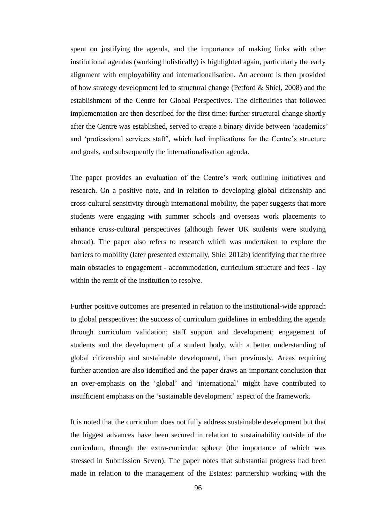spent on justifying the agenda, and the importance of making links with other institutional agendas (working holistically) is highlighted again, particularly the early alignment with employability and internationalisation. An account is then provided of how strategy development led to structural change (Petford & Shiel, 2008) and the establishment of the Centre for Global Perspectives. The difficulties that followed implementation are then described for the first time: further structural change shortly after the Centre was established, served to create a binary divide between 'academics' and 'professional services staff', which had implications for the Centre's structure and goals, and subsequently the internationalisation agenda.

The paper provides an evaluation of the Centre's work outlining initiatives and research. On a positive note, and in relation to developing global citizenship and cross-cultural sensitivity through international mobility, the paper suggests that more students were engaging with summer schools and overseas work placements to enhance cross-cultural perspectives (although fewer UK students were studying abroad). The paper also refers to research which was undertaken to explore the barriers to mobility (later presented externally, Shiel 2012b) identifying that the three main obstacles to engagement - accommodation, curriculum structure and fees - lay within the remit of the institution to resolve.

Further positive outcomes are presented in relation to the institutional-wide approach to global perspectives: the success of curriculum guidelines in embedding the agenda through curriculum validation; staff support and development; engagement of students and the development of a student body, with a better understanding of global citizenship and sustainable development, than previously. Areas requiring further attention are also identified and the paper draws an important conclusion that an over-emphasis on the 'global' and 'international' might have contributed to insufficient emphasis on the 'sustainable development' aspect of the framework.

It is noted that the curriculum does not fully address sustainable development but that the biggest advances have been secured in relation to sustainability outside of the curriculum, through the extra-curricular sphere (the importance of which was stressed in Submission Seven). The paper notes that substantial progress had been made in relation to the management of the Estates: partnership working with the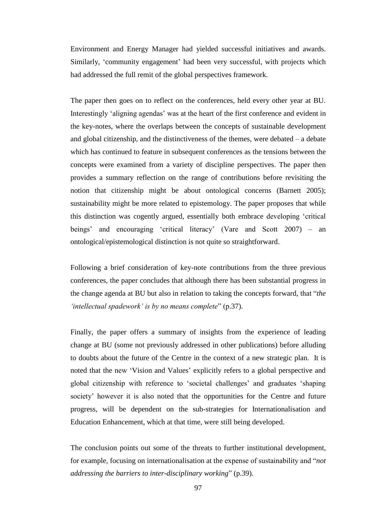Environment and Energy Manager had yielded successful initiatives and awards. Similarly, 'community engagement' had been very successful, with projects which had addressed the full remit of the global perspectives framework.

The paper then goes on to reflect on the conferences, held every other year at BU. Interestingly 'aligning agendas' was at the heart of the first conference and evident in the key-notes, where the overlaps between the concepts of sustainable development and global citizenship, and the distinctiveness of the themes, were debated – a debate which has continued to feature in subsequent conferences as the tensions between the concepts were examined from a variety of discipline perspectives. The paper then provides a summary reflection on the range of contributions before revisiting the notion that citizenship might be about ontological concerns (Barnett 2005); sustainability might be more related to epistemology. The paper proposes that while this distinction was cogently argued, essentially both embrace developing 'critical beings' and encouraging 'critical literacy' (Vare and Scott 2007) – an ontological/epistemological distinction is not quite so straightforward.

Following a brief consideration of key-note contributions from the three previous conferences, the paper concludes that although there has been substantial progress in the change agenda at BU but also in relation to taking the concepts forward, that "*the 'intellectual spadework' is by no means complete*" (p.37).

Finally, the paper offers a summary of insights from the experience of leading change at BU (some not previously addressed in other publications) before alluding to doubts about the future of the Centre in the context of a new strategic plan. It is noted that the new 'Vision and Values' explicitly refers to a global perspective and global citizenship with reference to 'societal challenges' and graduates 'shaping society' however it is also noted that the opportunities for the Centre and future progress, will be dependent on the sub-strategies for Internationalisation and Education Enhancement, which at that time, were still being developed.

The conclusion points out some of the threats to further institutional development, for example, focusing on internationalisation at the expense of sustainability and "*not addressing the barriers to inter-disciplinary working*" (p.39).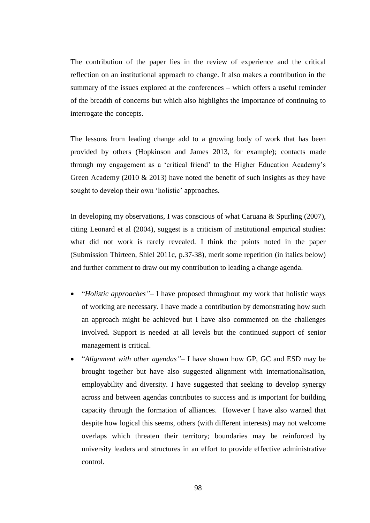The contribution of the paper lies in the review of experience and the critical reflection on an institutional approach to change. It also makes a contribution in the summary of the issues explored at the conferences – which offers a useful reminder of the breadth of concerns but which also highlights the importance of continuing to interrogate the concepts.

The lessons from leading change add to a growing body of work that has been provided by others (Hopkinson and James 2013, for example); contacts made through my engagement as a 'critical friend' to the Higher Education Academy's Green Academy (2010 & 2013) have noted the benefit of such insights as they have sought to develop their own 'holistic' approaches.

In developing my observations, I was conscious of what Caruana & Spurling (2007), citing Leonard et al (2004), suggest is a criticism of institutional empirical studies: what did not work is rarely revealed. I think the points noted in the paper (Submission Thirteen, Shiel 2011c, p.37-38), merit some repetition (in italics below) and further comment to draw out my contribution to leading a change agenda.

- "*Holistic approaches"* I have proposed throughout my work that holistic ways of working are necessary. I have made a contribution by demonstrating how such an approach might be achieved but I have also commented on the challenges involved. Support is needed at all levels but the continued support of senior management is critical.
- "*Alignment with other agendas"* I have shown how GP, GC and ESD may be brought together but have also suggested alignment with internationalisation, employability and diversity. I have suggested that seeking to develop synergy across and between agendas contributes to success and is important for building capacity through the formation of alliances. However I have also warned that despite how logical this seems, others (with different interests) may not welcome overlaps which threaten their territory; boundaries may be reinforced by university leaders and structures in an effort to provide effective administrative control.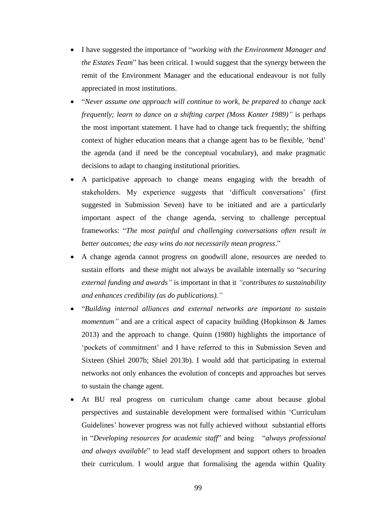- I have suggested the importance of "*working with the Environment Manager and the Estates Team*" has been critical. I would suggest that the synergy between the remit of the Environment Manager and the educational endeavour is not fully appreciated in most institutions.
- "*Never assume one approach will continue to work, be prepared to change tack frequently; learn to dance on a shifting carpet (Moss Kanter 1989)"* is perhaps the most important statement. I have had to change tack frequently; the shifting context of higher education means that a change agent has to be flexible, 'bend' the agenda (and if need be the conceptual vocabulary), and make pragmatic decisions to adapt to changing institutional priorities.
- A participative approach to change means engaging with the breadth of stakeholders. My experience suggests that 'difficult conversations' (first suggested in Submission Seven) have to be initiated and are a particularly important aspect of the change agenda, serving to challenge perceptual frameworks: "*The most painful and challenging conversations often result in better outcomes; the easy wins do not necessarily mean progress*."
- A change agenda cannot progress on goodwill alone, resources are needed to sustain efforts and these might not always be available internally so "*securing external funding and awards"* is important in that it *"contributes to sustainability and enhances credibility (as do publications)."*
- "*Building internal alliances and external networks are important to sustain momentum*" and are a critical aspect of capacity building (Hopkinson & James 2013) and the approach to change. Quinn (1980) highlights the importance of 'pockets of commitment' and I have referred to this in Submission Seven and Sixteen (Shiel 2007b; Shiel 2013b). I would add that participating in external networks not only enhances the evolution of concepts and approaches but serves to sustain the change agent.
- At BU real progress on curriculum change came about because global perspectives and sustainable development were formalised within 'Curriculum Guidelines' however progress was not fully achieved without substantial efforts in "*Developing resources for academic staff*" and being "*always professional and always available*" to lead staff development and support others to broaden their curriculum. I would argue that formalising the agenda within Quality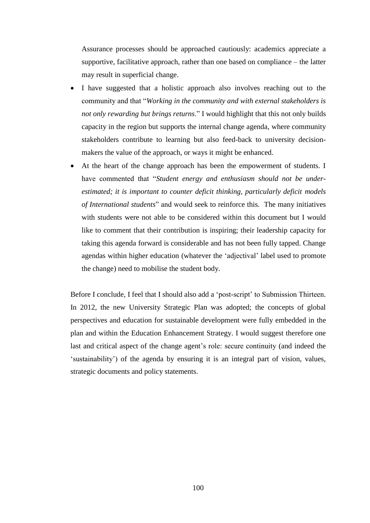Assurance processes should be approached cautiously: academics appreciate a supportive, facilitative approach, rather than one based on compliance – the latter may result in superficial change.

- I have suggested that a holistic approach also involves reaching out to the community and that "*Working in the community and with external stakeholders is not only rewarding but brings returns*." I would highlight that this not only builds capacity in the region but supports the internal change agenda, where community stakeholders contribute to learning but also feed-back to university decisionmakers the value of the approach, or ways it might be enhanced.
- At the heart of the change approach has been the empowerment of students. I have commented that "*Student energy and enthusiasm should not be underestimated; it is important to counter deficit thinking, particularly deficit models of International students*" and would seek to reinforce this. The many initiatives with students were not able to be considered within this document but I would like to comment that their contribution is inspiring; their leadership capacity for taking this agenda forward is considerable and has not been fully tapped. Change agendas within higher education (whatever the 'adjectival' label used to promote the change) need to mobilise the student body.

Before I conclude, I feel that I should also add a 'post-script' to Submission Thirteen. In 2012, the new University Strategic Plan was adopted; the concepts of global perspectives and education for sustainable development were fully embedded in the plan and within the Education Enhancement Strategy. I would suggest therefore one last and critical aspect of the change agent's role: secure continuity (and indeed the 'sustainability') of the agenda by ensuring it is an integral part of vision, values, strategic documents and policy statements.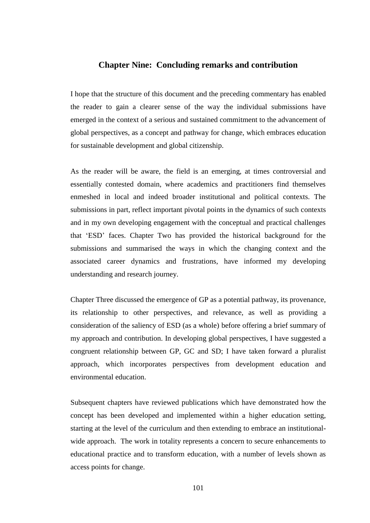## **Chapter Nine: Concluding remarks and contribution**

I hope that the structure of this document and the preceding commentary has enabled the reader to gain a clearer sense of the way the individual submissions have emerged in the context of a serious and sustained commitment to the advancement of global perspectives, as a concept and pathway for change, which embraces education for sustainable development and global citizenship.

As the reader will be aware, the field is an emerging, at times controversial and essentially contested domain, where academics and practitioners find themselves enmeshed in local and indeed broader institutional and political contexts. The submissions in part, reflect important pivotal points in the dynamics of such contexts and in my own developing engagement with the conceptual and practical challenges that 'ESD' faces. Chapter Two has provided the historical background for the submissions and summarised the ways in which the changing context and the associated career dynamics and frustrations, have informed my developing understanding and research journey.

Chapter Three discussed the emergence of GP as a potential pathway, its provenance, its relationship to other perspectives, and relevance, as well as providing a consideration of the saliency of ESD (as a whole) before offering a brief summary of my approach and contribution. In developing global perspectives, I have suggested a congruent relationship between GP, GC and SD; I have taken forward a pluralist approach, which incorporates perspectives from development education and environmental education.

Subsequent chapters have reviewed publications which have demonstrated how the concept has been developed and implemented within a higher education setting, starting at the level of the curriculum and then extending to embrace an institutionalwide approach. The work in totality represents a concern to secure enhancements to educational practice and to transform education, with a number of levels shown as access points for change.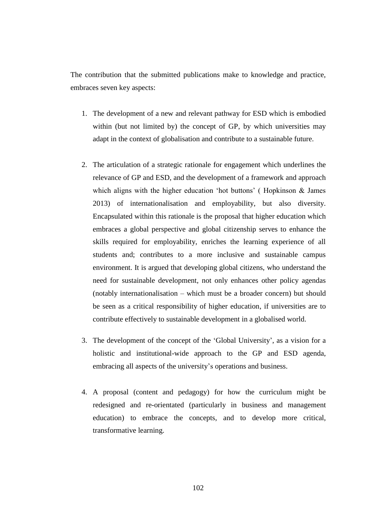The contribution that the submitted publications make to knowledge and practice, embraces seven key aspects:

- 1. The development of a new and relevant pathway for ESD which is embodied within (but not limited by) the concept of GP, by which universities may adapt in the context of globalisation and contribute to a sustainable future.
- 2. The articulation of a strategic rationale for engagement which underlines the relevance of GP and ESD, and the development of a framework and approach which aligns with the higher education 'hot buttons' ( Hopkinson & James 2013) of internationalisation and employability, but also diversity. Encapsulated within this rationale is the proposal that higher education which embraces a global perspective and global citizenship serves to enhance the skills required for employability, enriches the learning experience of all students and; contributes to a more inclusive and sustainable campus environment. It is argued that developing global citizens, who understand the need for sustainable development, not only enhances other policy agendas (notably internationalisation – which must be a broader concern) but should be seen as a critical responsibility of higher education, if universities are to contribute effectively to sustainable development in a globalised world.
- 3. The development of the concept of the 'Global University', as a vision for a holistic and institutional-wide approach to the GP and ESD agenda, embracing all aspects of the university's operations and business.
- 4. A proposal (content and pedagogy) for how the curriculum might be redesigned and re-orientated (particularly in business and management education) to embrace the concepts, and to develop more critical, transformative learning.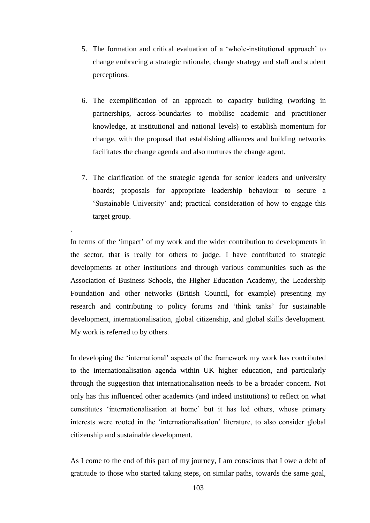- 5. The formation and critical evaluation of a 'whole-institutional approach' to change embracing a strategic rationale, change strategy and staff and student perceptions.
- 6. The exemplification of an approach to capacity building (working in partnerships, across-boundaries to mobilise academic and practitioner knowledge, at institutional and national levels) to establish momentum for change, with the proposal that establishing alliances and building networks facilitates the change agenda and also nurtures the change agent.
- 7. The clarification of the strategic agenda for senior leaders and university boards; proposals for appropriate leadership behaviour to secure a 'Sustainable University' and; practical consideration of how to engage this target group.

In terms of the 'impact' of my work and the wider contribution to developments in the sector, that is really for others to judge. I have contributed to strategic developments at other institutions and through various communities such as the Association of Business Schools, the Higher Education Academy, the Leadership Foundation and other networks (British Council, for example) presenting my research and contributing to policy forums and 'think tanks' for sustainable development, internationalisation, global citizenship, and global skills development. My work is referred to by others.

.

In developing the 'international' aspects of the framework my work has contributed to the internationalisation agenda within UK higher education, and particularly through the suggestion that internationalisation needs to be a broader concern. Not only has this influenced other academics (and indeed institutions) to reflect on what constitutes 'internationalisation at home' but it has led others, whose primary interests were rooted in the 'internationalisation' literature, to also consider global citizenship and sustainable development.

As I come to the end of this part of my journey, I am conscious that I owe a debt of gratitude to those who started taking steps, on similar paths, towards the same goal,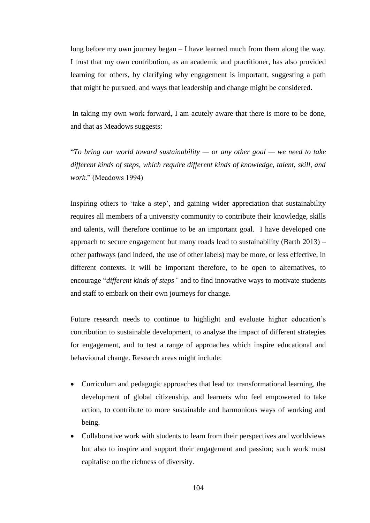long before my own journey began – I have learned much from them along the way. I trust that my own contribution, as an academic and practitioner, has also provided learning for others, by clarifying why engagement is important, suggesting a path that might be pursued, and ways that leadership and change might be considered.

In taking my own work forward, I am acutely aware that there is more to be done, and that as Meadows suggests:

"*To bring our world toward sustainability — or any other goal — we need to take different kinds of steps, which require different kinds of knowledge, talent, skill, and work*." (Meadows 1994)

Inspiring others to 'take a step', and gaining wider appreciation that sustainability requires all members of a university community to contribute their knowledge, skills and talents, will therefore continue to be an important goal. I have developed one approach to secure engagement but many roads lead to sustainability (Barth 2013) – other pathways (and indeed, the use of other labels) may be more, or less effective, in different contexts. It will be important therefore, to be open to alternatives, to encourage "*different kinds of steps"* and to find innovative ways to motivate students and staff to embark on their own journeys for change.

Future research needs to continue to highlight and evaluate higher education's contribution to sustainable development, to analyse the impact of different strategies for engagement, and to test a range of approaches which inspire educational and behavioural change. Research areas might include:

- Curriculum and pedagogic approaches that lead to: transformational learning, the development of global citizenship, and learners who feel empowered to take action, to contribute to more sustainable and harmonious ways of working and being.
- Collaborative work with students to learn from their perspectives and worldviews but also to inspire and support their engagement and passion; such work must capitalise on the richness of diversity.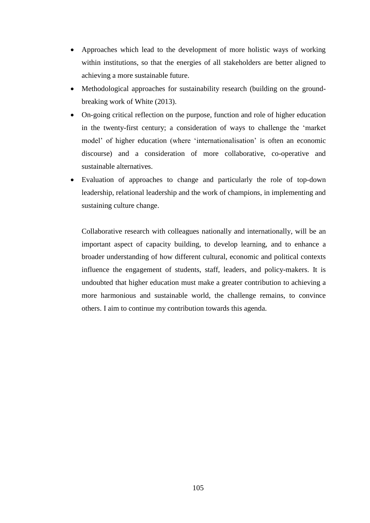- Approaches which lead to the development of more holistic ways of working within institutions, so that the energies of all stakeholders are better aligned to achieving a more sustainable future.
- Methodological approaches for sustainability research (building on the groundbreaking work of White (2013).
- On-going critical reflection on the purpose, function and role of higher education in the twenty-first century; a consideration of ways to challenge the 'market model' of higher education (where 'internationalisation' is often an economic discourse) and a consideration of more collaborative, co-operative and sustainable alternatives.
- Evaluation of approaches to change and particularly the role of top-down leadership, relational leadership and the work of champions, in implementing and sustaining culture change.

Collaborative research with colleagues nationally and internationally, will be an important aspect of capacity building, to develop learning, and to enhance a broader understanding of how different cultural, economic and political contexts influence the engagement of students, staff, leaders, and policy-makers. It is undoubted that higher education must make a greater contribution to achieving a more harmonious and sustainable world, the challenge remains, to convince others. I aim to continue my contribution towards this agenda.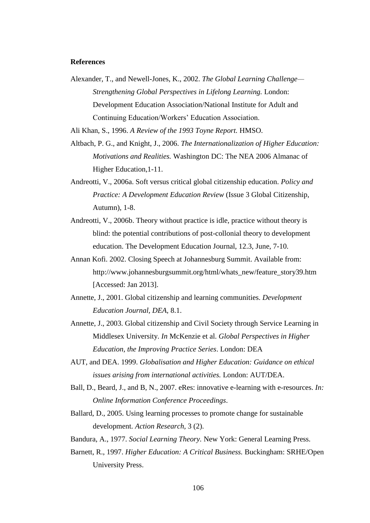## **References**

Alexander, T., and Newell-Jones, K., 2002. *The Global Learning Challenge— Strengthening Global Perspectives in Lifelong Learning.* London: Development Education Association/National Institute for Adult and Continuing Education/Workers' Education Association.

Ali Khan, S., 1996. *A Review of the 1993 Toyne Report.* HMSO.

- Altbach, P. G., and Knight, J., 2006. *The Internationalization of Higher Education: Motivations and Realities.* Washington DC: The NEA 2006 Almanac of Higher Education,1-11.
- Andreotti, V., 2006a. Soft versus critical global citizenship education. *Policy and Practice: A Development Education Review* (Issue 3 Global Citizenship, Autumn), 1-8.
- Andreotti, V., 2006b. Theory without practice is idle, practice without theory is blind: the potential contributions of post-collonial theory to development education. The Development Education Journal, 12.3, June, 7-10.
- Annan Kofi. 2002. Closing Speech at Johannesburg Summit. Available from: http://www.johannesburgsummit.org/html/whats\_new/feature\_story39.htm [Accessed: Jan 2013].
- Annette, J., 2001. Global citizenship and learning communities. *Development Education Journal, DEA,* 8.1.
- Annette, J., 2003. Global citizenship and Civil Society through Service Learning in Middlesex University. *In* McKenzie et al. *Global Perspectives in Higher Education, the Improving Practice Series*. London: DEA
- AUT, and DEA. 1999. *Globalisation and Higher Education: Guidance on ethical issues arising from international activities.* London: AUT/DEA.
- Ball, D., Beard, J., and B, N., 2007. eRes: innovative e-learning with e-resources. *In: Online Information Conference Proceedings*.
- Ballard, D., 2005. Using learning processes to promote change for sustainable development. *Action Research,* 3 (2).
- Bandura, A., 1977. *Social Learning Theory.* New York: General Learning Press.
- Barnett, R., 1997. *Higher Education: A Critical Business.* Buckingham: SRHE/Open University Press.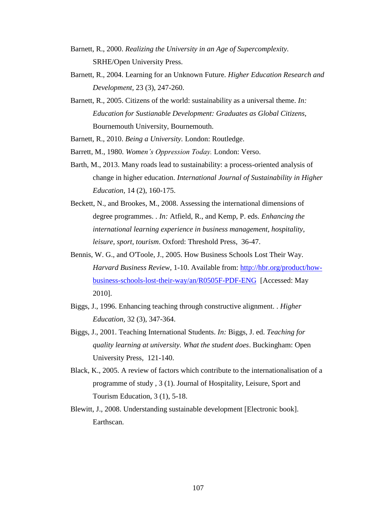- Barnett, R., 2000. *Realizing the University in an Age of Supercomplexity.* SRHE/Open University Press.
- Barnett, R., 2004. Learning for an Unknown Future. *Higher Education Research and Development,* 23 (3), 247-260.
- Barnett, R., 2005. Citizens of the world: sustainability as a universal theme. *In: Education for Sustianable Development: Graduates as Global Citizens,*  Bournemouth University, Bournemouth.
- Barnett, R., 2010. *Being a University.* London: Routledge.
- Barrett, M., 1980. *Women's Oppression Today.* London: Verso.
- Barth, M., 2013. Many roads lead to sustainability: a process-oriented analysis of change in higher education. *International Journal of Sustainability in Higher Education,* 14 (2), 160-175.
- Beckett, N., and Brookes, M., 2008. Assessing the international dimensions of degree programmes. . *In:* Atfield, R., and Kemp, P. eds. *Enhancing the international learning experience in business management, hospitality, leisure, sport, tourism*. Oxford: Threshold Press, 36-47.
- Bennis, W. G., and O'Toole, J., 2005. How Business Schools Lost Their Way. *Harvard Business Review*, 1-10. Available from: [http://hbr.org/product/how](http://hbr.org/product/how-business-schools-lost-their-way/an/R0505F-PDF-ENG)[business-schools-lost-their-way/an/R0505F-PDF-ENG](http://hbr.org/product/how-business-schools-lost-their-way/an/R0505F-PDF-ENG) [Accessed: May 2010].
- Biggs, J., 1996. Enhancing teaching through constructive alignment. . *Higher Education,* 32 (3), 347-364.
- Biggs, J., 2001. Teaching International Students. *In:* Biggs, J. ed. *Teaching for quality learning at university. What the student does*. Buckingham: Open University Press, 121-140.
- Black, K., 2005. A review of factors which contribute to the internationalisation of a programme of study , 3 (1). Journal of Hospitality, Leisure, Sport and Tourism Education, 3 (1), 5-18.
- Blewitt, J., 2008. Understanding sustainable development [Electronic book]. Earthscan.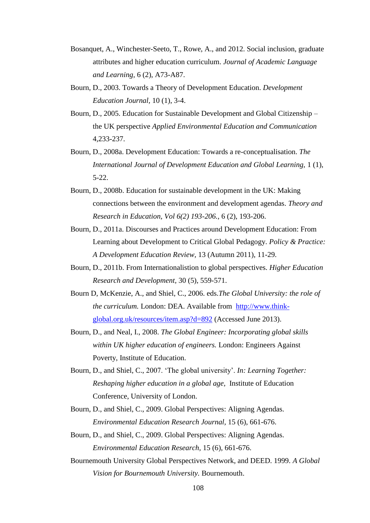- Bosanquet, A., Winchester-Seeto, T., Rowe, A., and 2012. Social inclusion, graduate attributes and higher education curriculum. *Journal of Academic Language and Learning,* 6 (2), A73-A87.
- Bourn, D., 2003. Towards a Theory of Development Education. *Development Education Journal,* 10 (1), 3-4.
- Bourn, D., 2005. Education for Sustainable Development and Global Citizenship the UK perspective *Applied Environmental Education and Communication*  4,233-237.
- Bourn, D., 2008a. Development Education: Towards a re-conceptualisation. *The International Journal of Development Education and Global Learning,* 1 (1), 5-22.
- Bourn, D., 2008b. Education for sustainable development in the UK: Making connections between the environment and development agendas. *Theory and Research in Education, Vol 6(2) 193-206.,* 6 (2), 193-206.
- Bourn, D., 2011a. Discourses and Practices around Development Education: From Learning about Development to Critical Global Pedagogy. *Policy & Practice: A Development Education Review,* 13 (Autumn 2011), 11-29.
- Bourn, D., 2011b. From Internationalistion to global perspectives. *Higher Education Research and Development,* 30 (5), 559-571.
- Bourn D, McKenzie, A., and Shiel, C., 2006. eds.*The Global University: the role of the curriculum.* London: DEA. Available from [http://www.think](http://www.think-global.org.uk/resources/item.asp?d=892)[global.org.uk/resources/item.asp?d=892](http://www.think-global.org.uk/resources/item.asp?d=892) (Accessed June 2013).
- Bourn, D., and Neal, I., 2008. *The Global Engineer: Incorporating global skills within UK higher education of engineers.* London: Engineers Against Poverty, Institute of Education.
- Bourn, D., and Shiel, C., 2007. 'The global university'. *In: Learning Together: Reshaping higher education in a global age,* Institute of Education Conference, University of London.
- Bourn, D., and Shiel, C., 2009. Global Perspectives: Aligning Agendas. *Environmental Education Research Journal,* 15 (6), 661-676.
- Bourn, D., and Shiel, C., 2009. Global Perspectives: Aligning Agendas. *Environmental Education Research,* 15 (6), 661-676.
- Bournemouth University Global Perspectives Network, and DEED. 1999. *A Global Vision for Bournemouth University.* Bournemouth.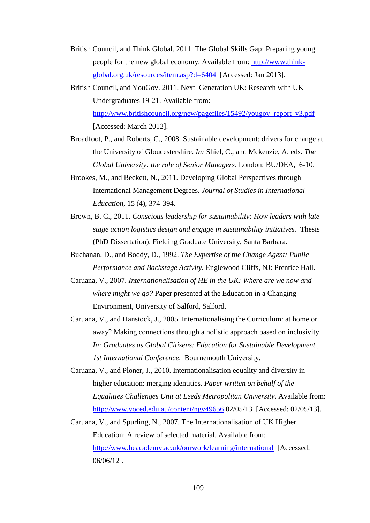- British Council, and Think Global. 2011. The Global Skills Gap: Preparing young people for the new global economy. Available from: [http://www.think](http://www.think-global.org.uk/resources/item.asp?d=6404)[global.org.uk/resources/item.asp?d=6404](http://www.think-global.org.uk/resources/item.asp?d=6404) [Accessed: Jan 2013].
- British Council, and YouGov. 2011. Next Generation UK: Research with UK Undergraduates 19-21. Available from: [http://www.britishcouncil.org/new/pagefiles/15492/yougov\\_report\\_v3.pdf](http://www.britishcouncil.org/new/pagefiles/15492/yougov_report_v3.pdf)  [Accessed: March 2012].
- Broadfoot, P., and Roberts, C., 2008. Sustainable development: drivers for change at the University of Gloucestershire. *In:* Shiel, C., and Mckenzie, A. eds. *The Global University: the role of Senior Managers*. London: BU/DEA, 6-10.
- Brookes, M., and Beckett, N., 2011. Developing Global Perspectives through International Management Degrees. *Journal of Studies in International Education,* 15 (4), 374-394.
- Brown, B. C., 2011. *Conscious leadership for sustainability: How leaders with latestage action logistics design and engage in sustainability initiatives.* Thesis (PhD Dissertation). Fielding Graduate University, Santa Barbara.
- Buchanan, D., and Boddy, D., 1992. *The Expertise of the Change Agent: Public Performance and Backstage Activity.* Englewood Cliffs, NJ: Prentice Hall.
- Caruana, V., 2007. *Internationalisation of HE in the UK: Where are we now and where might we go?* Paper presented at the Education in a Changing Environment, University of Salford, Salford.
- Caruana, V., and Hanstock, J., 2005. Internationalising the Curriculum: at home or away? Making connections through a holistic approach based on inclusivity. *In: Graduates as Global Citizens: Education for Sustainable Development., 1st International Conference,* Bournemouth University.
- Caruana, V., and Ploner, J., 2010. Internationalisation equality and diversity in higher education: merging identities. *Paper written on behalf of the Equalities Challenges Unit at Leeds Metropolitan University*. Available from: <http://www.voced.edu.au/content/ngv49656> 02/05/13 [Accessed: 02/05/13].
- Caruana, V., and Spurling, N., 2007. The Internationalisation of UK Higher Education: A review of selected material. Available from: <http://www.heacademy.ac.uk/ourwork/learning/international>[Accessed: 06/06/12].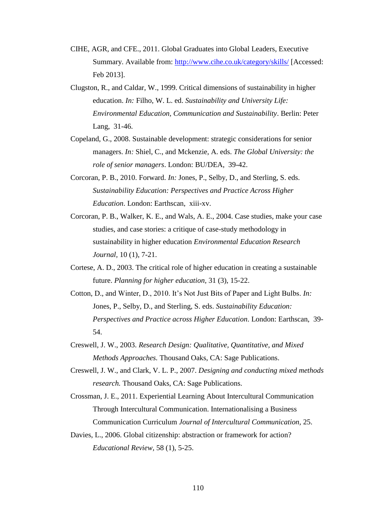- CIHE, AGR, and CFE., 2011. Global Graduates into Global Leaders, Executive Summary. Available from:<http://www.cihe.co.uk/category/skills/> [Accessed: Feb 2013].
- Clugston, R., and Caldar, W., 1999. Critical dimensions of sustainability in higher education. *In:* Filho, W. L. ed. *Sustainability and University Life: Environmental Education, Communication and Sustainability*. Berlin: Peter Lang, 31-46.
- Copeland, G., 2008. Sustainable development: strategic considerations for senior managers. *In:* Shiel, C., and Mckenzie, A. eds. *The Global University: the role of senior managers*. London: BU/DEA, 39-42.
- Corcoran, P. B., 2010. Forward. *In:* Jones, P., Selby, D., and Sterling, S. eds. *Sustainability Education: Perspectives and Practice Across Higher Education*. London: Earthscan, xiii-xv.
- Corcoran, P. B., Walker, K. E., and Wals, A. E., 2004. Case studies, make your case studies, and case stories: a critique of case-study methodology in sustainability in higher education *Environmental Education Research Journal,* 10 (1), 7-21.
- Cortese, A. D., 2003. The critical role of higher education in creating a sustainable future. *Planning for higher education,* 31 (3), 15-22.
- Cotton, D., and Winter, D., 2010. It's Not Just Bits of Paper and Light Bulbs. *In:* Jones, P., Selby, D., and Sterling, S. eds. *Sustainability Education: Perspectives and Practice across Higher Education*. London: Earthscan, 39- 54.
- Creswell, J. W., 2003. *Research Design: Qualitative, Quantitative, and Mixed Methods Approaches.* Thousand Oaks, CA: Sage Publications.
- Creswell, J. W., and Clark, V. L. P., 2007. *Designing and conducting mixed methods research.* Thousand Oaks, CA: Sage Publications.
- Crossman, J. E., 2011. Experiential Learning About Intercultural Communication Through Intercultural Communication. Internationalising a Business Communication Curriculum *Journal of Intercultural Communication,* 25.
- Davies, L., 2006. Global citizenship: abstraction or framework for action? *Educational Review,* 58 (1), 5-25.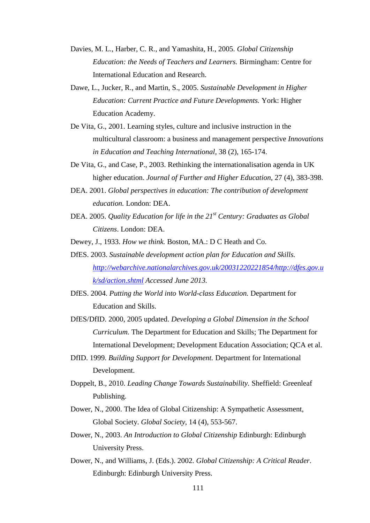- Davies, M. L., Harber, C. R., and Yamashita, H., 2005. *Global Citizenship Education: the Needs of Teachers and Learners.* Birmingham: Centre for International Education and Research.
- Dawe, L., Jucker, R., and Martin, S., 2005. *Sustainable Development in Higher Education: Current Practice and Future Developments.* York: Higher Education Academy.
- De Vita, G., 2001. Learning styles, culture and inclusive instruction in the multicultural classroom: a business and management perspective *Innovations in Education and Teaching International,* 38 (2), 165-174.
- De Vita, G., and Case, P., 2003. Rethinking the internationalisation agenda in UK higher education. *Journal of Further and Higher Education,* 27 (4), 383-398.
- DEA. 2001. *Global perspectives in education: The contribution of development education.* London: DEA.
- DEA. 2005. *Quality Education for life in the 21st Century: Graduates as Global Citizens*. London: DEA.
- Dewey, J., 1933. *How we think.* Boston, MA.: D C Heath and Co.
- DfES. 2003. *Sustainable development action plan for Education and Skills. [http://webarchive.nationalarchives.gov.uk/20031220221854/http://dfes.gov.u](http://webarchive.nationalarchives.gov.uk/20031220221854/http:/dfes.gov.uk/sd/action.shtml) [k/sd/action.shtml](http://webarchive.nationalarchives.gov.uk/20031220221854/http:/dfes.gov.uk/sd/action.shtml) Accessed June 2013.*
- DfES. 2004. *Putting the World into World-class Education.* Department for Education and Skills.
- DfES/DfID. 2000, 2005 updated. *Developing a Global Dimension in the School Curriculum.* The Department for Education and Skills; The Department for International Development; Development Education Association; QCA et al.
- DfID. 1999. *Building Support for Development.* Department for International Development.
- Doppelt, B., 2010. *Leading Change Towards Sustainability.* Sheffield: Greenleaf Publishing.
- Dower, N., 2000. The Idea of Global Citizenship: A Sympathetic Assessment, Global Society. *Global Society,* 14 (4), 553-567.
- Dower, N., 2003. *An Introduction to Global Citizenship* Edinburgh: Edinburgh University Press.
- Dower, N., and Williams, J. (Eds.). 2002. *Global Citizenship: A Critical Reader*. Edinburgh: Edinburgh University Press.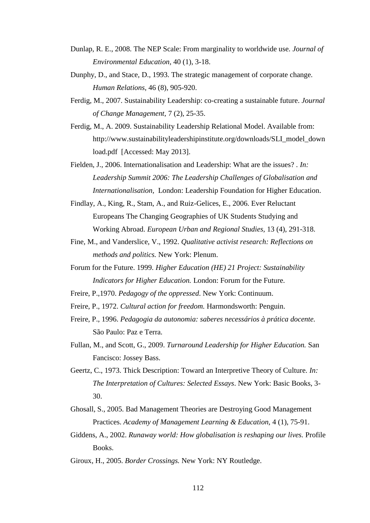- Dunlap, R. E., 2008. The NEP Scale: From marginality to worldwide use. *Journal of Environmental Education,* 40 (1), 3-18.
- Dunphy, D., and Stace, D., 1993. The strategic management of corporate change. *Human Relations,* 46 (8), 905-920.
- Ferdig, M., 2007. Sustainability Leadership: co-creating a sustainable future. *Journal of Change Management,* 7 (2), 25-35.
- Ferdig, M., A. 2009. Sustainability Leadership Relational Model. Available from: http://www.sustainabilityleadershipinstitute.org/downloads/SLI\_model\_down load.pdf [Accessed: May 2013].
- Fielden, J., 2006. Internationalisation and Leadership: What are the issues? . *In: Leadership Summit 2006: The Leadership Challenges of Globalisation and Internationalisation,* London: Leadership Foundation for Higher Education.
- Findlay, A., King, R., Stam, A., and Ruiz-Gelices, E., 2006. Ever Reluctant Europeans The Changing Geographies of UK Students Studying and Working Abroad. *European Urban and Regional Studies,* 13 (4), 291-318.
- Fine, M., and Vanderslice, V., 1992. *Qualitative activist research: Reflections on methods and politics.* New York: Plenum.
- Forum for the Future. 1999. *Higher Education (HE) 21 Project: Sustainability Indicators for Higher Education.* London: Forum for the Future.
- Freire, P.,1970. *Pedagogy of the oppressed*. New York: Continuum.
- Freire, P., 1972. *Cultural action for freedom.* Harmondsworth: Penguin.
- Freire, P., 1996. *Pedagogia da autonomia: saberes necessários à prática docente.* São Paulo: Paz e Terra.
- Fullan, M., and Scott, G., 2009. *Turnaround Leadership for Higher Education.* San Fancisco: Jossey Bass.
- Geertz, C., 1973. Thick Description: Toward an Interpretive Theory of Culture. *In: The Interpretation of Cultures: Selected Essays*. New York: Basic Books, 3- 30.
- Ghosall, S., 2005. Bad Management Theories are Destroying Good Management Practices. *Academy of Management Learning & Education,* 4 (1), 75-91.
- Giddens, A., 2002. *Runaway world: How globalisation is reshaping our lives.* Profile Books.
- Giroux, H., 2005. *Border Crossings.* New York: NY Routledge.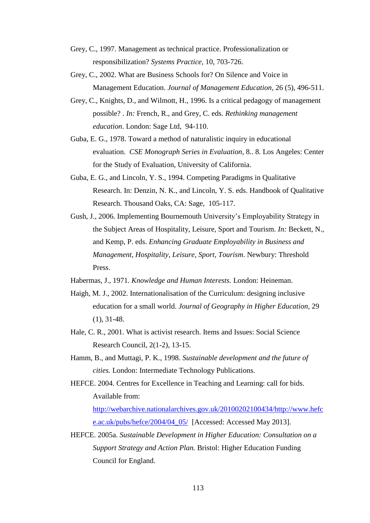- Grey, C., 1997. Management as technical practice. Professionalization or responsibilization? *Systems Practice,* 10, 703-726.
- Grey, C., 2002. What are Business Schools for? On Silence and Voice in Management Education. *Journal of Management Education,* 26 (5), 496-511.
- Grey, C., Knights, D., and Wilmott, H., 1996. Is a critical pedagogy of management possible? . *In:* French, R., and Grey, C. eds. *Rethinking management education*. London: Sage Ltd, 94-110.
- Guba, E. G., 1978. Toward a method of naturalistic inquiry in educational evaluation. *CSE Monograph Series in Evaluation*, 8.. 8. Los Angeles: Center for the Study of Evaluation, University of California.
- Guba, E. G., and Lincoln, Y. S., 1994. Competing Paradigms in Qualitative Research. In: Denzin, N. K., and Lincoln, Y. S. eds. Handbook of Qualitative Research. Thousand Oaks, CA: Sage, 105-117.
- Gush, J., 2006. Implementing Bournemouth University's Employability Strategy in the Subject Areas of Hospitality, Leisure, Sport and Tourism. *In:* Beckett, N., and Kemp, P. eds. *Enhancing Graduate Employability in Business and Management, Hospitality, Leisure, Sport, Tourism*. Newbury: Threshold Press.
- Habermas, J., 1971. *Knowledge and Human Interests.* London: Heineman.
- Haigh, M. J., 2002. Internationalisation of the Curriculum: designing inclusive education for a small world. *Journal of Geography in Higher Education,* 29 (1), 31-48.
- Hale, C. R., 2001. What is activist research. Items and Issues: Social Science Research Council, 2(1-2), 13-15.
- Hamm, B., and Muttagi, P. K., 1998. *Sustainable development and the future of cities.* London: Intermediate Technology Publications.
- HEFCE. 2004. Centres for Excellence in Teaching and Learning: call for bids. Available from:

[http://webarchive.nationalarchives.gov.uk/20100202100434/http://www.hefc](http://webarchive.nationalarchives.gov.uk/20100202100434/http:/www.hefce.ac.uk/pubs/hefce/2004/04_05/) [e.ac.uk/pubs/hefce/2004/04\\_05/](http://webarchive.nationalarchives.gov.uk/20100202100434/http:/www.hefce.ac.uk/pubs/hefce/2004/04_05/) [Accessed: Accessed May 2013].

HEFCE. 2005a. *Sustainable Development in Higher Education: Consultation on a Support Strategy and Action Plan.* Bristol: Higher Education Funding Council for England.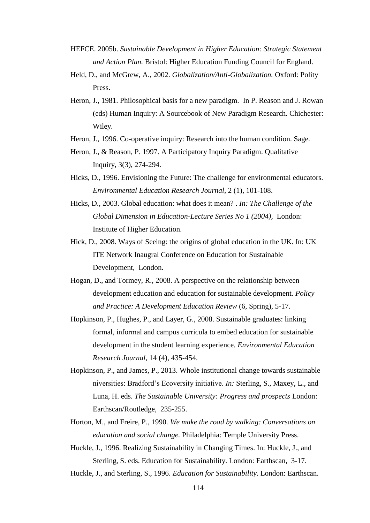- HEFCE. 2005b. *Sustainable Development in Higher Education: Strategic Statement and Action Plan.* Bristol: Higher Education Funding Council for England.
- Held, D., and McGrew, A., 2002. *Globalization/Anti-Globalization.* Oxford: Polity Press.
- Heron, J., 1981. Philosophical basis for a new paradigm. In P. Reason and J. Rowan (eds) Human Inquiry: A Sourcebook of New Paradigm Research. Chichester: Wiley.
- Heron, J., 1996. Co-operative inquiry: Research into the human condition. Sage.
- Heron, J., & Reason, P. 1997. A Participatory Inquiry Paradigm. Qualitative Inquiry, 3(3), 274-294.
- Hicks, D., 1996. Envisioning the Future: The challenge for environmental educators. *Environmental Education Research Journal,* 2 (1), 101-108.
- Hicks, D., 2003. Global education: what does it mean? . *In: The Challenge of the Global Dimension in Education-Lecture Series No 1 (2004),* London: Institute of Higher Education.
- Hick, D., 2008. Ways of Seeing: the origins of global education in the UK. In: UK ITE Network Inaugral Conference on Education for Sustainable Development, London.
- Hogan, D., and Tormey, R., 2008. A perspective on the relationship between development education and education for sustainable development. *Policy and Practice: A Development Education Review* (6, Spring), 5-17.
- Hopkinson, P., Hughes, P., and Layer, G., 2008. Sustainable graduates: linking formal, informal and campus curricula to embed education for sustainable development in the student learning experience. *Environmental Education Research Journal,* 14 (4), 435-454.
- Hopkinson, P., and James, P., 2013. Whole institutional change towards sustainable niversities: Bradford's Ecoversity initiative. *In:* Sterling, S., Maxey, L., and Luna, H. eds. *The Sustainable University: Progress and prospects* London: Earthscan/Routledge, 235-255.
- Horton, M., and Freire, P., 1990. *We make the road by walking: Conversations on education and social change.* Philadelphia: Temple University Press.
- Huckle, J., 1996. Realizing Sustainability in Changing Times. In: Huckle, J., and Sterling, S. eds. Education for Sustainability. London: Earthscan, 3-17.
- Huckle, J., and Sterling, S., 1996. *Education for Sustainability.* London: Earthscan.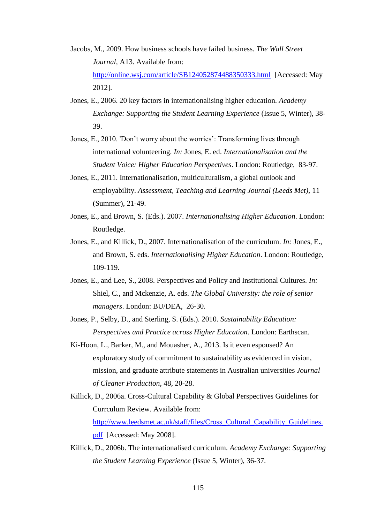- Jacobs, M., 2009. How business schools have failed business. *The Wall Street Journal,* A13. Available from: <http://online.wsj.com/article/SB124052874488350333.html>[Accessed: May 2012].
- Jones, E., 2006. 20 key factors in internationalising higher education. *Academy Exchange: Supporting the Student Learning Experience* (Issue 5, Winter), 38- 39.
- Jones, E., 2010. 'Don't worry about the worries': Transforming lives through international volunteering. *In:* Jones, E. ed. *Internationalisation and the Student Voice: Higher Education Perspectives*. London: Routledge, 83-97.
- Jones, E., 2011. Internationalisation, multiculturalism, a global outlook and employability. *Assessment, Teaching and Learning Journal (Leeds Met),* 11 (Summer), 21-49.
- Jones, E., and Brown, S. (Eds.). 2007. *Internationalising Higher Education*. London: Routledge.
- Jones, E., and Killick, D., 2007. Internationalisation of the curriculum. *In:* Jones, E., and Brown, S. eds. *Internationalising Higher Education*. London: Routledge, 109-119.
- Jones, E., and Lee, S., 2008. Perspectives and Policy and Institutional Cultures. *In:* Shiel, C., and Mckenzie, A. eds. *The Global University: the role of senior managers*. London: BU/DEA, 26-30.
- Jones, P., Selby, D., and Sterling, S. (Eds.). 2010. *Sustainability Education: Perspectives and Practice across Higher Education*. London: Earthscan.
- Ki-Hoon, L., Barker, M., and Mouasher, A., 2013. Is it even espoused? An exploratory study of commitment to sustainability as evidenced in vision, mission, and graduate attribute statements in Australian universities *Journal of Cleaner Production,* 48, 20-28.
- Killick, D., 2006a. Cross-Cultural Capability & Global Perspectives Guidelines for Currculum Review. Available from: [http://www.leedsmet.ac.uk/staff/files/Cross\\_Cultural\\_Capability\\_Guidelines.](http://www.leedsmet.ac.uk/staff/files/Cross_Cultural_Capability_Guidelines.pdf) [pdf](http://www.leedsmet.ac.uk/staff/files/Cross_Cultural_Capability_Guidelines.pdf) [Accessed: May 2008].
- Killick, D., 2006b. The internationalised curriculum. *Academy Exchange: Supporting the Student Learning Experience* (Issue 5, Winter), 36-37.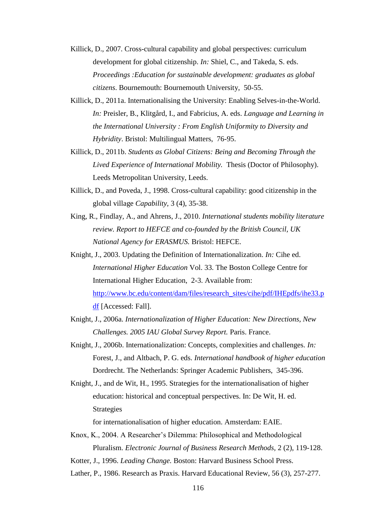- Killick, D., 2007. Cross-cultural capability and global perspectives: curriculum development for global citizenship. *In:* Shiel, C., and Takeda, S. eds. *Proceedings :Education for sustainable development: graduates as global citizens*. Bournemouth: Bournemouth University, 50-55.
- Killick, D., 2011a. Internationalising the University: Enabling Selves-in-the-World. *In:* Preisler, B., Klitgård, I., and Fabricius, A. eds. *Language and Learning in the International University : From English Uniformity to Diversity and Hybridity*. Bristol: Multilingual Matters, 76-95.
- Killick, D., 2011b. *Students as Global Citizens: Being and Becoming Through the Lived Experience of International Mobility.* Thesis (Doctor of Philosophy). Leeds Metropolitan University, Leeds.
- Killick, D., and Poveda, J., 1998. Cross-cultural capability: good citizenship in the global village *Capability,* 3 (4), 35-38.
- King, R., Findlay, A., and Ahrens, J., 2010. *International students mobility literature review. Report to HEFCE and co-founded by the British Council, UK National Agency for ERASMUS.* Bristol: HEFCE.
- Knight, J., 2003. Updating the Definition of Internationalization. *In:* Cihe ed. *International Higher Education* Vol. 33. The Boston College Centre for International Higher Education, 2-3. Available from: [http://www.bc.edu/content/dam/files/research\\_sites/cihe/pdf/IHEpdfs/ihe33.p](http://www.bc.edu/content/dam/files/research_sites/cihe/pdf/IHEpdfs/ihe33.pdf) [df](http://www.bc.edu/content/dam/files/research_sites/cihe/pdf/IHEpdfs/ihe33.pdf) [Accessed: Fall].
- Knight, J., 2006a. *Internationalization of Higher Education: New Directions, New Challenges. 2005 IAU Global Survey Report.* Paris. France.
- Knight, J., 2006b. Internationalization: Concepts, complexities and challenges. *In:* Forest, J., and Altbach, P. G. eds. *International handbook of higher education*  Dordrecht. The Netherlands: Springer Academic Publishers, 345-396.
- Knight, J., and de Wit, H., 1995. Strategies for the internationalisation of higher education: historical and conceptual perspectives. In: De Wit, H. ed. Strategies

for internationalisation of higher education. Amsterdam: EAIE.

- Knox, K., 2004. A Researcher's Dilemma: Philosophical and Methodological Pluralism. *Electronic Journal of Business Research Methods,* 2 (2), 119-128.
- Kotter, J., 1996. *Leading Change.* Boston: Harvard Business School Press.
- Lather, P., 1986. Research as Praxis. Harvard Educational Review, 56 (3), 257-277.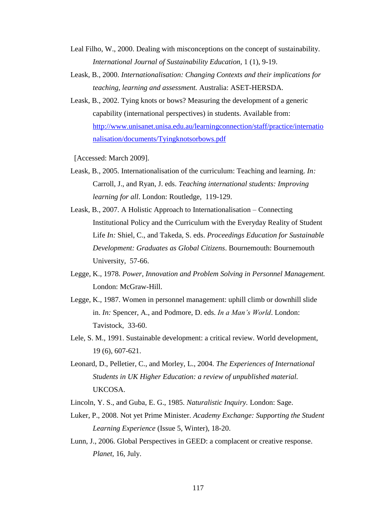- Leal Filho, W., 2000. Dealing with misconceptions on the concept of sustainability. *International Journal of Sustainability Education,* 1 (1), 9-19.
- Leask, B., 2000. *Internationalisation: Changing Contexts and their implications for teaching, learning and assessment.* Australia: ASET-HERSDA.
- Leask, B., 2002. Tying knots or bows? Measuring the development of a generic capability (international perspectives) in students. Available from: [http://www.unisanet.unisa.edu.au/learningconnection/staff/practice/internatio](http://www.unisanet.unisa.edu.au/learningconnection/staff/practice/internationalisation/documents/Tyingknotsorbows.pdf) [nalisation/documents/Tyingknotsorbows.pdf](http://www.unisanet.unisa.edu.au/learningconnection/staff/practice/internationalisation/documents/Tyingknotsorbows.pdf)

[Accessed: March 2009].

- Leask, B., 2005. Internationalisation of the curriculum: Teaching and learning. *In:* Carroll, J., and Ryan, J. eds. *Teaching international students: Improving learning for all*. London: Routledge, 119-129.
- Leask, B., 2007. A Holistic Approach to Internationalisation Connecting Institutional Policy and the Curriculum with the Everyday Reality of Student Life *In:* Shiel, C., and Takeda, S. eds. *Proceedings Education for Sustainable Development: Graduates as Global Citizens*. Bournemouth: Bournemouth University, 57-66.
- Legge, K., 1978. *Power, Innovation and Problem Solving in Personnel Management.* London: McGraw-Hill.
- Legge, K., 1987. Women in personnel management: uphill climb or downhill slide in. *In:* Spencer, A., and Podmore, D. eds. *In a Man's World*. London: Tavistock, 33-60.
- Lele, S. M., 1991. Sustainable development: a critical review. World development, 19 (6), 607-621.
- Leonard, D., Pelletier, C., and Morley, L., 2004. *The Experiences of International Students in UK Higher Education: a review of unpublished material.* UKCOSA.
- Lincoln, Y. S., and Guba, E. G., 1985. *Naturalistic Inquiry.* London: Sage.
- Luker, P., 2008. Not yet Prime Minister. *Academy Exchange: Supporting the Student Learning Experience* (Issue 5, Winter), 18-20.
- Lunn, J., 2006. Global Perspectives in GEED: a complacent or creative response. *Planet,* 16, July.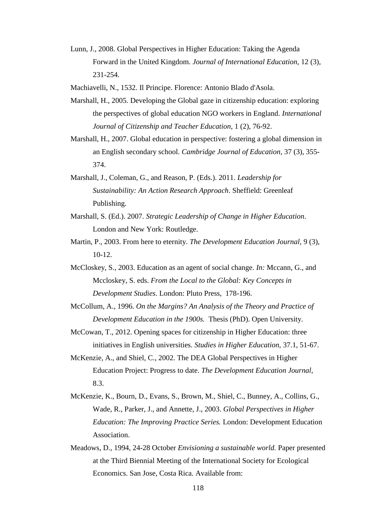Lunn, J., 2008. Global Perspectives in Higher Education: Taking the Agenda Forward in the United Kingdom. *Journal of International Education,* 12 (3), 231-254.

Machiavelli, N., 1532. Il Principe. Florence: Antonio Blado d'Asola.

- Marshall, H., 2005. Developing the Global gaze in citizenship education: exploring the perspectives of global education NGO workers in England. *International Journal of Citizenship and Teacher Education,* 1 (2), 76-92.
- Marshall, H., 2007. Global education in perspective: fostering a global dimension in an English secondary school. *Cambridge Journal of Education,* 37 (3), 355- 374.
- Marshall, J., Coleman, G., and Reason, P. (Eds.). 2011. *Leadership for Sustainability: An Action Research Approach*. Sheffield: Greenleaf Publishing.
- Marshall, S. (Ed.). 2007. *Strategic Leadership of Change in Higher Education*. London and New York: Routledge.
- Martin, P., 2003. From here to eternity. *The Development Education Journal,* 9 (3),  $10-12.$
- McCloskey, S., 2003. Education as an agent of social change. *In:* Mccann, G., and Mccloskey, S. eds. *From the Local to the Global: Key Concepts in Development Studies*. London: Pluto Press, 178-196.
- McCollum, A., 1996. *On the Margins? An Analysis of the Theory and Practice of Development Education in the 1900s.* Thesis (PhD). Open University.
- McCowan, T., 2012. Opening spaces for citizenship in Higher Education: three initiatives in English universities. *Studies in Higher Education,* 37.1, 51-67.
- McKenzie, A., and Shiel, C., 2002. The DEA Global Perspectives in Higher Education Project: Progress to date. *The Development Education Journal,*  8.3.
- McKenzie, K., Bourn, D., Evans, S., Brown, M., Shiel, C., Bunney, A., Collins, G., Wade, R., Parker, J., and Annette, J., 2003. *Global Perspectives in Higher Education: The Improving Practice Series.* London: Development Education Association.
- Meadows, D., 1994, 24-28 October *Envisioning a sustainable world.* Paper presented at the Third Biennial Meeting of the International Society for Ecological Economics. San Jose, Costa Rica. Available from: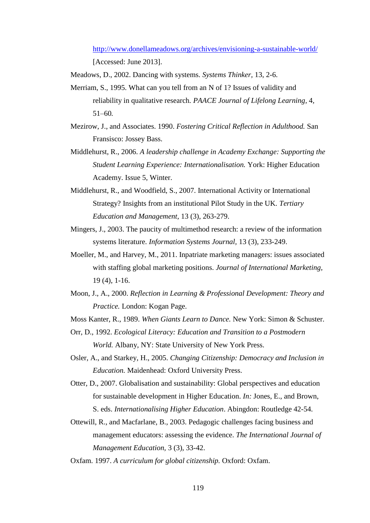<http://www.donellameadows.org/archives/envisioning-a-sustainable-world/> [Accessed: June 2013].

Meadows, D., 2002. Dancing with systems. *Systems Thinker,* 13, 2-6.

- Merriam, S., 1995. What can you tell from an N of 1? Issues of validity and reliability in qualitative research*. PAACE Journal of Lifelong Learning,* 4*,*  51*–*60*.*
- Mezirow, J., and Associates. 1990. *Fostering Critical Reflection in Adulthood.* San Fransisco: Jossey Bass.
- Middlehurst, R., 2006. *A leadership challenge in Academy Exchange: Supporting the Student Learning Experience: Internationalisation.* York: Higher Education Academy. Issue 5, Winter.
- Middlehurst, R., and Woodfield, S., 2007. International Activity or International Strategy? Insights from an institutional Pilot Study in the UK. *Tertiary Education and Management,* 13 (3), 263-279.
- Mingers, J., 2003. The paucity of multimethod research: a review of the information systems literature. *Information Systems Journal,* 13 (3), 233-249.
- Moeller, M., and Harvey, M., 2011. Inpatriate marketing managers: issues associated with staffing global marketing positions. *Journal of International Marketing,*  19 (4), 1-16.
- Moon, J., A., 2000. *Reflection in Learning & Professional Development: Theory and Practice.* London: Kogan Page.
- Moss Kanter, R., 1989. *When Giants Learn to Dance.* New York: Simon & Schuster.
- Orr, D., 1992. *Ecological Literacy: Education and Transition to a Postmodern World.* Albany, NY: State University of New York Press.
- Osler, A., and Starkey, H., 2005. *Changing Citizenship: Democracy and Inclusion in Education.* Maidenhead: Oxford University Press.
- Otter, D., 2007. Globalisation and sustainability: Global perspectives and education for sustainable development in Higher Education. *In:* Jones, E., and Brown, S. eds. *Internationalising Higher Education*. Abingdon: Routledge 42-54.
- Ottewill, R., and Macfarlane, B., 2003. Pedagogic challenges facing business and management educators: assessing the evidence. *The International Journal of Management Education,* 3 (3), 33-42.
- Oxfam. 1997. *A curriculum for global citizenship.* Oxford: Oxfam.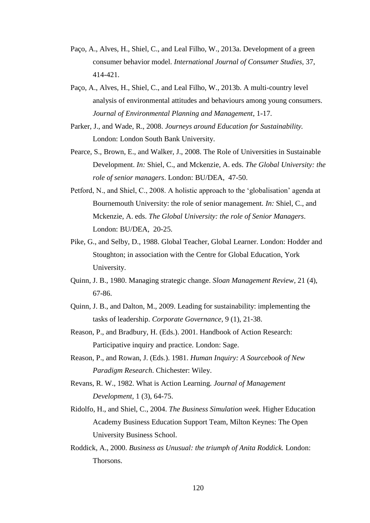- Paço, A., Alves, H., Shiel, C., and Leal Filho, W., 2013a. Development of a green consumer behavior model. *International Journal of Consumer Studies,* 37, 414-421.
- Paço, A., Alves, H., Shiel, C., and Leal Filho, W., 2013b. A multi-country level analysis of environmental attitudes and behaviours among young consumers. *Journal of Environmental Planning and Management*, 1-17.
- Parker, J., and Wade, R., 2008. *Journeys around Education for Sustainability.* London: London South Bank University.
- Pearce, S., Brown, E., and Walker, J., 2008. The Role of Universities in Sustainable Development. *In:* Shiel, C., and Mckenzie, A. eds. *The Global University: the role of senior managers*. London: BU/DEA, 47-50.
- Petford, N., and Shiel, C., 2008. A holistic approach to the 'globalisation' agenda at Bournemouth University: the role of senior management. *In:* Shiel, C., and Mckenzie, A. eds. *The Global University: the role of Senior Managers*. London: BU/DEA, 20-25.
- Pike, G., and Selby, D., 1988. Global Teacher, Global Learner. London: Hodder and Stoughton; in association with the Centre for Global Education, York University.
- Quinn, J. B., 1980. Managing strategic change. *Sloan Management Review,* 21 (4), 67-86.
- Quinn, J. B., and Dalton, M., 2009. Leading for sustainability: implementing the tasks of leadership. *Corporate Governance,* 9 (1), 21-38.
- Reason, P., and Bradbury, H. (Eds.). 2001. Handbook of Action Research: Participative inquiry and practice. London: Sage.
- Reason, P., and Rowan, J. (Eds.). 1981. *Human Inquiry: A Sourcebook of New Paradigm Research*. Chichester: Wiley.
- Revans, R. W., 1982. What is Action Learning. *Journal of Management Development,* 1 (3), 64-75.
- Ridolfo, H., and Shiel, C., 2004. *The Business Simulation week.* Higher Education Academy Business Education Support Team, Milton Keynes: The Open University Business School.
- Roddick, A., 2000. *Business as Unusual: the triumph of Anita Roddick.* London: Thorsons.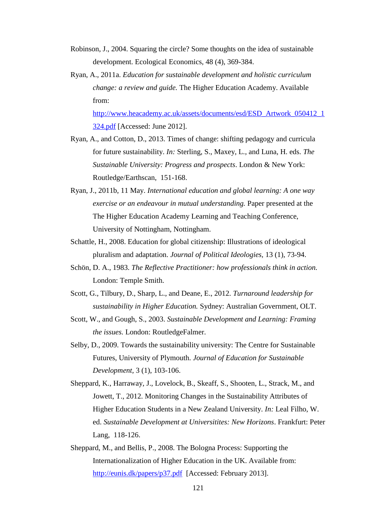- Robinson, J., 2004. Squaring the circle? Some thoughts on the idea of sustainable development. Ecological Economics, 48 (4), 369-384.
- Ryan, A., 2011a. *Education for sustainable development and holistic curriculum change: a review and guide.* The Higher Education Academy. Available from:

[http://www.heacademy.ac.uk/assets/documents/esd/ESD\\_Artwork\\_050412\\_1](http://www.heacademy.ac.uk/assets/documents/esd/ESD_Artwork_050412_1324.pdf) [324.pdf](http://www.heacademy.ac.uk/assets/documents/esd/ESD_Artwork_050412_1324.pdf) [Accessed: June 2012].

- Ryan, A., and Cotton, D., 2013. Times of change: shifting pedagogy and curricula for future sustainability. *In:* Sterling, S., Maxey, L., and Luna, H. eds. *The Sustainable University: Progress and prospects*. London & New York: Routledge/Earthscan, 151-168.
- Ryan, J., 2011b, 11 May. *International education and global learning: A one way exercise or an endeavour in mutual understanding.* Paper presented at the The Higher Education Academy Learning and Teaching Conference, University of Nottingham, Nottingham.
- Schattle, H., 2008. Education for global citizenship: Illustrations of ideological pluralism and adaptation. *Journal of Political Ideologies,* 13 (1), 73-94.
- Schön, D. A., 1983. *The Reflective Practitioner: how professionals think in action.* London: Temple Smith.
- Scott, G., Tilbury, D., Sharp, L., and Deane, E., 2012. *Turnaround leadership for sustainability in Higher Education.* Sydney: Australian Government, OLT.
- Scott, W., and Gough, S., 2003. *Sustainable Development and Learning: Framing the issues.* London: RoutledgeFalmer.
- Selby, D., 2009. Towards the sustainability university: The Centre for Sustainable Futures, University of Plymouth. *Journal of Education for Sustainable Development,* 3 (1), 103-106.
- Sheppard, K., Harraway, J., Lovelock, B., Skeaff, S., Shooten, L., Strack, M., and Jowett, T., 2012. Monitoring Changes in the Sustainability Attributes of Higher Education Students in a New Zealand University. *In:* Leal Filho, W. ed. *Sustainable Development at Universitites: New Horizons*. Frankfurt: Peter Lang, 118-126.
- Sheppard, M., and Bellis, P., 2008. The Bologna Process: Supporting the Internationalization of Higher Education in the UK. Available from: <http://eunis.dk/papers/p37.pdf>[Accessed: February 2013].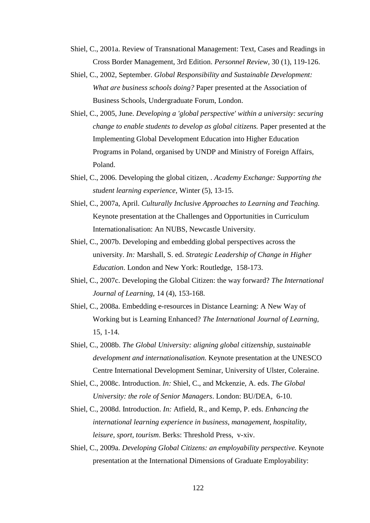- Shiel, C., 2001a. Review of Transnational Management: Text, Cases and Readings in Cross Border Management, 3rd Edition. *Personnel Review,* 30 (1), 119-126.
- Shiel, C., 2002, September. *Global Responsibility and Sustainable Development: What are business schools doing?* Paper presented at the Association of Business Schools, Undergraduate Forum, London.
- Shiel, C., 2005, June. *Developing a 'global perspective' within a university: securing change to enable students to develop as global citizens.* Paper presented at the Implementing Global Development Education into Higher Education Programs in Poland, organised by UNDP and Ministry of Foreign Affairs, Poland.
- Shiel, C., 2006. Developing the global citizen, . *Academy Exchange: Supporting the student learning experience,* Winter (5), 13-15.
- Shiel, C., 2007a, April. *Culturally Inclusive Approaches to Learning and Teaching.* Keynote presentation at the Challenges and Opportunities in Curriculum Internationalisation: An NUBS, Newcastle University.
- Shiel, C., 2007b. Developing and embedding global perspectives across the university. *In:* Marshall, S. ed. *Strategic Leadership of Change in Higher Education*. London and New York: Routledge, 158-173.
- Shiel, C., 2007c. Developing the Global Citizen: the way forward? *The International Journal of Learning,* 14 (4), 153-168.
- Shiel, C., 2008a. Embedding e-resources in Distance Learning: A New Way of Working but is Learning Enhanced? *The International Journal of Learning,*  15, 1-14.
- Shiel, C., 2008b. *The Global University: aligning global citizenship, sustainable development and internationalisation.* Keynote presentation at the UNESCO Centre International Development Seminar, University of Ulster, Coleraine.
- Shiel, C., 2008c. Introduction. *In:* Shiel, C., and Mckenzie, A. eds. *The Global University: the role of Senior Managers*. London: BU/DEA, 6-10.
- Shiel, C., 2008d. Introduction. *In:* Atfield, R., and Kemp, P. eds. *Enhancing the international learning experience in business, management, hospitality, leisure, sport, tourism*. Berks: Threshold Press, v-xiv.
- Shiel, C., 2009a. *Developing Global Citizens: an employability perspective.* Keynote presentation at the International Dimensions of Graduate Employability: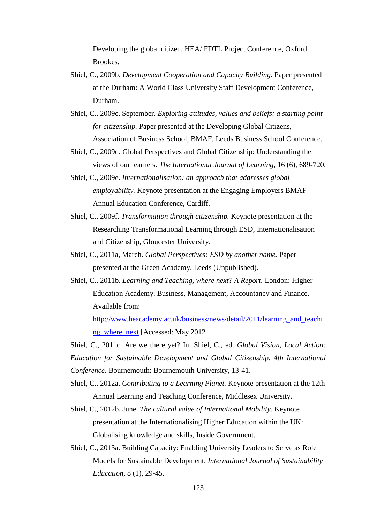Developing the global citizen, HEA/ FDTL Project Conference, Oxford Brookes.

- Shiel, C., 2009b. *Development Cooperation and Capacity Building.* Paper presented at the Durham: A World Class University Staff Development Conference, Durham.
- Shiel, C., 2009c, September. *Exploring attitudes, values and beliefs: a starting point for citizenship.* Paper presented at the Developing Global Citizens, Association of Business School, BMAF, Leeds Business School Conference.
- Shiel, C., 2009d. Global Perspectives and Global Citizenship: Understanding the views of our learners. *The International Journal of Learning,* 16 (6), 689-720.
- Shiel, C., 2009e. *Internationalisation: an approach that addresses global employability.* Keynote presentation at the Engaging Employers BMAF Annual Education Conference, Cardiff.
- Shiel, C., 2009f. *Transformation through citizenship.* Keynote presentation at the Researching Transformational Learning through ESD, Internationalisation and Citizenship, Gloucester University.
- Shiel, C., 2011a, March. *Global Perspectives: ESD by another name.* Paper presented at the Green Academy, Leeds (Unpublished).
- Shiel, C., 2011b. *Learning and Teaching, where next? A Report.* London: Higher Education Academy. Business, Management, Accountancy and Finance. Available from:

[http://www.heacademy.ac.uk/business/news/detail/2011/learning\\_and\\_teachi](http://www.heacademy.ac.uk/business/news/detail/2011/learning_and_teaching_where_next) [ng\\_where\\_next](http://www.heacademy.ac.uk/business/news/detail/2011/learning_and_teaching_where_next) [Accessed: May 2012].

Shiel, C., 2011c. Are we there yet? In: Shiel, C., ed. *Global Vision, Local Action: Education for Sustainable Development and Global Citizenship, 4th International Conference*. Bournemouth: Bournemouth University, 13-41.

- Shiel, C., 2012a. *Contributing to a Learning Planet.* Keynote presentation at the 12th Annual Learning and Teaching Conference, Middlesex University.
- Shiel, C., 2012b, June. *The cultural value of International Mobility.* Keynote presentation at the Internationalising Higher Education within the UK: Globalising knowledge and skills, Inside Government.
- Shiel, C., 2013a. Building Capacity: Enabling University Leaders to Serve as Role Models for Sustainable Development. *International Journal of Sustainability Education,* 8 (1), 29-45.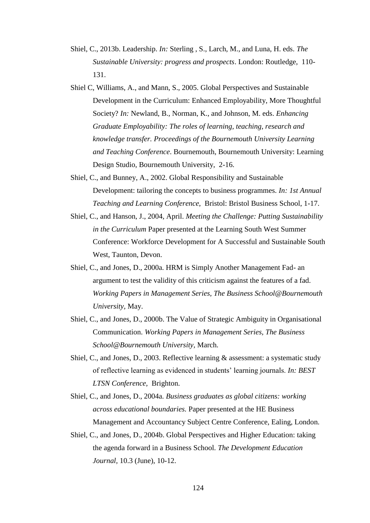- Shiel, C., 2013b. Leadership. *In:* Sterling , S., Larch, M., and Luna, H. eds. *The Sustainable University: progress and prospects*. London: Routledge, 110- 131.
- Shiel C, Williams, A., and Mann, S., 2005. Global Perspectives and Sustainable Development in the Curriculum: Enhanced Employability, More Thoughtful Society? *In:* Newland, B., Norman, K., and Johnson, M. eds. *Enhancing Graduate Employability: The roles of learning, teaching, research and knowledge transfer. Proceedings of the Bournemouth University Learning and Teaching Conference*. Bournemouth, Bournemouth University: Learning Design Studio, Bournemouth University, 2-16.
- Shiel, C., and Bunney, A., 2002. Global Responsibility and Sustainable Development: tailoring the concepts to business programmes. *In: 1st Annual Teaching and Learning Conference*, Bristol: Bristol Business School, 1-17.
- Shiel, C., and Hanson, J., 2004, April. *Meeting the Challenge: Putting Sustainability in the Curriculum* Paper presented at the Learning South West Summer Conference: Workforce Development for A Successful and Sustainable South West, Taunton, Devon.
- Shiel, C., and Jones, D., 2000a. HRM is Simply Another Management Fad- an argument to test the validity of this criticism against the features of a fad. *Working Papers in Management Series, The Business School@Bournemouth University,* May.
- Shiel, C., and Jones, D., 2000b. The Value of Strategic Ambiguity in Organisational Communication. *Working Papers in Management Series, The Business School@Bournemouth University,* March.
- Shiel, C., and Jones, D., 2003. Reflective learning & assessment: a systematic study of reflective learning as evidenced in students' learning journals. *In: BEST LTSN Conference,* Brighton.
- Shiel, C., and Jones, D., 2004a. *Business graduates as global citizens: working across educational boundaries.* Paper presented at the HE Business Management and Accountancy Subject Centre Conference, Ealing, London.
- Shiel, C., and Jones, D., 2004b. Global Perspectives and Higher Education: taking the agenda forward in a Business School. *The Development Education Journal,* 10.3 (June), 10-12.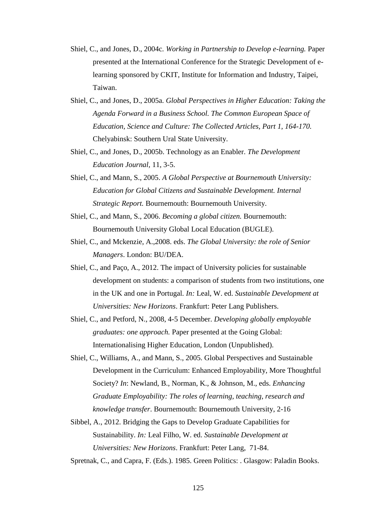- Shiel, C., and Jones, D., 2004c. *Working in Partnership to Develop e-learning.* Paper presented at the International Conference for the Strategic Development of elearning sponsored by CKIT, Institute for Information and Industry, Taipei, Taiwan.
- Shiel, C., and Jones, D., 2005a. *Global Perspectives in Higher Education: Taking the Agenda Forward in a Business School. The Common European Space of Education, Science and Culture: The Collected Articles, Part 1, 164-170.* Chelyabinsk: Southern Ural State University.
- Shiel, C., and Jones, D., 2005b. Technology as an Enabler. *The Development Education Journal,* 11, 3-5.
- Shiel, C., and Mann, S., 2005. *A Global Perspective at Bournemouth University: Education for Global Citizens and Sustainable Development. Internal Strategic Report.* Bournemouth: Bournemouth University.
- Shiel, C., and Mann, S., 2006. *Becoming a global citizen.* Bournemouth: Bournemouth University Global Local Education (BUGLE).
- Shiel, C., and Mckenzie, A.,2008. eds. *The Global University: the role of Senior Managers*. London: BU/DEA.
- Shiel, C., and Paço, A., 2012. The impact of University policies for sustainable development on students: a comparison of students from two institutions, one in the UK and one in Portugal. *In:* Leal, W. ed. *Sustainable Development at Universities: New Horizons*. Frankfurt: Peter Lang Publishers.
- Shiel, C., and Petford, N., 2008, 4-5 December. *Developing globally employable graduates: one approach.* Paper presented at the Going Global: Internationalising Higher Education, London (Unpublished).
- Shiel, C., Williams, A., and Mann, S., 2005. Global Perspectives and Sustainable Development in the Curriculum: Enhanced Employability, More Thoughtful Society? *In*: Newland, B., Norman, K., & Johnson, M., eds. *Enhancing Graduate Employability: The roles of learning, teaching, research and knowledge transfer*. Bournemouth: Bournemouth University, 2-16
- Sibbel, A., 2012. Bridging the Gaps to Develop Graduate Capabilities for Sustainability. *In:* Leal Filho, W. ed. *Sustainable Development at Universities: New Horizons*. Frankfurt: Peter Lang, 71-84.

Spretnak, C., and Capra, F. (Eds.). 1985. Green Politics: . Glasgow: Paladin Books.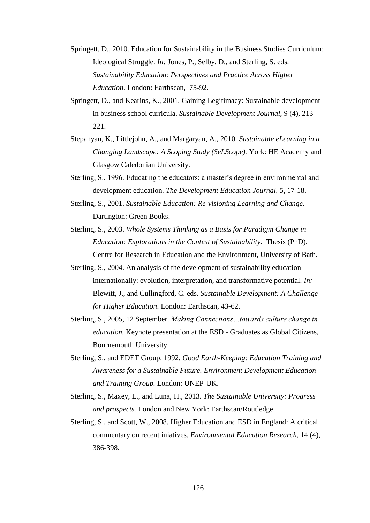- Springett, D., 2010. Education for Sustainability in the Business Studies Curriculum: Ideological Struggle. *In:* Jones, P., Selby, D., and Sterling, S. eds. *Sustainability Education: Perspectives and Practice Across Higher Education*. London: Earthscan, 75-92.
- Springett, D., and Kearins, K., 2001. Gaining Legitimacy: Sustainable development in business school curricula. *Sustainable Development Journal,* 9 (4), 213- 221.
- Stepanyan, K., Littlejohn, A., and Margaryan, A., 2010. *Sustainable eLearning in a Changing Landscape: A Scoping Study (SeLScope).* York: HE Academy and Glasgow Caledonian University.
- Sterling, S., 1996. Educating the educators: a master's degree in environmental and development education. *The Development Education Journal,* 5, 17-18.
- Sterling, S., 2001. *Sustainable Education: Re-visioning Learning and Change.* Dartington: Green Books.
- Sterling, S., 2003. *Whole Systems Thinking as a Basis for Paradigm Change in Education: Explorations in the Context of Sustainability.* Thesis (PhD). Centre for Research in Education and the Environment, University of Bath.
- Sterling, S., 2004. An analysis of the development of sustainability education internationally: evolution, interpretation, and transformative potential. *In:* Blewitt, J., and Cullingford, C. eds. *Sustainable Development: A Challenge for Higher Education*. London: Earthscan, 43-62.
- Sterling, S., 2005, 12 September. *Making Connections…towards culture change in education.* Keynote presentation at the ESD - Graduates as Global Citizens, Bournemouth University.
- Sterling, S., and EDET Group. 1992. *Good Earth-Keeping: Education Training and Awareness for a Sustainable Future. Environment Development Education and Training Group.* London: UNEP-UK.
- Sterling, S., Maxey, L., and Luna, H., 2013. *The Sustainable University: Progress and prospects.* London and New York: Earthscan/Routledge.
- Sterling, S., and Scott, W., 2008. Higher Education and ESD in England: A critical commentary on recent iniatives. *Environmental Education Research,* 14 (4), 386-398.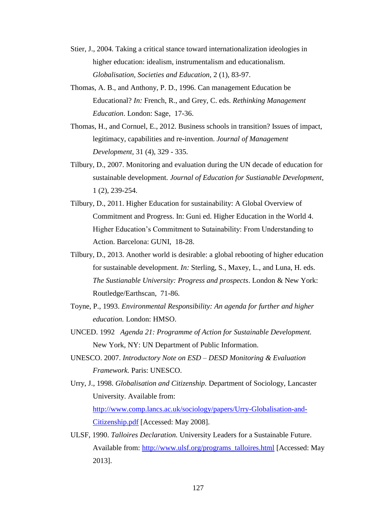- Stier, J., 2004. Taking a critical stance toward internationalization ideologies in higher education: idealism, instrumentalism and educationalism. *Globalisation, Societies and Education,* 2 (1), 83-97.
- Thomas, A. B., and Anthony, P. D., 1996. Can management Education be Educational? *In:* French, R., and Grey, C. eds. *Rethinking Management Education*. London: Sage, 17-36.
- Thomas, H., and Cornuel, E., 2012. Business schools in transition? Issues of impact, legitimacy, capabilities and re-invention. *Journal of Management Development,* 31 (4), 329 - 335.
- Tilbury, D., 2007. Monitoring and evaluation during the UN decade of education for sustainable development. *Journal of Education for Sustianable Development,*  1 (2), 239-254.
- Tilbury, D., 2011. Higher Education for sustainability: A Global Overview of Commitment and Progress. In: Guni ed. Higher Education in the World 4. Higher Education's Commitment to Sutainability: From Understanding to Action. Barcelona: GUNI, 18-28.
- Tilbury, D., 2013. Another world is desirable: a global rebooting of higher education for sustainable development. *In:* Sterling, S., Maxey, L., and Luna, H. eds. *The Sustianable University: Progress and prospects*. London & New York: Routledge/Earthscan, 71-86.
- Toyne, P., 1993. *Environmental Responsibility: An agenda for further and higher education.* London: HMSO.
- UNCED. 1992 *Agenda 21: Programme of Action for Sustainable Development.* New York, NY: UN Department of Public Information.
- UNESCO. 2007. *Introductory Note on ESD – DESD Monitoring & Evaluation Framework.* Paris: UNESCO.
- Urry, J., 1998. *Globalisation and Citizenship.* Department of Sociology, Lancaster University. Available from: [http://www.comp.lancs.ac.uk/sociology/papers/Urry-Globalisation-and-](http://www.comp.lancs.ac.uk/sociology/papers/Urry-Globalisation-and-Citizenship.pdf)[Citizenship.pdf](http://www.comp.lancs.ac.uk/sociology/papers/Urry-Globalisation-and-Citizenship.pdf) [Accessed: May 2008].
- ULSF, 1990. *Talloires Declaration.* University Leaders for a Sustainable Future. Available from: [http://www.ulsf.org/programs\\_talloires.html](http://www.ulsf.org/programs_talloires.html) [Accessed: May 2013].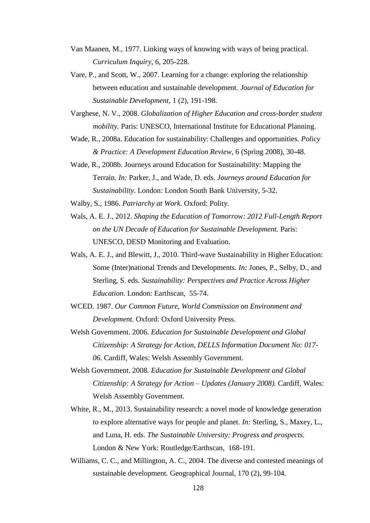- Van Maanen, M., 1977. Linking ways of knowing with ways of being practical. *Curriculum Inquiry,* 6, 205-228.
- Vare, P., and Scott, W., 2007. Learning for a change: exploring the relationship between education and sustainable development. *Journal of Education for Sustainable Development,* 1 (2), 191-198.
- Varghese, N. V., 2008. *Globalization of Higher Education and cross-border student mobility.* Paris: UNESCO, International Institute for Educational Planning.
- Wade, R., 2008a. Education for sustainability: Challenges and opportunities. *Policy & Practice: A Development Education Review,* 6 (Spring 2008), 30-48.
- Wade, R., 2008b. Journeys around Education for Sustainability: Mapping the Terrain. *In:* Parker, J., and Wade, D. eds. *Journeys around Education for Sustainability*. London: London South Bank University, 5-32.
- Walby, S., 1986. *Patriarchy at Work.* Oxford: Polity.
- Wals, A. E. J., 2012. *Shaping the Education of Tomorrow: 2012 Full-Length Report on the UN Decade of Education for Sustainable Development.* Paris: UNESCO, DESD Monitoring and Evaluation.
- Wals, A. E. J., and Blewitt, J., 2010. Third-wave Sustainability in Higher Education: Some (Inter)national Trends and Developments. *In:* Jones, P., Selby, D., and Sterling, S. eds. *Sustainability: Perspectives and Practice Across Higher Education*. London: Earthscan, 55-74.
- WCED. 1987. *Our Common Future, World Commission on Environment and Development.* Oxford: Oxford University Press.
- Welsh Government. 2006. *Education for Sustainable Development and Global Citizenship: A Strategy for Action, DELLS Information Document No: 017- 06.* Cardiff, Wales: Welsh Assembly Government.
- Welsh Government. 2008. *Education for Sustainable Development and Global Citizenship: A Strategy for Action – Updates (January 2008).* Cardiff, Wales: Welsh Assembly Government.
- White, R., M., 2013. Sustainability research: a novel mode of knowledge generation to explore alternative ways for people and planet. *In:* Sterling, S., Maxey, L., and Luna, H. eds. *The Sustainable University: Progress and prospects*. London & New York: Routledge/Earthscan, 168-191.
- Williams, C. C., and Millington, A. C., 2004. The diverse and contested meanings of sustainable development. Geographical Journal, 170 (2), 99-104.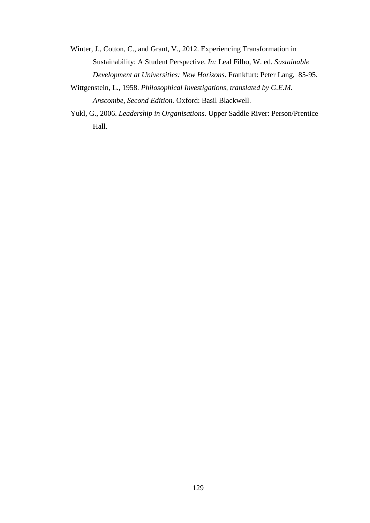- Winter, J., Cotton, C., and Grant, V., 2012. Experiencing Transformation in Sustainability: A Student Perspective. *In:* Leal Filho, W. ed. *Sustainable Development at Universities: New Horizons*. Frankfurt: Peter Lang, 85-95.
- Wittgenstein, L., 1958. *Philosophical Investigations, translated by G.E.M. Anscombe, Second Edition.* Oxford: Basil Blackwell.
- Yukl, G., 2006. *Leadership in Organisations.* Upper Saddle River: Person/Prentice Hall.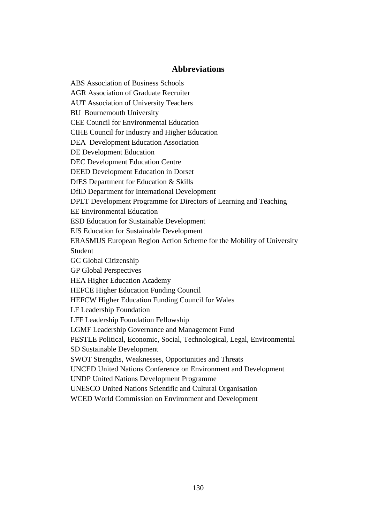## **Abbreviations**

ABS Association of Business Schools AGR Association of Graduate Recruiter AUT Association of University Teachers BU Bournemouth University CEE Council for Environmental Education CIHE Council for Industry and Higher Education DEA Development Education Association DE Development Education DEC Development Education Centre DEED Development Education in Dorset DfES Department for Education & Skills DfID Department for International Development DPLT Development Programme for Directors of Learning and Teaching EE Environmental Education ESD Education for Sustainable Development EfS Education for Sustainable Development ERASMUS European Region Action Scheme for the Mobility of University Student GC Global Citizenship GP Global Perspectives HEA Higher Education Academy HEFCE Higher Education Funding Council HEFCW Higher Education Funding Council for Wales LF Leadership Foundation LFF Leadership Foundation Fellowship LGMF Leadership Governance and Management Fund PESTLE Political, Economic, Social, Technological, Legal, Environmental SD Sustainable Development SWOT Strengths, Weaknesses, Opportunities and Threats UNCED United Nations Conference on Environment and Development UNDP United Nations Development Programme UNESCO United Nations Scientific and Cultural Organisation WCED World Commission on Environment and Development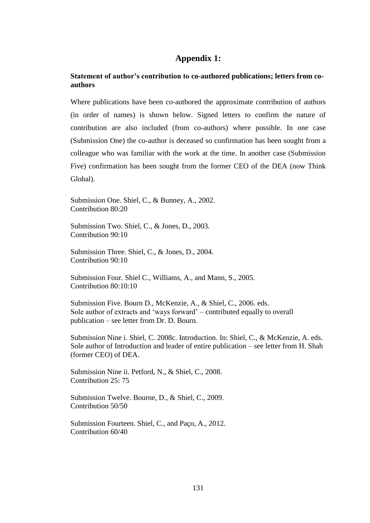## **Appendix 1:**

## **Statement of author's contribution to co-authored publications; letters from coauthors**

Where publications have been co-authored the approximate contribution of authors (in order of names) is shown below. Signed letters to confirm the nature of contribution are also included (from co-authors) where possible. In one case (Submission One) the co-author is deceased so confirmation has been sought from a colleague who was familiar with the work at the time. In another case (Submission Five) confirmation has been sought from the former CEO of the DEA (now Think Global).

Submission One. Shiel, C., & Bunney, A., 2002. Contribution 80:20

Submission Two. Shiel, C., & Jones, D., 2003. Contribution 90:10

Submission Three. Shiel, C., & Jones, D., 2004. Contribution 90:10

Submission Four. Shiel C., Williams, A., and Mann, S., 2005. Contribution 80:10:10

Submission Five. Bourn D., McKenzie, A., & Shiel, C., 2006. eds. Sole author of extracts and 'ways forward' – contributed equally to overall publication – see letter from Dr. D. Bourn.

Submission Nine i. Shiel, C. 2008c. Introduction. In: Shiel, C., & McKenzie, A. eds. Sole author of Introduction and leader of entire publication – see letter from H. Shah (former CEO) of DEA.

Submission Nine ii. Petford, N., & Shiel, C., 2008. Contribution 25: 75

Submission Twelve. Bourne, D., & Shiel, C., 2009. Contribution 50/50

Submission Fourteen. Shiel, C., and Paço, A., 2012. Contribution 60/40